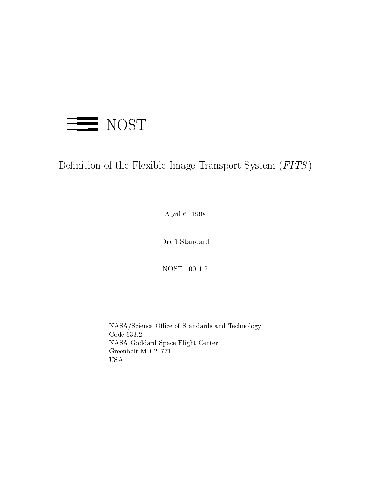

## $\blacksquare$  . The Fitter Image Transport System (FITS )  $\blacksquare$

April 6, 1998

Draft Standard

NOST 100-1.2

NASA/Science Office of Standards and Technology Code 633.2 NASA Goddard Space Flight Center Greenbelt MD 20771 USA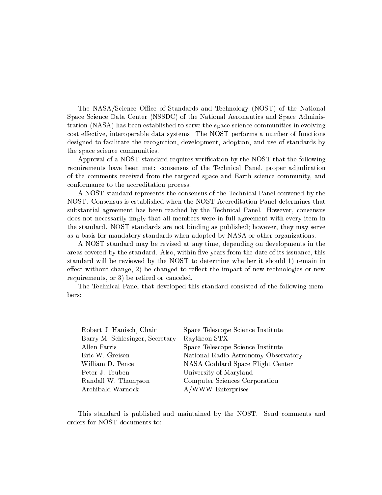The NASA/Science Office of Standards and Technology (NOST) of the National Space Science Data Center (NSSDC) of the National Aeronautics and Space Administration (NASA) has been established to serve the space science communities in evolving cost effective, interoperable data systems. The NOST performs a number of functions designed to facilitate the recognition, development, adoption, and use of standards by the space science communities.

Approval of a NOST standard requires verication by the NOST that the following requirements have been met: consensus of the Technical Panel, proper adjudication of the comments received from the targeted space and Earth science community, and conformance to the accreditation process.

A NOST standard represents the consensus of the Technical Panel convened by the NOST. Consensus is established when the NOST Accreditation Panel determines that substantial agreement has been reached by the Technical Panel. However, consensus does not necessarily imply that all members were in full agreement with every item in the standard. NOST standards are not binding as published; however, they may serve as a basis for mandatory standards when adopted by NASA or other organizations.

A NOST standard may be revised at any time, depending on developments in the areas covered by the standard. Also, within five years from the date of its issuance, this standard will be reviewed by the NOST to determine whether it should 1) remain in  $\theta$  effect without change, 2) be changed to reflect the impact of new technologies or new requirements, or 3) be retired or canceled.

The Technical Panel that developed this standard consisted of the following members:

| Robert J. Hanisch, Chair        | Space Telescope Science Institute    |
|---------------------------------|--------------------------------------|
| Barry M. Schlesinger, Secretary | Raytheon STX                         |
| Allen Farris                    | Space Telescope Science Institute    |
| Eric W. Greisen                 | National Radio Astronomy Observatory |
| William D. Pence                | NASA Goddard Space Flight Center     |
| Peter J. Teuben                 | University of Maryland               |
| Randall W. Thompson             | Computer Sciences Corporation        |
| Archibald Warnock               | A/WWW Enterprises                    |

This standard is published and maintained by the NOST. Send comments and orders for NOST documents to: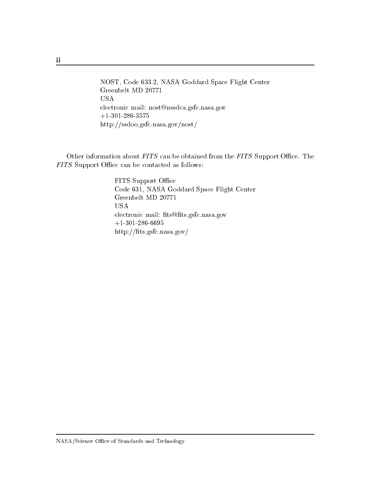NOST, Code 633.2, NASA Goddard Space Flight Center Greenbelt MD 20771 USA electronic mail: nost@nssdca.gsfc.nasa.gov  $+1-301-286-3575$ http://ssdoo.gsfc.nasa.gov/nost/

Other information about FITS can be obtained from the FITS Support Office. The FITS Support Office can be contacted as follows:

> FITS Support Office Code 631, NASA Goddard Space Flight Center Greenbelt MD 20771 USA electronic mail: fits@fits.gsfc.nasa.gov  $+1\hbox{-}301\hbox{-}286\hbox{-}6695$ http://fits.gsfc.nasa.gov/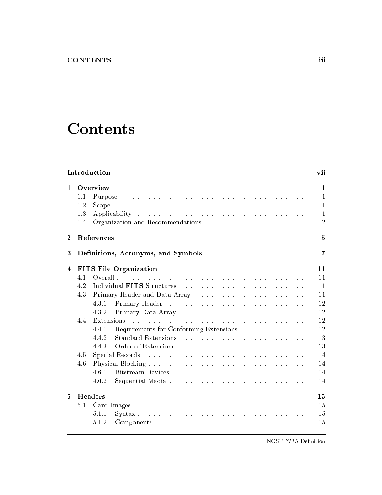# **Contents**

|              | Introduction<br>vii |                                                                                                                              |                |
|--------------|---------------------|------------------------------------------------------------------------------------------------------------------------------|----------------|
| $\mathbf{1}$ |                     | Overview                                                                                                                     | $\mathbf{1}$   |
|              | 1.1                 |                                                                                                                              | $\mathbf{1}$   |
|              | 1.2                 | .<br>In the company of the company of the company of the company of the company of the company of the company of th<br>Scope | $\mathbf{1}$   |
|              | 1.3                 |                                                                                                                              | $\mathbf{1}$   |
|              | 1.4                 |                                                                                                                              | $\overline{2}$ |
| $\bf{2}$     |                     | References                                                                                                                   | $\mathbf{5}$   |
| $\bf{3}$     |                     | Definitions, Acronyms, and Symbols                                                                                           | 7              |
| 4            |                     | <b>FITS File Organization</b>                                                                                                | 11             |
|              | 4.1                 |                                                                                                                              | 11             |
|              | 4.2                 |                                                                                                                              | 11             |
|              | 4.3                 |                                                                                                                              | 11             |
|              |                     | 4.3.1                                                                                                                        | 12             |
|              |                     | 4.3.2                                                                                                                        | 12             |
|              | 4.4                 |                                                                                                                              | 12             |
|              |                     | Requirements for Conforming Extensions<br>4.4.1                                                                              | 12             |
|              |                     | 4.4.2                                                                                                                        | 13             |
|              |                     | 4.4.3                                                                                                                        | 13             |
|              | 4.5                 |                                                                                                                              | 14             |
|              | 4.6                 |                                                                                                                              | 14             |
|              |                     | 4.6.1                                                                                                                        | 14             |
|              |                     | 4.6.2                                                                                                                        | 14             |
| 5            |                     | <b>Headers</b>                                                                                                               | 15             |
|              | 5.1                 |                                                                                                                              | 15             |
|              |                     | 5.1.1                                                                                                                        | 15             |
|              |                     | 5.1.2                                                                                                                        | 15             |
|              |                     |                                                                                                                              |                |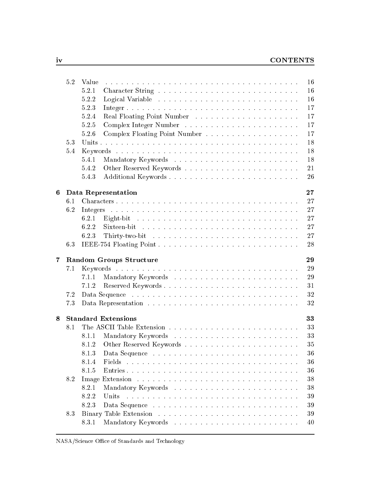|   | 5.2 | Value |                                                                                                                      | 16       |
|---|-----|-------|----------------------------------------------------------------------------------------------------------------------|----------|
|   |     | 5.2.1 |                                                                                                                      | 16       |
|   |     | 5.2.2 |                                                                                                                      | 16       |
|   |     | 5.2.3 |                                                                                                                      | 17       |
|   |     | 5.2.4 |                                                                                                                      | 17       |
|   |     | 5.2.5 |                                                                                                                      | 17       |
|   |     | 5.2.6 |                                                                                                                      | 17       |
|   | 5.3 |       |                                                                                                                      | 18       |
|   | 5.4 |       |                                                                                                                      | 18       |
|   |     | 5.4.1 |                                                                                                                      | 18       |
|   |     | 5.4.2 |                                                                                                                      | 21       |
|   |     | 5.4.3 | Additional Keywords                                                                                                  | 26       |
|   |     |       |                                                                                                                      |          |
| 6 |     |       | Data Representation                                                                                                  | 27       |
|   | 6.1 |       |                                                                                                                      | 27       |
|   | 6.2 |       |                                                                                                                      | 27       |
|   |     | 6.2.1 |                                                                                                                      | 27       |
|   |     | 6.2.2 |                                                                                                                      | 27       |
|   |     | 6.2.3 |                                                                                                                      | 27       |
|   | 6.3 |       |                                                                                                                      | 28       |
|   |     |       |                                                                                                                      |          |
| 7 |     |       |                                                                                                                      | 29       |
|   | 7.1 |       | <b>Random Groups Structure</b>                                                                                       | 29       |
|   |     | 7.1.1 |                                                                                                                      | 29       |
|   |     | 7.1.2 | Reserved Keywords                                                                                                    | 31       |
|   | 7.2 |       |                                                                                                                      | 32       |
|   | 7.3 |       |                                                                                                                      | 32       |
|   |     |       |                                                                                                                      |          |
| 8 |     |       | <b>Standard Extensions</b>                                                                                           | 33       |
|   | 8.1 |       |                                                                                                                      | 33       |
|   |     | 8.1.1 |                                                                                                                      | 33       |
|   |     | 8.1.2 |                                                                                                                      | 35       |
|   |     | 8.1.3 |                                                                                                                      | 36       |
|   |     | 8.1.4 | Fields                                                                                                               | 36       |
|   |     | 8.1.5 |                                                                                                                      | 36       |
|   | 8.2 |       |                                                                                                                      | 38       |
|   |     | 8.2.1 |                                                                                                                      | 38       |
|   |     | 8.2.2 | Units<br>المتحاول والمتحاولة والمتحاولة والمتحاولة والمتحاولة والمتحاولة والمتحاولة والمتحاولة والمتحاولة والمتحاولة | 39       |
|   |     | 8.2.3 |                                                                                                                      | 39       |
|   | 8.3 | 8.3.1 |                                                                                                                      | 39<br>40 |

| NASA/Science Office of Standards and Technology |  |  |  |  |  |
|-------------------------------------------------|--|--|--|--|--|
|-------------------------------------------------|--|--|--|--|--|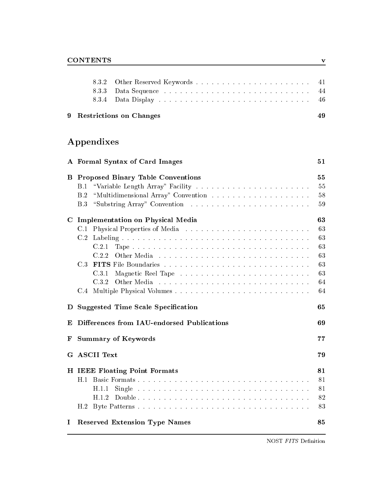|  | 9 Restrictions on Changes |  |
|--|---------------------------|--|
|  |                           |  |
|  |                           |  |
|  |                           |  |

# Appendixes

|             | A Formal Syntax of Card Images             | 51 |
|-------------|--------------------------------------------|----|
| в           | <b>Proposed Binary Table Conventions</b>   | 55 |
|             | B.1                                        | 55 |
|             | B.2                                        | 58 |
|             | B.3                                        | 59 |
| $\mathbf C$ | <b>Implementation on Physical Media</b>    | 63 |
|             |                                            | 63 |
|             |                                            | 63 |
|             | C.2.1                                      | 63 |
|             | C.2.2                                      | 63 |
|             | C.3                                        | 63 |
|             | C.3.1                                      | 63 |
|             | C.3.2                                      | 64 |
|             | C.4                                        | 64 |
| D           | <b>Suggested Time Scale Specification</b>  | 65 |
| E           | Differences from IAU-endorsed Publications | 69 |
| $\mathbf F$ | <b>Summary of Keywords</b>                 | 77 |
| G.          | <b>ASCII Text</b>                          | 79 |
|             | <b>H</b> IEEE Floating Point Formats       | 81 |
|             | H.1                                        | 81 |
|             | H.1.1                                      | 81 |
|             | H.1.2                                      | 82 |
|             | H.2                                        | 83 |
| $\mathbf I$ | <b>Reserved Extension Type Names</b>       | 85 |

NOST $\emph{FITS}$  Definition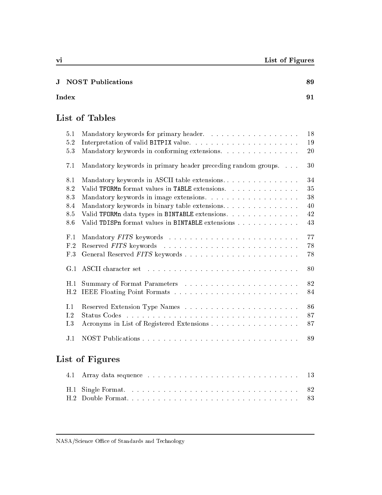| J NOST Publications |  |
|---------------------|--|
| $_{\rm Index}$      |  |

## List of Tables

| 5.1 | Mandatory keywords for primary header                        | 18 |
|-----|--------------------------------------------------------------|----|
| 5.2 |                                                              | 19 |
| 5.3 | Mandatory keywords in conforming extensions.                 | 20 |
| 7.1 | Mandatory keywords in primary header preceding random groups | 30 |
| 8.1 | Mandatory keywords in ASCII table extensions.                | 34 |
| 8.2 | Valid TFORMn format values in TABLE extensions.              | 35 |
| 8.3 | Mandatory keywords in image extensions.                      | 38 |
| 8.4 | Mandatory keywords in binary table extensions.               | 40 |
| 8.5 | Valid TFORMn data types in BINTABLE extensions.              | 42 |
| 8.6 | Valid TDISPn format values in BINTABLE extensions            | 43 |
| F.1 |                                                              | 77 |
| F.2 |                                                              | 78 |
| F.3 |                                                              | 78 |
| G.1 |                                                              | 80 |
| H.1 |                                                              | 82 |
| H.2 |                                                              | 84 |
| 1.1 |                                                              | 86 |
| 1.2 |                                                              | 87 |
| 1.3 | Acronyms in List of Registered Extensions                    | 87 |
| J.1 |                                                              | 89 |
|     | List of Figures                                              |    |
| 4.1 |                                                              | 13 |
| H.1 |                                                              | 82 |

H.2 Double Format. . . . . . . . . . . . . . . . . . . . . . . . . . . . . . . . . 83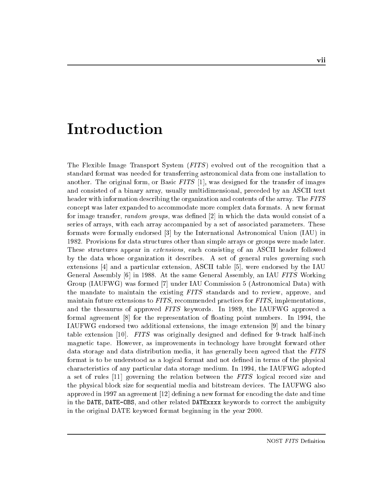# Introduction

The Flexible Image Transport System (*FITS*) evolved out of the recognition that a standard format was needed for transferring astronomical data from one installation to another. The original form, or Basic  $FITS$  [1], was designed for the transfer of images and consisted of a binary array, usually multidimensional, preceded by an ASCII text header with information describing the organization and contents of the array. The FITS concept was later expanded to accommodate more complex data formats. A new format for image transfer, random groups, was defined  $[2]$  in which the data would consist of a series of arrays, with each array accompanied by a set of associated parameters. These formats were formally endorsed [3] by the International Astronomical Union (IAU) in 1982. Provisions for data structures other than simple arrays or groups were made later. These structures appear in extensions, each consisting of an ASCII header followed by the data whose organization it describes. A set of general rules governing such extensions [4] and a particular extension, ASCII table [5], were endorsed by the IAU General Assembly [6] in 1988. At the same General Assembly, an IAU FITS Working Group (IAUFWG) was formed [7] under IAU Commission 5 (Astronomical Data) with the mandate to maintain the existing FITS standards and to review, approve, and maintain future extensions to FITS, recommended practices for FITS, implementations, and the thesaurus of approved FITS keywords. In 1989, the IAUFWG approved a formal agreement  $[8]$  for the representation of floating point numbers. In 1994, the IAUFWG endorsed two additional extensions, the image extension [9] and the binary table extension [10]. FITS was originally designed and defined for 9-track half-inch magnetic tape. However, as improvements in technology have brought forward other data storage and data distribution media, it has generally been agreed that the FITS format is to be understood as a logical format and not defined in terms of the physical characteristics of any particular data storage medium. In 1994, the IAUFWG adopted a set of rules [11] governing the relation between the FITS logical record size and the physical block size for sequential media and bitstream devices. The IAUFWG also approved in 1997 an agreement  $[12]$  defining a new format for encoding the date and time in the DATE, DATE-OBS, and other related DATExxxx keywords to correct the ambiguity in the original DATE keyword format beginning in the year 2000.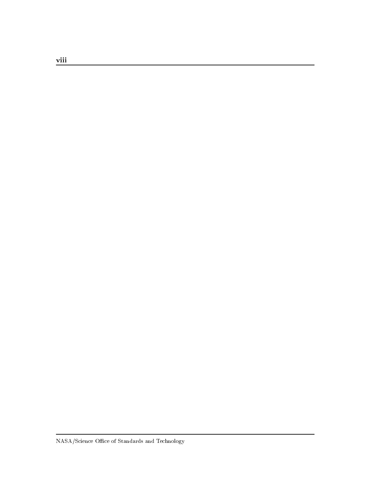viii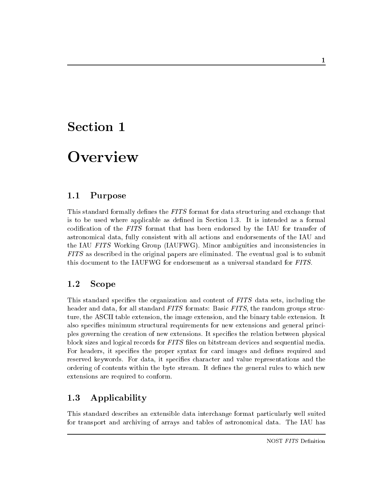## Section 1

# Overview

### $1.1$ Purpose

This standard formally defines the FITS format for data structuring and exchange that is to be used where applicable as defined in Section 1.3. It is intended as a formal codication of the FITS format that has been endorsed by the IAU for transfer of astronomical data, fully consistent with all actions and endorsements of the IAU and the IAU FITS Working Group (IAUFWG). Minor ambiguities and inconsistencies in FITS as described in the original papers are eliminated. The eventual goal is to submit this document to the IAUFWG for endorsement as a universal standard for FITS.

### $1.2$ Scope

This standard specifies the organization and content of FITS data sets, including the header and data, for all standard FITS formats: Basic FITS, the random groups structure, the ASCII table extension, the image extension, and the binary table extension. It also specifies minimum structural requirements for new extensions and general principles governing the creation of new extensions. It specifies the relation between physical block sizes and logical records for *FITS* files on bitstream devices and sequential media. For headers, it specifies the proper syntax for card images and defines required and reserved keywords. For data, it species character and value representations and the ordering of contents within the byte stream. It denes the general rules to which new extensions are required to conform.

## 1.3 Applicability

This standard describes an extensible data interchange format particularly well suited for transport and archiving of arrays and tables of astronomical data. The IAU has

1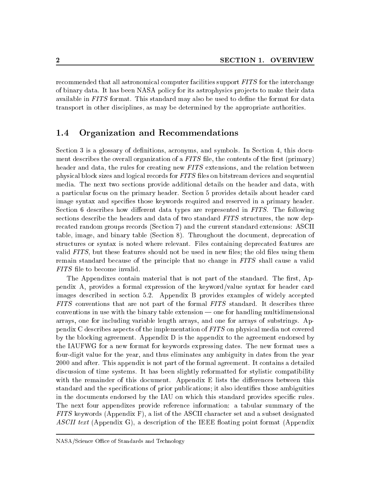recommended that all astronomical computer facilities support FITS for the interchange of binary data. It has been NASA policy for its astrophysics projects to make their data available in FITS format. This standard may also be used to define the format for data transport in other disciplines, as may be determined by the appropriate authorities.

## 1.4 Organization and Recommendations

Section 3 is a glossary of definitions, acronyms, and symbols. In Section 4, this document describes the overall organization of a  $FITS$  file, the contents of the first (primary) header and data, the rules for creating new FITS extensions, and the relation between physical block sizes and logical records for FITS les on bitstream devices and sequential media. The next two sections provide additional details on the header and data, with a particular focus on the primary header. Section 5 provides details about header card image syntax and species those keywords required and reserved in a primary header. Section 6 describes how different data types are represented in  $FITS$ . The following sections describe the headers and data of two standard FITS structures, the now deprecated random groups records (Section 7) and the current standard extensions: ASCII table, image, and binary table (Section 8). Throughout the document, deprecation of structures or syntax is noted where relevant. Files containing deprecated features are valid  $FITS$ , but these features should not be used in new files; the old files using them remain standard because of the principle that no change in FITS shall cause a valid FITS file to become invalid.

The Appendixes contain material that is not part of the standard. The first, Appendix A, provides a formal expression of the keyword/value syntax for header card images described in section 5.2. Appendix B provides examples of widely accepted FITS conventions that are not part of the formal FITS standard. It describes three conventions in use with the binary table extension — one for handling multidimensional arrays, one for including variable length arrays, and one for arrays of substrings. Appendix C describes aspects of the implementation of FITS on physical media not covered by the blocking agreement. Appendix D is the appendix to the agreement endorsed by the IAUFWG for a new format for keywords expressing dates. The new format uses a four-digit value for the year, and thus eliminates any ambiguity in dates from the year 2000 and after. This appendix is not part of the formal agreement. It contains a detailed discussion of time systems. It has been slightly reformatted for stylistic compatibility with the remainder of this document. Appendix  $E$  lists the differences between this standard and the specifications of prior publications; it also identifies those ambiguities in the documents endorsed by the IAU on which this standard provides specific rules. The next four appendixes provide reference information: a tabular summary of the FITS keywords (Appendix F), a list of the ASCII character set and a subset designated ASCII text (Appendix G), a description of the IEEE floating point format (Appendix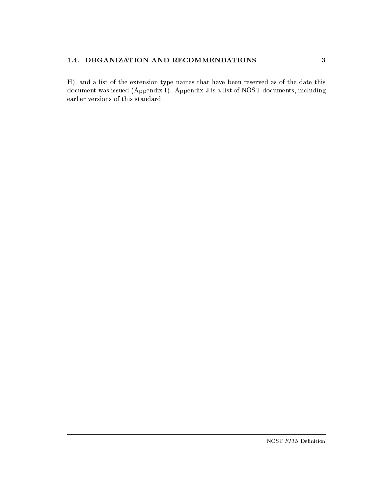H), and a list of the extension type names that have been reserved as of the date this document was issued (Appendix I). Appendix J is a list of NOST documents, including earlier versions of this standard.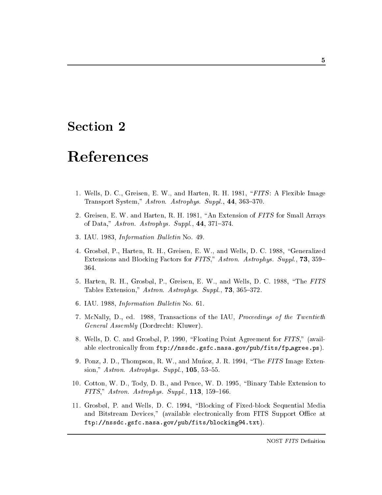## Section 2

# References

- 1. Wells, D. C., Greisen, E. W., and Harten, R. H. 1981, "FITS: A Flexible Image Transport System," Astron. Astrophys. Suppl., 44, 363-370.
- 2. Greisen, E. W. and Harten, R. H. 1981, "An Extension of FITS for Small Arrays of Data," Astron. Astrophys. Suppl.,  $44$ ,  $371-374$ .
- 3. IAU. 1983, *Information Bulletin* No. 49.
- 4. Grosbøl, P., Harten, R. H., Greisen, E. W., and Wells, D. C. 1988, "Generalized Extensions and Blocking Factors for FITS," Astron. Astrophys. Suppl., 73, 359– 364.
- 5. Harten, R. H., Grosbøl, P., Greisen, E. W., and Wells, D. C. 1988, "The FITS Tables Extension," Astron. Astrophys. Suppl., 73, 365-372.
- 6. IAU. 1988, *Information Bulletin* No. 61.
- 7. McNally, D., ed. 1988, Transactions of the IAU, Proceedings of the Twentieth General Assembly (Dordrecht: Kluwer).
- 8. Wells, D. C. and Grosbøl, P. 1990, "Floating Point Agreement for FITS," (available electronically from ftp://nssdc.gsfc.nasa.gov/pub/fits/fp agree.ps).
- 9. Ponz, J. D., Thompson, R. W., and Muñoz, J. R. 1994, "The  $FITS$  Image Extension," Astron. Astrophys. Suppl.,  $105, 53-55$ .
- 10. Cotton, W. D., Tody, D. B., and Pence, W. D. 1995, "Binary Table Extension to FITS," Astron. Astrophys. Suppl.,  $113$ ,  $159-166$ .
- 11. Grosbøl, P. and Wells, D. C. 1994, "Blocking of Fixed-block Sequential Media and Bitstream Devices," (available electronically from FITS Support Office at ftp://nssdc.gsfc.nasa.gov/pub/fits/blocking94.txt).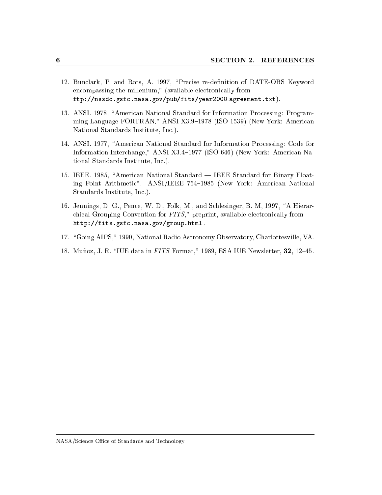- 12. Bunclark, P. and Rots, A. 1997, "Precise re-definition of DATE-OBS Keyword encompassing the millenium," (available electronically from ftp://nssdc.gsfc.nasa.gov/pub/fits/year2000 agreement.txt).
- 13. ANSI. 1978, "American National Standard for Information Processing: Programming Language FORTRAN," ANSI X3.9-1978 (ISO 1539) (New York: American National Standards Institute, Inc.).
- 14. ANSI. 1977, "American National Standard for Information Processing: Code for Information Interchange," ANSI X3.4-1977 (ISO 646) (New York: American National Standards Institute, Inc.).
- 15. IEEE. 1985, "American National Standard IEEE Standard for Binary Floating Point Arithmetic". ANSI/IEEE 754-1985 (New York: American National Standards Institute, Inc.).
- 16. Jennings, D. G., Pence, W. D., Folk, M., and Schlesinger, B. M, 1997, \A Hierarchical Grouping Convention for FITS," preprint, available electronically from http://fits.gsfc.nasa.gov/group.html .
- 17. "Going AIPS," 1990, National Radio Astronomy Observatory, Charlottesville, VA.
- 18. Muñoz, J. R. "IUE data in  $FITS$  Format," 1989, ESA IUE Newsletter, 32, 12-45.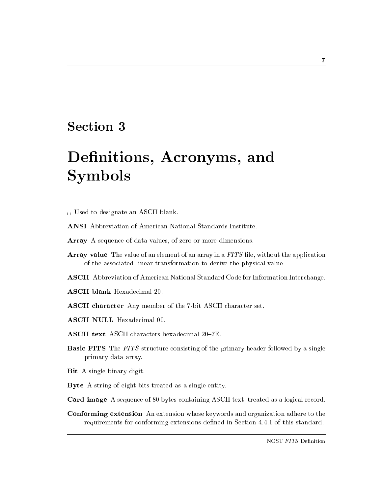## Section 3

# Definitions, Acronyms, and Symbols

Used to designate an ASCII blank.

- ANSI Abbreviation of American National Standards Institute.
- Array A sequence of data values, of zero or more dimensions.
- Array value The value of an element of an array in a FITS file, without the application of the associated linear transformation to derive the physical value.
- ASCII Abbreviation of American National Standard Code for Information Interchange.
- ASCII blank Hexadecimal 20.
- ASCII character Any member of the 7-bit ASCII character set.
- ASCII NULL Hexadecimal 00.
- ASCII text ASCII characters hexadecimal 20-7E.
- Basic FITS The FITS structure consisting of the primary header followed by a single primary data array.
- Bit A single binary digit.
- Byte A string of eight bits treated as a single entity.
- Card image A sequence of 80 bytes containing ASCII text, treated as a logical record.
- Conforming extension An extension whose keywords and organization adhere to the requirements for conforming extensions dened in Section 4.4.1 of this standard.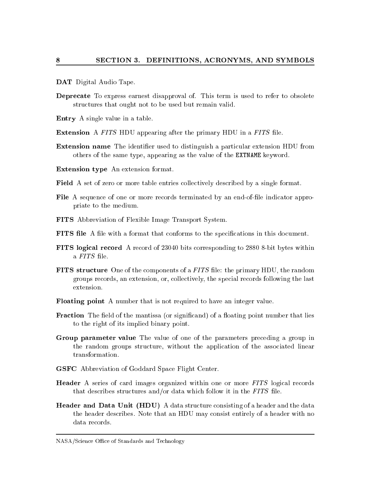DAT Digital Audio Tape.

- Deprecate To express earnest disapproval of. This term is used to refer to obsolete structures that ought not to be used but remain valid.
- Entry A single value in a table.

Extension A FITS HDU appearing after the primary HDU in a FITS file.

- **Extension name** The identifier used to distinguish a particular extension HDU from others of the same type, appearing as the value of the EXTNAME keyword.
- Extension type An extension format.
- Field A set of zero or more table entries collectively described by a single format.
- File A sequence of one or more records terminated by an end-of-file indicator appropriate to the medium.
- FITS Abbreviation of Flexible Image Transport System.
- FITS file A file with a format that conforms to the specifications in this document.
- FITS logical record A record of 23040 bits corresponding to 2880 8-bit bytes within a *FITS* file.
- **FITS structure** One of the components of a *FITS* file: the primary HDU, the random groups records, an extension, or, collectively, the special records following the last extension.
- Floating point A number that is not required to have an integer value.
- **Fraction** The field of the mantissa (or significand) of a floating point number that lies to the right of its implied binary point.
- Group parameter value The value of one of the parameters preceding a group in the random groups structure, without the application of the associated linear transformation.
- GSFC Abbreviation of Goddard Space Flight Center.
- Header A series of card images organized within one or more FITS logical records that describes structures and/or data which follow it in the  $FITS$  file.
- Header and Data Unit (HDU) A data structure consisting of a header and the data the header describes. Note that an HDU may consist entirely of a header with no data records.

### NASA/Science Office of Standards and Technology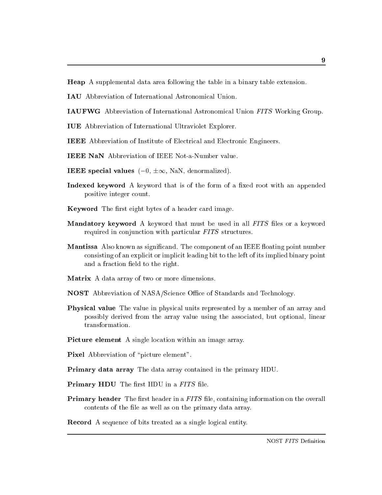Heap A supplemental data area following the table in a binary table extension.

- IAU Abbreviation of International Astronomical Union.
- IAUFWG Abbreviation of International Astronomical Union FITS Working Group.
- IUE Abbreviation of International Ultraviolet Explorer.
- IEEE Abbreviation of Institute of Electrical and Electronic Engineers.
- IEEE NaN Abbreviation of IEEE Not-a-Number value.
- IEEE special values  $(-0, \pm \infty, \text{NaN}, \text{denormalized}).$
- Indexed keyword A keyword that is of the form of a fixed root with an appended positive integer count.
- Keyword The first eight bytes of a header card image.
- Mandatory keyword A keyword that must be used in all FITS files or a keyword required in conjunction with particular FITS structures.
- Mantissa Also known as significand. The component of an IEEE floating point number consisting of an explicit or implicit leading bit to the left of its implied binary point and a fraction field to the right.
- Matrix A data array of two or more dimensions.
- **NOST** Abbreviation of NASA/Science Office of Standards and Technology.
- Physical value The value in physical units represented by a member of an array and possibly derived from the array value using the associated, but optional, linear transformation.
- Picture element A single location within an image array.
- Pixel Abbreviation of "picture element".
- Primary data array The data array contained in the primary HDU.
- **Primary HDU** The first HDU in a FITS file.
- Primary header The first header in a FITS file, containing information on the overall contents of the file as well as on the primary data array.

Record A sequence of bits treated as a single logical entity.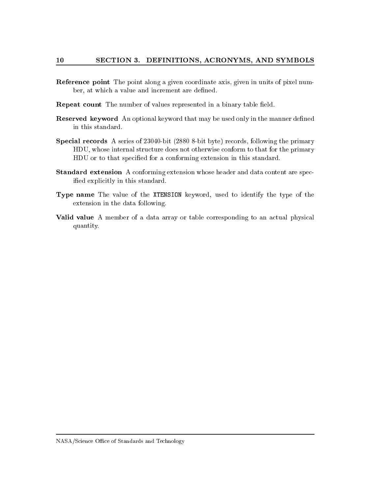- Reference point The point along a given coordinate axis, given in units of pixel number, at which a value and increment are defined.
- Repeat count The number of values represented in a binary table field.
- **Reserved keyword** An optional keyword that may be used only in the manner defined in this standard.
- Special records A series of 23040-bit (2880 8-bit byte) records, following the primary HDU, whose internal structure does not otherwise conform to that for the primary HDU or to that specied for a conforming extension in this standard.
- Standard extension A conforming extension whose header and data content are specied explicitly in this standard.
- Type name The value of the XTENSION keyword, used to identify the type of the extension in the data following.
- Valid value A member of a data array or table corresponding to an actual physical quantity.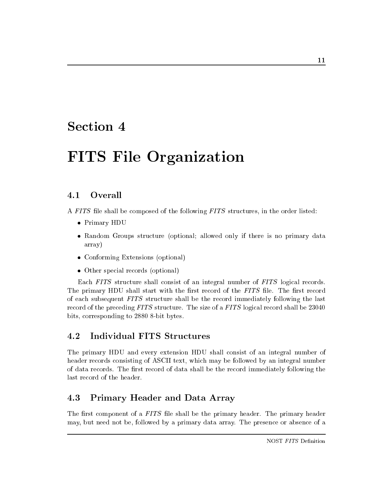## Section 4

# FITS File Organization

## 4.1 Overall

- A FITS file shall be composed of the following FITS structures, in the order listed:
	- Primary HDU
	- Random Groups structure (optional; allowed only if there is no primary data array)
	- Conforming Extensions (optional)
	- Other special records (optional)

Each FITS structure shall consist of an integral number of FITS logical records. The primary HDU shall start with the first record of the FITS file. The first record of each subsequent FITS structure shall be the record immediately following the last record of the preceding FITS structure. The size of a FITS logical record shall be 23040 bits, corresponding to 2880 8-bit bytes.

## 4.2 Individual FITS Structures

The primary HDU and every extension HDU shall consist of an integral number of header records consisting of ASCII text, which may be followed by an integral number of data records. The first record of data shall be the record immediately following the last record of the header.

### 4.3 4.3 Primary Header and Data Array

The first component of a FITS file shall be the primary header. The primary header may, but need not be, followed by a primary data array. The presence or absence of a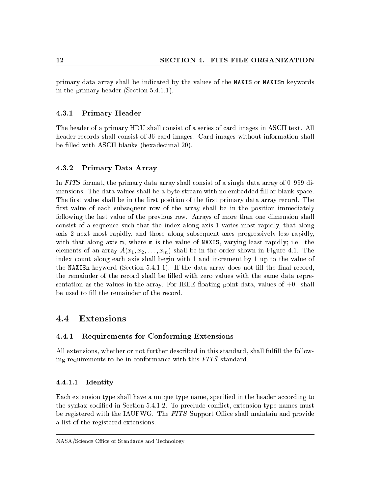primary data array shall be indicated by the values of the NAXIS or NAXISn keywords in the primary header (Section 5.4.1.1).

### 4.3.1 Primary Header

The header of a primary HDU shall consist of a series of card images in ASCII text. All header records shall consist of 36 card images. Card images without information shall be filled with ASCII blanks (hexadecimal 20).

### 4.3.2 Primary Data Array

In FITS format, the primary data array shall consist of a single data array of  $0$ –999 dimensions. The data values shall be a byte stream with no embedded fill or blank space. The first value shall be in the first position of the first primary data array record. The first value of each subsequent row of the array shall be in the position immediately following the last value of the previous row. Arrays of more than one dimension shall consist of a sequence such that the index along axis 1 varies most rapidly, that along axis 2 next most rapidly, and those along subsequent axes progressively less rapidly, with that along axis m, where m is the value of NAXIS, varying least rapidly; i.e., the elements of an array  $A(x_1, x_2, \ldots, x_m)$  shall be in the order shown in Figure 4.1. The index count along each axis shall begin with 1 and increment by 1 up to the value of the NAXISn keyword (Section  $5.4.1.1$ ). If the data array does not fill the final record, the remainder of the record shall be filled with zero values with the same data representation as the values in the array. For IEEE floating point data, values of  $+0$ . shall be used to fill the remainder of the record.

### 4.4 Extensions

### 4.4.1 Requirements for Conforming Extensions

All extensions, whether or not further described in this standard, shall fulfill the following requirements to be in conformance with this FITS standard.

### 4.4.1.1 Identity

Each extension type shall have a unique type name, specified in the header according to the syntax codified in Section 5.4.1.2. To preclude conflict, extension type names must be registered with the IAUFWG. The *FITS* Support Office shall maintain and provide a list of the registered extensions.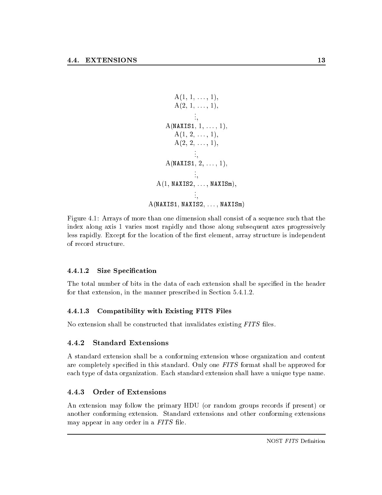A(1, 1, . . . , 1), A(2, 1, . . . , 1), ., A(NAXIS1, 1, . . . , 1), A(1, 2, . . . , 1), A(2, 2, . . . , 1), ., A(NAXIS1, 2, . . . , 1), ., A(1, NAXIS2, . . . , NAXISm), ., A(NAXIS1, NAXIS2, . . . , NAXISm)

Figure 4.1: Arrays of more than one dimension shall consist of a sequence such that the index along axis 1 varies most rapidly and those along subsequent axes progressively less rapidly. Except for the location of the first element, array structure is independent of record structure.

#### Size Specification  $4.4.1.2$

The total number of bits in the data of each extension shall be specified in the header for that extension, in the manner prescribed in Section 5.4.1.2.

## 4.4.1.3 Compatibility with Existing FITS Files

No extension shall be constructed that invalidates existing *FITS* files.

A standard extension shall be a conforming extension whose organization and content are completely specied in this standard. Only one FITS format shall be approved for each type of data organization. Each standard extension shall have a unique type name.

## 4.4.3 Order of Extensions

An extension may follow the primary HDU (or random groups records if present) or another conforming extension. Standard extensions and other conforming extensions may appear in any order in a FITS file.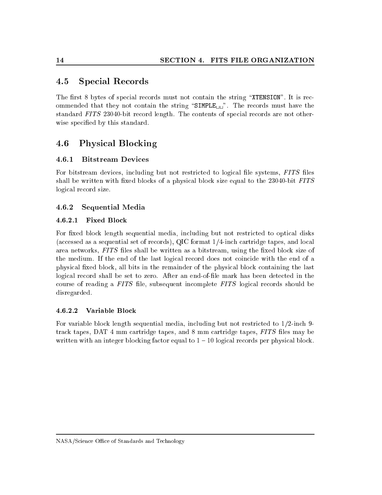## 4.5 Special Records

The first 8 bytes of special records must not contain the string "XTENSION". It is recommended that they not contain the string " $SIMPLE_{UL}$ ". The records must have the standard FITS 23040-bit record length. The contents of special records are not otherwise specified by this standard.

### 4.6 4.6 Physical Blocking

#### $4.6.1$ **Bitstream Devices**

For bitstream devices, including but not restricted to logical file systems, FITS files shall be written with fixed blocks of a physical block size equal to the 23040-bit FITS logical record size.

### 4.6.2 Sequential Media

### 4.6.2.1 Fixed Block

For fixed block length sequential media, including but not restricted to optical disks (accessed as a sequential set of records), QIC format 1/4-inch cartridge tapes, and local area networks, FITS files shall be written as a bitstream, using the fixed block size of the medium. If the end of the last logical record does not coincide with the end of a physical fixed block, all bits in the remainder of the physical block containing the last logical record shall be set to zero. After an end-of-le mark has been detected in the course of reading a FITS file, subsequent incomplete FITS logical records should be disregarded.

### 4.6.2.2 Variable Block

For variable block length sequential media, including but not restricted to 1/2-inch 9 track tapes, DAT 4 mm cartridge tapes, and 8 mm cartridge tapes, FITS files may be written with an integer blocking factor equal to  $1 - 10$  logical records per physical block.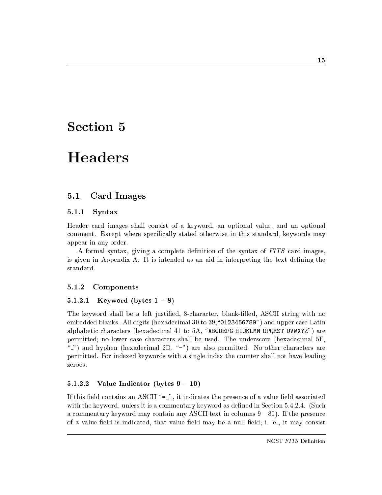## Section 5

# **Headers**

## 5.1 Card Images

### 5.1.1 Syntax

Header card images shall consist of a keyword, an optional value, and an optional comment. Except where specically stated otherwise in this standard, keywords may appear in any order.

A formal syntax, giving a complete definition of the syntax of FITS card images, is given in Appendix A. It is intended as an aid in interpreting the text dening the standard.

### 5.1.2 Components

### 5.1.2.1 Keyword (bytes  $1 - 8$ )

The keyword shall be a left justified, 8-character, blank-filled, ASCII string with no embedded blanks. All digits (hexadecimal  $30$  to  $39,$  "0123456789") and upper case Latin alphabetic characters (hexadecimal 41 to 5A, "ABCDEFG HIJKLMN OPQRST UVWXYZ") are permitted; no lower case characters shall be used. The underscore (hexadecimal 5F, " $\cdot$ ") and hyphen (hexadecimal 2D, "-") are also permitted. No other characters are permitted. For indexed keywords with a single index the counter shall not have leading zeroes.

### 5.1.2.2 Value Indicator (bytes  $9 - 10$ )

If this field contains an ASCII " $=$ <sub>"</sub>", it indicates the presence of a value field associated with the keyword, unless it is a commentary keyword as defined in Section 5.4.2.4. (Such a commentary keyword may contain any ASCII text in columns  $9 - 80$ . If the presence of a value field is indicated, that value field may be a null field; i. e., it may consist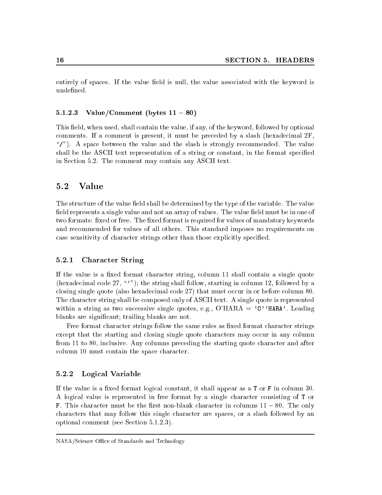entirely of spaces. If the value field is null, the value associated with the keyword is undefined.

#### 5.1.2.3 Value/Comment (bytes  $11 - 80$ )

This field, when used, shall contain the value, if any, of the keyword, followed by optional comments. If a comment is present, it must be preceded by a slash (hexadecimal 2F,  $\gamma$ "). A space between the value and the slash is strongly recommended. The value shall be the ASCII text representation of a string or constant, in the format specied in Section 5.2. The comment may contain any ASCII text.

#### $5.2$ Value

The structure of the value field shall be determined by the type of the variable. The value field represents a single value and not an array of values. The value field must be in one of two formats: fixed or free. The fixed format is required for values of mandatory keywords and recommended for values of all others. This standard imposes no requirements on case sensitivity of character strings other than those explicitly specied.

### 5.2.1 Character String

If the value is a fixed format character string, column 11 shall contain a single quote (hexadecimal code 27, ""); the string shall follow, starting in column 12, followed by a closing single quote (also hexadecimal code 27) that must occur in or before column 80. The character string shall be composed only of ASCII text. A single quote is represented within a string as two successive single quotes, e.g., O'HARA = ' $0'$ 'HARA'. Leading blanks are signicant; trailing blanks are not.

Free format character strings follow the same rules as fixed format character strings except that the starting and closing single quote characters may occur in any column from 11 to 80, inclusive. Any columns preceding the starting quote character and after column 10 must contain the space character.

### 5.2.2 Logical Variable

If the value is a fixed format logical constant, it shall appear as a  $T$  or  $F$  in column 30. A logical value is represented in free format by a single character consisting of T or F. This character must be the first non-blank character in columns  $11 - 80$ . The only characters that may follow this single character are spaces, or a slash followed by an optional comment (see Section 5.1.2.3).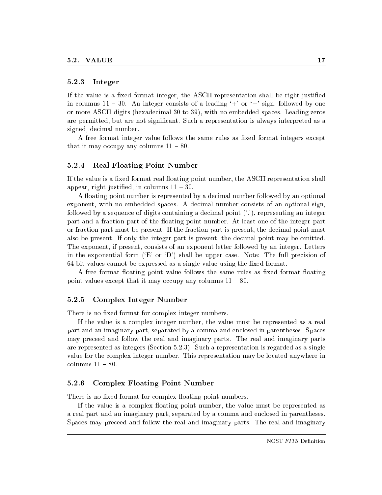### 5.2.3 Integer

If the value is a fixed format integer, the ASCII representation shall be right justified in columns  $11 - 30$ . An integer consists of a leading  $+$  or  $-$  sign, followed by one or more ASCII digits (hexadecimal 30 to 39), with no embedded spaces. Leading zeros are permitted, but are not significant. Such a representation is always interpreted as a signed, decimal number.

A free format integer value follows the same rules as fixed format integers except that it may occupy any columns  $11 - 80$ .

### 5.2.4 Real Floating Point Number

If the value is a fixed format real floating point number, the ASCII representation shall appear, right justified, in columns  $11 - 30$ .

A floating point number is represented by a decimal number followed by an optional exponent, with no embedded spaces. A decimal number consists of an optional sign, followed by a sequence of digits containing a decimal point (`.'), representing an integer part and a fraction part of the floating point number. At least one of the integer part or fraction part must be present. If the fraction part is present, the decimal point must also be present. If only the integer part is present, the decimal point may be omitted. The exponent, if present, consists of an exponent letter followed by an integer. Letters in the exponential form  $(E'$  or  $(D')$  shall be upper case. Note: The full precision of 64-bit values cannot be expressed as a single value using the fixed format.

A free format floating point value follows the same rules as fixed format floating point values except that it may occupy any columns  $11 - 80$ .

### 5.2.5 Complex Integer Number

There is no fixed format for complex integer numbers.

If the value is a complex integer number, the value must be represented as a real part and an imaginary part, separated by a comma and enclosed in parentheses. Spaces may preceed and follow the real and imaginary parts. The real and imaginary parts are represented as integers (Section 5.2.3). Such a representation is regarded as a single value for the complex integer number. This representation may be located anywhere in columns  $11 - 80$ .

### 5.2.6 Complex Floating Point Number

There is no fixed format for complex floating point numbers.

If the value is a complex floating point number, the value must be represented as a real part and an imaginary part, separated by a comma and enclosed in parentheses. Spaces may preceed and follow the real and imaginary parts. The real and imaginary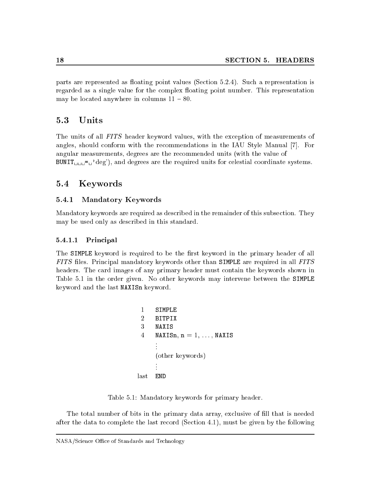parts are represented as floating point values (Section 5.2.4). Such a representation is regarded as a single value for the complex floating point number. This representation may be located anywhere in columns  $11 - 80$ .

#### $5.3$ Units

The units of all FITS header keyword values, with the exception of measurements of angles, should conform with the recommendations in the IAU Style Manual [7]. For angular measurements, degrees are the recommended units (with the value of BUNIT<sub>LILI-L</sub>' deg'), and degrees are the required units for celestial coordinate systems.

## 5.4 Keywords

#### 5.4.1 5.4.1 Mandatory Keywords

Mandatory keywords are required as described in the remainder of this subsection. They may be used only as described in this standard.

### 5.4.1.1 Principal

The SIMPLE keyword is required to be the first keyword in the primary header of all FITS files. Principal mandatory keywords other than SIMPLE are required in all FITS headers. The card images of any primary header must contain the keywords shown in Table 5.1 in the order given. No other keywords may intervene between the SIMPLE keyword and the last NAXISn keyword.

```
1 SIMPLE
 2 BITPIX
 3 NAXIS
 \overline{4}NAXISn, n = 1, ..., NAXIS(other keywords)
last
     END
```
Table 5.1: Mandatory keywords for primary header.

The total number of bits in the primary data array, exclusive of fill that is needed after the data to complete the last record (Section 4.1), must be given by the following

NASA/Science Office of Standards and Technology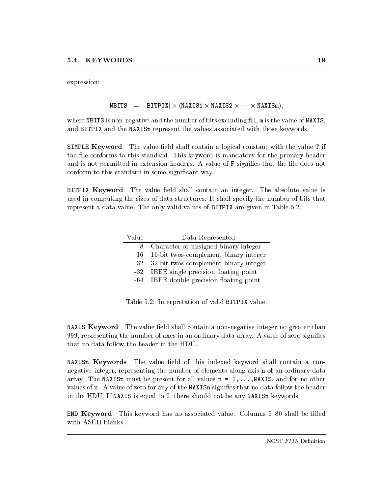expression:

$$
\mathtt{NBITS} \hspace{2.3mm} = \hspace{2.3mm} |\mathtt{BITPLY}| \times (\mathtt{MAXIS1} \times \mathtt{MAXIS2} \times \cdots \times \mathtt{MAXISm}),
$$

where NBITS is non-negative and the number of bits excluding fill, m is the value of NAXIS, and BITPIX and the NAXISn represent the values associated with those keywords.

**SIMPLE Keyword** The value field shall contain a logical constant with the value  $T$  if the file conforms to this standard. This keyword is mandatory for the primary header and is not permitted in extension headers. A value of F signifies that the file does not conform to this standard in some signicant way.

BITPIX Keyword The value field shall contain an integer. The absolute value is used in computing the sizes of data structures. It shall specify the number of bits that represent a data value. The only valid values of BITPIX are given in Table 5.2.

| Value | Data Represented                         |
|-------|------------------------------------------|
|       | 8 Character or unsigned binary integer   |
| 16 -  | 16-bit twos-complement binary integer    |
| 32    | 32-bit twos-complement binary integer    |
| -32   | IEEE single precision floating point     |
|       | -64 IEEE double precision floating point |
|       |                                          |

Table 5.2: Interpretation of valid BITPIX value.

**NAXIS Keyword** The value field shall contain a non-negative integer no greater than 999, representing the number of axes in an ordinary data array. A value of zero signies that no data follow the header in the HDU.

NAXISn Keywords The value field of this indexed keyword shall contain a nonnegative integer, representing the number of elements along axis n of an ordinary data array. The NAXIS n must be present for all values  $n = 1, \ldots, NAXIS$ , and for no other values of n. A value of zero for any of the NAXISn signifies that no data follow the header in the HDU. If NAXIS is equal to 0, there should not be any NAXISn keywords.

END Keyword This keyword has no associated value. Columns  $9-80$  shall be filled with ASCII blanks.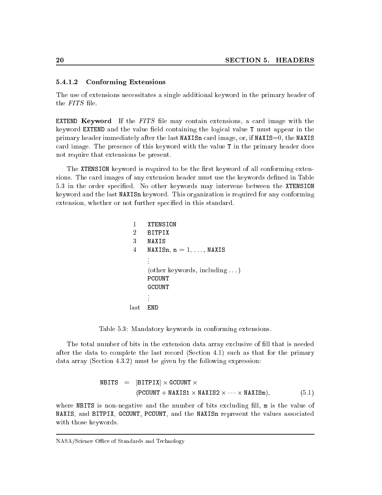### 5.4.1.2 Conforming Extensions

The use of extensions necessitates a single additional keyword in the primary header of the FITS file.

**EXTEND Keyword** If the FITS file may contain extensions, a card image with the keyword EXTEND and the value field containing the logical value T must appear in the primary header immediately after the last NAXISn card image, or, if NAXIS=0, the NAXIS card image. The presence of this keyword with the value T in the primary header does not require that extensions be present.

The XTENSION keyword is required to be the first keyword of all conforming extensions. The card images of any extension header must use the keywords defined in Table 5.3 in the order specied. No other keywords may intervene between the XTENSION keyword and the last NAXISn keyword. This organization is required for any conforming extension, whether or not further specified in this standard.

```
\mathbf{1}XTENSION
 \overline{2}BITPIX
 3
       NAXIS
       NAXISn, n = 1, ..., NAXIS\overline{4}(other keywords, including . . . )
       PCOUNT
       GCOUNT
last END
```
Table 5.3: Mandatory keywords in conforming extensions.

The total number of bits in the extension data array exclusive of fill that is needed after the data to complete the last record (Section 4.1) such as that for the primary data array (Section 4.3.2) must be given by the following expression:

$$
NBITS = |BITPIX| \times GCOUNT \times
$$
  
(
$$
(PCOUNT + NAXIS1 \times NAXIS2 \times \cdots \times NAXISm),
$$
 (5.1)

where NBITS is non-negative and the number of bits excluding fill, m is the value of NAXIS, and BITPIX, GCOUNT, PCOUNT, and the NAXISn represent the values associated with those keywords.

### NASA/Science Office of Standards and Technology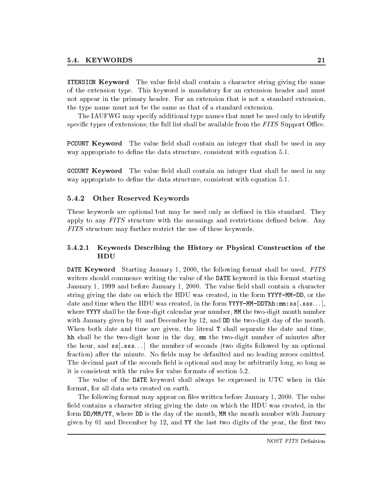XTENSION Keyword The value field shall contain a character string giving the name of the extension type. This keyword is mandatory for an extension header and must not appear in the primary header. For an extension that is not a standard extension, the type name must not be the same as that of a standard extension.

The IAUFWG may specify additional type names that must be used only to identify specific types of extensions; the full list shall be available from the  $FITS$  Support Office.

**PCOUNT Keyword** The value field shall contain an integer that shall be used in any way appropriate to define the data structure, consistent with equation 5.1.

GCOUNT Keyword The value field shall contain an integer that shall be used in any way appropriate to define the data structure, consistent with equation 5.1.

### 5.4.2 Other Reserved Keywords

These keywords are optional but may be used only as defined in this standard. They apply to any FITS structure with the meanings and restrictions defined below. Any FITS structure may further restrict the use of these keywords.

### 5.4.2.1 Keywords Describing the History or Physical Construction of the HDU

DATE Keyword Starting January 1, 2000, the following format shall be used. FITS writers should commence writing the value of the DATE keyword in this format starting January 1, 1999 and before January 1, 2000. The value field shall contain a character string giving the date on which the HDU was created, in the form YYYY-MM-DD, or the date and time when the HDU was created, in the form YYYY-MM-DDThh:mm:ss[.sss...], where YYYY shall be the four-digit calendar year number, MM the two-digit month number with January given by 01 and December by 12, and DD the two-digit day of the month. When both date and time are given, the literal T shall separate the date and time, hh shall be the two-digit hour in the day, mm the two-digit number of minutes after the hour, and  $ss[ssss...]$  the number of seconds (two digits followed by an optional fraction) after the minute. No fields may be defaulted and no leading zeroes omitted. The decimal part of the seconds field is optional and may be arbitrarily long, so long as it is consistent with the rules for value formats of section 5.2.

The value of the DATE keyword shall always be expressed in UTC when in this format, for all data sets created on earth.

The following format may appear on files written before January 1, 2000. The value field contains a character string giving the date on which the HDU was created, in the form DD/MM/YY, where DD is the day of the month, MM the month number with January given by  $01$  and December by 12, and YY the last two digits of the year, the first two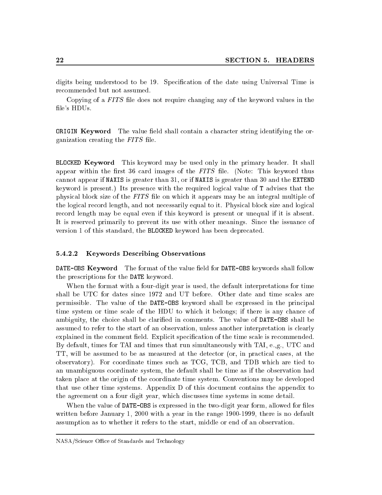digits being understood to be 19. Specification of the date using Universal Time is recommended but not assumed.

Copying of a FITS file does not require changing any of the keyword values in the file's HDUs.

**ORIGIN Keyword** The value field shall contain a character string identifying the organization creating the *FITS* file.

BLOCKED Keyword This keyword may be used only in the primary header. It shall appear within the first 36 card images of the  $FITS$  file. (Note: This keyword thus cannot appear if NAXIS is greater than 31, or if NAXIS is greater than 30 and the EXTEND keyword is present.) Its presence with the required logical value of T advises that the physical block size of the FITS file on which it appears may be an integral multiple of the logical record length, and not necessarily equal to it. Physical block size and logical record length may be equal even if this keyword is present or unequal if it is absent. It is reserved primarily to prevent its use with other meanings. Since the issuance of version 1 of this standard, the BLOCKED keyword has been deprecated.

### 5.4.2.2 Keywords Describing Observations

DATE-OBS Keyword The format of the value field for DATE-OBS keywords shall follow the prescriptions for the DATE keyword.

When the format with a four-digit year is used, the default interpretations for time shall be UTC for dates since 1972 and UT before. Other date and time scales are permissible. The value of the DATE-OBS keyword shall be expressed in the principal time system or time scale of the HDU to which it belongs; if there is any chance of ambiguity, the choice shall be clarified in comments. The value of DATE-0BS shall be assumed to refer to the start of an observation, unless another interpretation is clearly explained in the comment field. Explicit specification of the time scale is recommended. By default, times for TAI and times that run simultaneously with TAI, e.,g., UTC and TT, will be assumed to be as measured at the detector (or, in practical cases, at the observatory). For coordinate times such as TCG, TCB, and TDB which are tied to an unambiguous coordinate system, the default shall be time as if the observation had taken place at the origin of the coordinate time system. Conventions may be developed that use other time systems. Appendix D of this document contains the appendix to the agreement on a four digit year, which discusses time systems in some detail.

When the value of DATE-OBS is expressed in the two-digit year form, allowed for files written before January 1, 2000 with a year in the range 1900-1999, there is no default assumption as to whether it refers to the start, middle or end of an observation.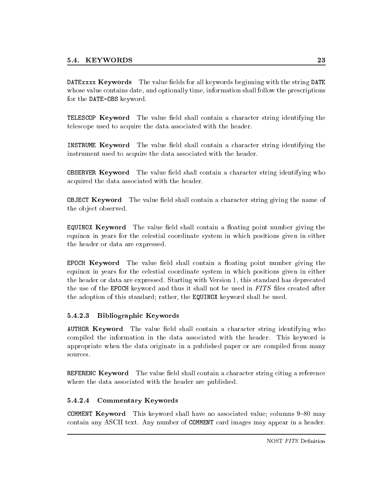DATExxxx Keywords The value fields for all keywords beginning with the string DATE whose value contains date, and optionally time, information shall follow the prescriptions for the DATE-OBS keyword.

**TELESCOP Keyword** The value field shall contain a character string identifying the telescope used to acquire the data associated with the header.

**INSTRUME Keyword** The value field shall contain a character string identifying the instrument used to acquire the data associated with the header.

**OBSERVER Keyword** The value field shall contain a character string identifying who acquired the data associated with the header.

**OBJECT Keyword** The value field shall contain a character string giving the name of the object observed.

 $EQUINOX$  Keyword The value field shall contain a floating point number giving the equinox in years for the celestial coordinate system in which positions given in either the header or data are expressed.

EPOCH Keyword The value field shall contain a floating point number giving the equinox in years for the celestial coordinate system in which positions given in either the header or data are expressed. Starting with Version 1, this standard has deprecated the use of the EPOCH keyword and thus it shall not be used in FITS files created after the adoption of this standard; rather, the EQUINOX keyword shall be used.

## 5.4.2.3 Bibliographic Keywords

AUTHOR Keyword The value field shall contain a character string identifying who compiled the information in the data associated with the header. This keyword is appropriate when the data originate in a published paper or are compiled from many sources.

REFERENC Keyword The value field shall contain a character string citing a reference where the data associated with the header are published.

## 5.4.2.4 Commentary Keywords

COMMENT Keyword This keyword shall have no associated value; columns  $9-80$  may contain any ASCII text. Any number of COMMENT card images may appear in a header.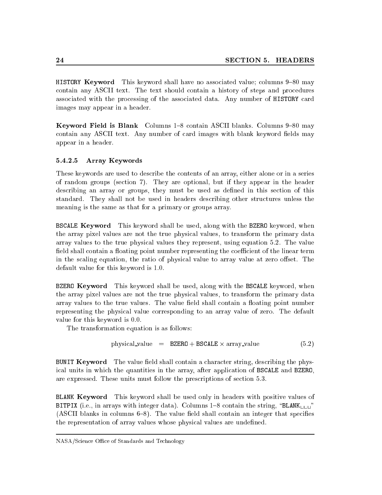HISTORY Keyword This keyword shall have no associated value; columns 9-80 may contain any ASCII text. The text should contain a history of steps and procedures associated with the processing of the associated data. Any number of HISTORY card images may appear in a header.

Keyword Field is Blank Columns  $1-8$  contain ASCII blanks. Columns  $9-80$  may contain any ASCII text. Any number of card images with blank keyword fields may appear in a header.

#### 5.4.2.5 5.4.2.5 Array Keywords

These keywords are used to describe the contents of an array, either alone or in a series of random groups (section 7). They are optional, but if they appear in the header describing an array or groups, they must be used as defined in this section of this standard. They shall not be used in headers describing other structures unless the meaning is the same as that for a primary or groups array.

BSCALE Keyword This keyword shall be used, along with the BZERO keyword, when the array pixel values are not the true physical values, to transform the primary data array values to the true physical values they represent, using equation 5.2. The value field shall contain a floating point number representing the coefficient of the linear term in the scaling equation, the ratio of physical value to array value at zero offset. The default value for this keyword is 1.0.

BZERO Keyword This keyword shall be used, along with the BSCALE keyword, when the array pixel values are not the true physical values, to transform the primary data array values to the true values. The value field shall contain a floating point number representing the physical value corresponding to an array value of zero. The default value for this keyword is 0.0.

The transformation equation is as follows:

$$
physical_value = BZERO + BSCALE \times array_value
$$
 (5.2)

BUNIT  $\bf{Keyword}$  The value field shall contain a character string, describing the physical units in which the quantities in the array, after application of BSCALE and BZERO, are expressed. These units must follow the prescriptions of section 5.3.

BLANK Keyword This keyword shall be used only in headers with positive values of BITPIX (i.e., in arrays with integer data). Columns 1-8 contain the string, "BLANK  $\Box$ (ASCII blanks in columns  $6-8$ ). The value field shall contain an integer that specifies the representation of array values whose physical values are undefined.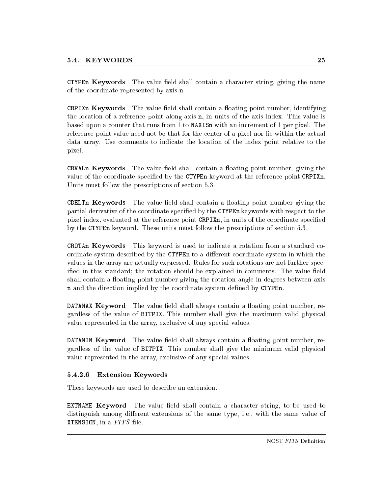**CTYPEn Keywords** The value field shall contain a character string, giving the name of the coordinate represented by axis n.

**CRPIXn Keywords** The value field shall contain a floating point number, identifying the location of a reference point along axis n, in units of the axis index. This value is based upon a counter that runs from 1 to NAXISn with an increment of 1 per pixel. The reference point value need not be that for the center of a pixel nor lie within the actual data array. Use comments to indicate the location of the index point relative to the pixel.

**CRVALn Keywords** The value field shall contain a floating point number, giving the value of the coordinate specified by the CTYPEn keyword at the reference point CRPIXn. Units must follow the prescriptions of section 5.3.

CDELTn  $Keywords$  The value field shall contain a floating point number giving the partial derivative of the coordinate specied by the CTYPEn keywords with respect to the pixel index, evaluated at the reference point CRPIXn, in units of the coordinate specied by the CTYPEn keyword. These units must follow the prescriptions of section 5.3.

CROTAn Keywords This keyword is used to indicate a rotation from a standard coordinate system described by the CTYPEn to a different coordinate system in which the values in the array are actually expressed. Rules for such rotations are not further specified in this standard; the rotation should be explained in comments. The value field shall contain a floating point number giving the rotation angle in degrees between axis n and the direction implied by the coordinate system defined by CTYPEn.

 $\Delta$ DATAMAX Keyword The value field shall always contain a floating point number, regardless of the value of BITPIX. This number shall give the maximum valid physical value represented in the array, exclusive of any special values.

DATAMIN Keyword The value field shall always contain a floating point number, regardless of the value of BITPIX. This number shall give the minimum valid physical value represented in the array, exclusive of any special values.

#### $5.4.2.6$ **Extension Keywords**

These keywords are used to describe an extension.

**EXTNAME Keyword** The value field shall contain a character string, to be used to distinguish among different extensions of the same type, i.e., with the same value of XTENSION, in a  $FITS$  file.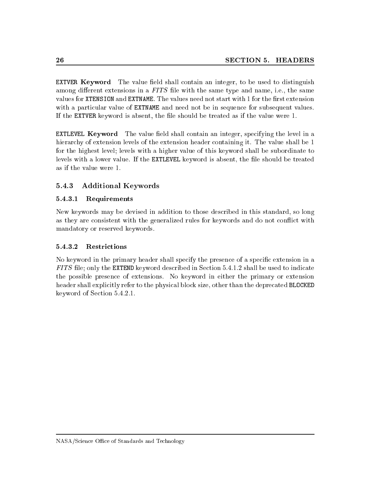**EXTVER Keyword** The value field shall contain an integer, to be used to distinguish among different extensions in a  $FITS$  file with the same type and name, i.e., the same values for XTENSION and EXTNAME. The values need not start with 1 for the first extension with a particular value of **EXTNAME** and need not be in sequence for subsequent values. If the EXTVER keyword is absent, the file should be treated as if the value were 1.

**EXTLEVEL Keyword** The value field shall contain an integer, specifying the level in a hierarchy of extension levels of the extension header containing it. The value shall be 1 for the highest level; levels with a higher value of this keyword shall be subordinate to levels with a lower value. If the **EXTLEVEL** keyword is absent, the file should be treated as if the value were 1.

## 5.4.3 Additional Keywords

### 5.4.3.1 Requirements

New keywords may be devised in addition to those described in this standard, so long as they are consistent with the generalized rules for keywords and do not conflict with mandatory or reserved keywords.

#### 5.4.3.2 Restrictions

No keyword in the primary header shall specify the presence of a specic extension in a  $FITS$  file; only the EXTEND keyword described in Section 5.4.1.2 shall be used to indicate the possible presence of extensions. No keyword in either the primary or extension header shall explicitly refer to the physical block size, other than the deprecated BLOCKED keyword of Section 5.4.2.1.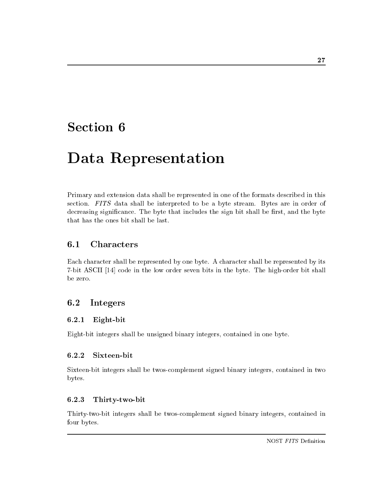## Section 6

# Data Representation

Primary and extension data shall be represented in one of the formats described in this section. FITS data shall be interpreted to be a byte stream. Bytes are in order of decreasing significance. The byte that includes the sign bit shall be first, and the byte that has the ones bit shall be last.

Each character shall be represented by one byte. A character shall be represented by its 7-bit ASCII [14] code in the low order seven bits in the byte. The high-order bit shall be zero.

#### $6.2$ **Integers**

## 6.2.1 Eight-bit

Eight-bit integers shall be unsigned binary integers, contained in one byte.

## 6.2.2 Sixteen-bit

Sixteen-bit integers shall be twos-complement signed binary integers, contained in two bytes.

#### 6.2.3 Thirty-two-bit

Thirty-two-bit integers shall be twos-complement signed binary integers, contained in four bytes.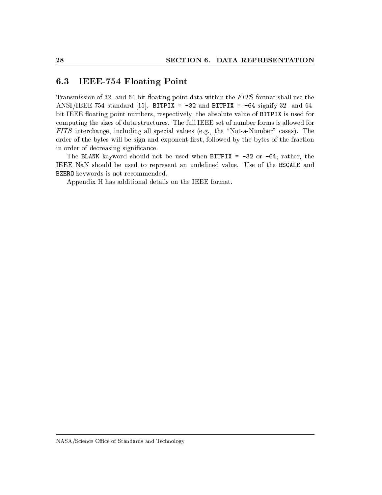#### 6.3 IEEE-754 Floating Point

Transmission of 32- and 64-bit floating point data within the  $FITS$  format shall use the ANSI/IEEE-754 standard [15]. BITPIX = -32 and BITPIX = -64 signify 32- and 64bit IEEE floating point numbers, respectively; the absolute value of BITPIX is used for computing the sizes of data structures. The full IEEE set of number forms is allowed for  $FITS$  interchange, including all special values (e.g., the "Not-a-Number" cases). The order of the bytes will be sign and exponent first, followed by the bytes of the fraction in order of decreasing signicance.

The BLANK keyword should not be used when BITPIX =  $-32$  or  $-64$ ; rather, the IEEE NaN should be used to represent an undefined value. Use of the BSCALE and BZERO keywords is not recommended.

Appendix H has additional details on the IEEE format.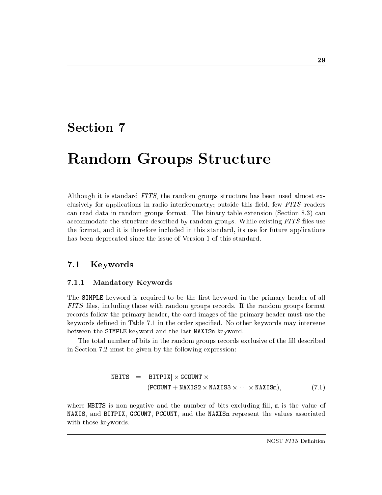## Section 7

# Random Groups Structure

Although it is standard FITS, the random groups structure has been used almost exclusively for applications in radio interferometry; outside this field, few  $FITS$  readers can read data in random groups format. The binary table extension (Section 8.3) can accommodate the structure described by random groups. While existing FITS files use the format, and it is therefore included in this standard, its use for future applications has been deprecated since the issue of Version 1 of this standard.

## 7.1 Keywords

#### 7.1.1 Mandatory Keywords

The SIMPLE keyword is required to be the first keyword in the primary header of all FITS files, including those with random groups records. If the random groups format records follow the primary header, the card images of the primary header must use the keywords defined in Table 7.1 in the order specified. No other keywords may intervene between the SIMPLE keyword and the last NAXISn keyword.

The total number of bits in the random groups records exclusive of the fill described in Section 7.2 must be given by the following expression:

$$
\begin{array}{lll} \mathtt{NBITS} & = & |\mathtt{BITPIX}| \times \mathtt{GCOUNT} \times \\ & & (\mathtt{PGUNIT} + \mathtt{NAXIS2} \times \mathtt{NAXIS3} \times \cdots \times \mathtt{NAXISm}), \end{array} \tag{7.1}
$$

where NBITS is non-negative and the number of bits excluding fill, m is the value of NAXIS, and BITPIX, GCOUNT, PCOUNT, and the NAXISn represent the values associated with those keywords.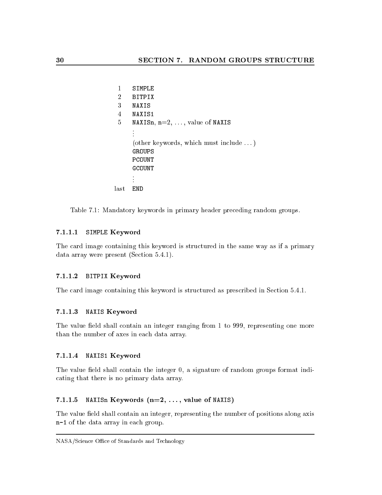```
1 SIMPLE
 2 BITPIX
 3 NAXIS
 5 NAXISn, n=2, \ldots, value of NAXIS
     (other keywords, which must include . . . )
     GROUPS
     PCOUNT
     GCOUNT
      .
.
last END
```
Table 7.1: Mandatory keywords in primary header preceding random groups.

#### $7.1.1.1$ SIMPLE Keyword

The card image containing this keyword is structured in the same way as if a primary data array were present (Section 5.4.1).

#### 7.1.1.2 BITPIX Keyword

The card image containing this keyword is structured as prescribed in Section 5.4.1.

#### 7.1.1.3 NAXIS Keyword

The value field shall contain an integer ranging from 1 to 999, representing one more than the number of axes in each data array.

#### 7.1.1.4 NAXIS1 Keyword

The value field shall contain the integer  $0$ , a signature of random groups format indicating that there is no primary data array.

#### 7.1.1.5 NAXISn Keywords  $(n=2, \ldots,$  value of NAXIS)

The value field shall contain an integer, representing the number of positions along axis n-1 of the data array in each group.

#### NASA/Science Office of Standards and Technology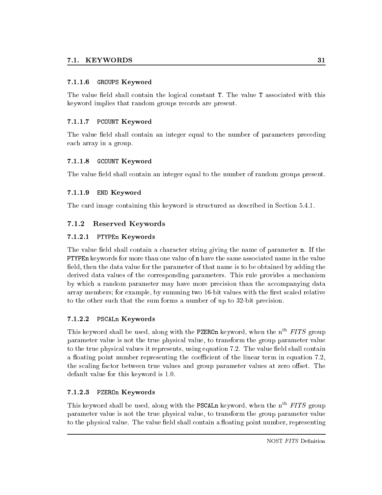## 7.1.1.6 GROUPS Keyword

The value field shall contain the logical constant T. The value T associated with this keyword implies that random groups records are present.

## 7.1.1.7 PCOUNT Keyword

The value field shall contain an integer equal to the number of parameters preceding each array in a group.

## 7.1.1.8 GCOUNT Keyword

The value field shall contain an integer equal to the number of random groups present.

## 7.1.1.9 END Keyword

The card image containing this keyword is structured as described in Section 5.4.1.

## 7.1.2 Reserved Keywords

## 7.1.2.1 PTYPEn Keywords

The value field shall contain a character string giving the name of parameter **n**. If the PTYPEn keywords for more than one value of n have the same associated name in the value field, then the data value for the parameter of that name is to be obtained by adding the derived data values of the corresponding parameters. This rule provides a mechanism by which a random parameter may have more precision than the accompanying data array members; for example, by summing two 16-bit values with the first scaled relative to the other such that the sum forms a number of up to 32-bit precision.

## 7.1.2.2 PSCALn Keywords

This keyword shall be used, along with the PZEROn keyword, when the  $n<sup>th</sup> FITS$  group parameter value is not the true physical value, to transform the group parameter value to the true physical values it represents, using equation 7.2. The value field shall contain a floating point number representing the coefficient of the linear term in equation 7.2, the scaling factor between true values and group parameter values at zero offset. The default value for this keyword is 1.0.

## 7.1.2.3 PZEROn Keywords

This keyword shall be used, along with the PSCALn keyword, when the  $n^{th}$  FITS group parameter value is not the true physical value, to transform the group parameter value to the physical value. The value field shall contain a floating point number, representing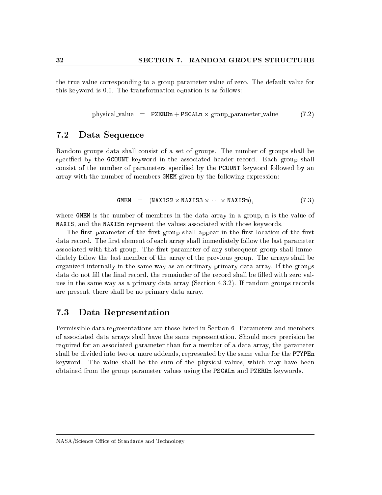the true value corresponding to a group parameter value of zero. The default value for this keyword is 0.0. The transformation equation is as follows:

$$
physical_value = PZEROn + PSCALn \times group-parameter_value
$$
 (7.2)

#### $7.2$ Data Sequence

Random groups data shall consist of a set of groups. The number of groups shall be specied by the GCOUNT keyword in the associated header record. Each group shall consist of the number of parameters specified by the PCOUNT keyword followed by an array with the number of members GMEM given by the following expression:

$$
GMEM = (NAXIS2 \times NAXIS3 \times \cdots \times NAXISm), \qquad (7.3)
$$

where **GMEM** is the number of members in the data array in a group, m is the value of NAXIS, and the NAXISn represent the values associated with those keywords.

The first parameter of the first group shall appear in the first location of the first data record. The first element of each array shall immediately follow the last parameter associated with that group. The first parameter of any subsequent group shall immediately follow the last member of the array of the previous group. The arrays shall be organized internally in the same way as an ordinary primary data array. If the groups data do not fill the final record, the remainder of the record shall be filled with zero values in the same way as a primary data array (Section 4.3.2). If random groups records are present, there shall be no primary data array.

#### 7.3 Data Representation

Permissible data representations are those listed in Section 6. Parameters and members of associated data arrays shall have the same representation. Should more precision be required for an associated parameter than for a member of a data array, the parameter shall be divided into two or more addends, represented by the same value for the PTYPEn keyword. The value shall be the sum of the physical values, which may have been obtained from the group parameter values using the PSCALn and PZEROn keywords.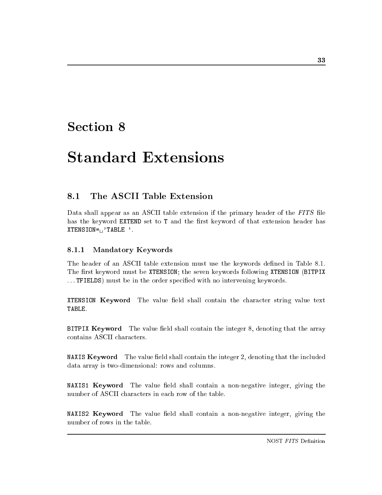## Section 8

# **Standard Extensions**

#### 8.1 The ASCII Table Extension

Data shall appear as an ASCII table extension if the primary header of the FITS file has the keyword EXTEND set to T and the first keyword of that extension header has  $XTENSION=$  'TABLE '.

## 8.1.1 Mandatory Keywords

The header of an ASCII table extension must use the keywords defined in Table 8.1. The first keyword must be XTENSION; the seven keywords following XTENSION (BITPIX ... TFIELDS) must be in the order specified with no intervening keywords.

XTENSION Keyword The value field shall contain the character string value text TABLE.

**BITPIX Keyword** The value field shall contain the integer  $8$ , denoting that the array contains ASCII characters.

NAXIS  $Keyword$  The value field shall contain the integer 2, denoting that the included data array is two-dimensional: rows and columns.

NAXIS1 Keyword The value field shall contain a non-negative integer, giving the number of ASCII characters in each row of the table.

NAXIS2 Keyword The value field shall contain a non-negative integer, giving the number of rows in the table.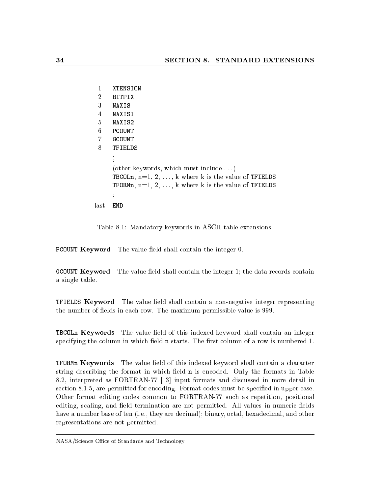```
1 XTENSION
 2 BITPIX
 3 NAXIS
 4 NAXIS1
 6 PCOUNT
 7 GCOUNT
 8
     TFIELDS
     (other keywords, which must include . . . )
     TBCOLn, n=1, 2, \ldots, k where k is the value of TFIELDS
     TFORMn, n=1, 2, \ldots, k where k is the value of TFIELDS
last END
```
Table 8.1: Mandatory keywords in ASCII table extensions.

**PCOUNT Keyword** The value field shall contain the integer 0.

 $GCUNT$  Keyword The value field shall contain the integer 1; the data records contain a single table.

**TFIELDS Keyword** The value field shall contain a non-negative integer representing the number of fields in each row. The maximum permissible value is 999.

TBCOLn Keywords The value field of this indexed keyword shall contain an integer specifying the column in which field  $n$  starts. The first column of a row is numbered 1.

**TFORMn Keywords** The value field of this indexed keyword shall contain a character string describing the format in which field  $n$  is encoded. Only the formats in Table 8.2, interpreted as FORTRAN-77 [13] input formats and discussed in more detail in section 8.1.5, are permitted for encoding. Format codes must be specified in upper case. Other format editing codes common to FORTRAN-77 such as repetition, positional editing, scaling, and field termination are not permitted. All values in numeric fields have a number base of ten (i.e., they are decimal); binary, octal, hexadecimal, and other representations are not permitted.

NASA/Science Office of Standards and Technology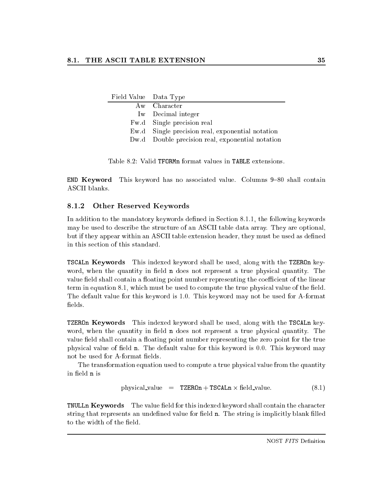| Field Value – Data Type                          |
|--------------------------------------------------|
| Aw Character                                     |
| Iw Decimal integer                               |
| Fw.d Single precision real                       |
| Ew.d Single precision real, exponential notation |
| Dw.d Double precision real, exponential notation |
|                                                  |

Table 8.2: Valid TFORMn format values in TABLE extensions.

END Kevword This keyword has no associated value. Columns 9-80 shall contain ASCII blanks.

#### 8.1.2 Other Reserved Keywords

In addition to the mandatory keywords dened in Section 8.1.1, the following keywords may be used to describe the structure of an ASCII table data array. They are optional, but if they appear within an ASCII table extension header, they must be used as defined in this section of this standard.

TSCALn Keywords This indexed keyword shall be used, along with the TZEROn keyword, when the quantity in field **n** does not represent a true physical quantity. The value field shall contain a floating point number representing the coefficient of the linear term in equation 8.1, which must be used to compute the true physical value of the field. The default value for this keyword is 1.0. This keyword may not be used for A-format fields.

TZEROn Keywords This indexed keyword shall be used, along with the TSCALn keyword, when the quantity in field  $n$  does not represent a true physical quantity. The value field shall contain a floating point number representing the zero point for the true physical value of field  $n$ . The default value for this keyword is 0.0. This keyword may not be used for A-format fields.

The transformation equation used to compute a true physical value from the quantity in field n is

$$
physical\_value = TZEROn + TSCALn \times field\_value. \tag{8.1}
$$

TNULLn Keywords The value field for this indexed keyword shall contain the character string that represents an undefined value for field  $n$ . The string is implicitly blank filled to the width of the field.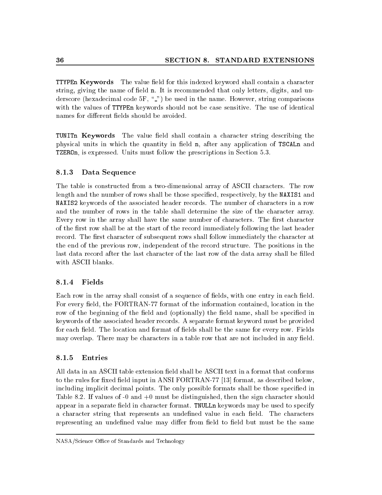TTYPEn Keywords The value field for this indexed keyword shall contain a character string, giving the name of field **n**. It is recommended that only letters, digits, and underscore (hexadecimal code  $5F$ , " $\cdot$ ") be used in the name. However, string comparisons with the values of TTYPEn keywords should not be case sensitive. The use of identical names for different fields should be avoided.

TUNITn Keywords The value field shall contain a character string describing the physical units in which the quantity in field n, after any application of TSCALn and TZEROn, is expressed. Units must follow the prescriptions in Section 5.3.

### 8.1.3 Data Sequence

The table is constructed from a two-dimensional array of ASCII characters. The row length and the number of rows shall be those specified, respectively, by the NAXIS1 and NAXIS2 keywords of the associated header records. The number of characters in a row and the number of rows in the table shall determine the size of the character array. Every row in the array shall have the same number of characters. The first character of the first row shall be at the start of the record immediately following the last header record. The first character of subsequent rows shall follow immediately the character at the end of the previous row, independent of the record structure. The positions in the last data record after the last character of the last row of the data array shall be filled with ASCII blanks.

## 8.1.4 Fields

Each row in the array shall consist of a sequence of fields, with one entry in each field. For every field, the FORTRAN-77 format of the information contained, location in the row of the beginning of the field and (optionally) the field name, shall be specified in keywords of the associated header records. A separate format keyword must be provided for each field. The location and format of fields shall be the same for every row. Fields may overlap. There may be characters in a table row that are not included in any field.

#### 8.1.5 Entries

All data in an ASCII table extension field shall be ASCII text in a format that conforms to the rules for fixed field input in ANSI FORTRAN-77 [13] format, as described below, including implicit decimal points. The only possible formats shall be those specied in Table 8.2. If values of -0 and  $+0$  must be distinguished, then the sign character should appear in a separate field in character format. TNULLn keywords may be used to specify a character string that represents an undefined value in each field. The characters representing an undefined value may differ from field to field but must be the same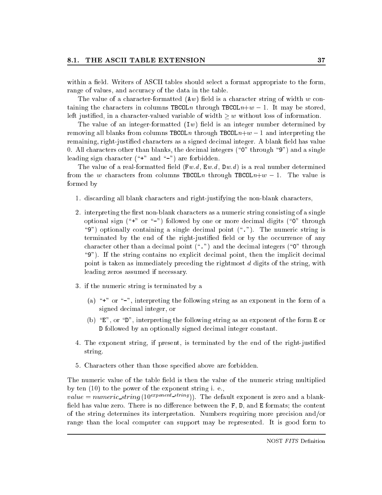within a field. Writers of ASCII tables should select a format appropriate to the form, range of values, and accuracy of the data in the table.

The value of a character-formatted  $(Aw)$  field is a character string of width w containing the characters in columns TBCOLn through TBCOLn+w – 1. It may be stored, left justified, in a character-valued variable of width  $\geq w$  without loss of information.

The value of an integer-formatted  $(Iw)$  field is an integer number determined by removing all blanks from columns TBCOLn through TBCOLn+w – 1 and interpreting the remaining, right-justified characters as a signed decimal integer. A blank field has value 0. All characters other than blanks, the decimal integers ( $\degree$ 0" through  $\degree$ 9") and a single leading sign character  $(\,^{\omega} + \,^{\omega}$  and  $\,^{\omega} - \,^{\omega})$  are forbidden.

The value of a real-formatted field  $(Fw.d, Ew.d, Dw.d)$  is a real number determined from the w characters from columns TBCOLn through TBCOLn+w - 1. The value is formed by

- 1. discarding all blank characters and right-justifying the non-blank characters,
- 2. interpreting the first non-blank characters as a numeric string consisting of a single optional sign  $(\ast \ast \circ \circ \ast \cdot \circ')$  followed by one or more decimal digits  $(\circ \circ \circ \circ')$  through " $9$ ") optionally containing a single decimal point ("."). The numeric string is terminated by the end of the right-justified field or by the occurrence of any character other than a decimal point  $(\cdot, \cdot)$  and the decimal integers  $(\cdot)$  through \9"). If the string contains no explicit decimal point, then the implicit decimal point is taken as immediately preceding the rightmost d digits of the string, with leading zeros assumed if necessary.
- 3. if the numeric string is terminated by a
	- (a) " $+$ " or " $-$ ", interpreting the following string as an exponent in the form of a signed decimal integer, or
	- (b)  $E$ , or  $D$ , interpreting the following string as an exponent of the form E or D followed by an optionally signed decimal integer constant.
- 4. The exponent string, if present, is terminated by the end of the right-justied string.
- 5. Characters other than those specied above are forbidden.

The numeric value of the table field is then the value of the numeric string multiplied by ten (10) to the power of the exponent string i. e.,

value = numeric\_string  $(10^{exponent\_string})$ ). The default exponent is zero and a blankfield has value zero. There is no difference between the  $F$ ,  $D$ , and  $E$  formats; the content of the string determines its interpretation. Numbers requiring more precision and/or range than the local computer can support may be represented. It is good form to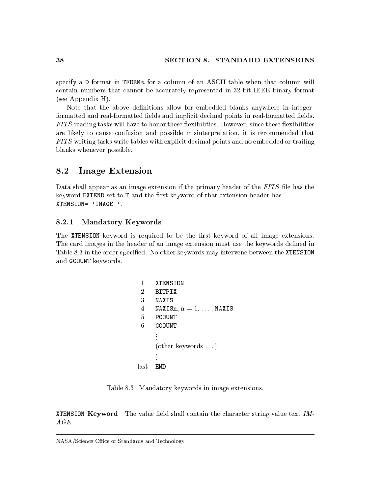specify a D format in TFORMn for a column of an ASCII table when that column will contain numbers that cannot be accurately represented in 32-bit IEEE binary format (see Appendix H).

Note that the above definitions allow for embedded blanks anywhere in integerformatted and real-formatted fields and implicit decimal points in real-formatted fields. FITS reading tasks will have to honor these flexibilities. However, since these flexibilities are likely to cause confusion and possible misinterpretation, it is recommended that FITS writing tasks write tables with explicit decimal points and no embedded or trailing blanks whenever possible.

### 8.2 Image Extension

Data shall appear as an image extension if the primary header of the FITS file has the keyword EXTEND set to T and the first keyword of that extension header has XTENSION= 'IMAGE '.

#### 8.2.1 Mandatory Keywords

The XTENSION keyword is required to be the first keyword of all image extensions. The card images in the header of an image extension must use the keywords defined in Table 8.3 in the order specied. No other keywords may intervene between the XTENSION and GCOUNT keywords.

```
1 XTENSION
 2 BITPIX
 \overline{4}NAXISn, n = 1, ..., NAXIS\overline{5}PCOUNT
      GCOUNT
 6
       (other keywords . . . )
last
     END
```
Table 8.3: Mandatory keywords in image extensions.

XTENSION Keyword The value field shall contain the character string value text  $IM$ -AGE.

NASA/Science Office of Standards and Technology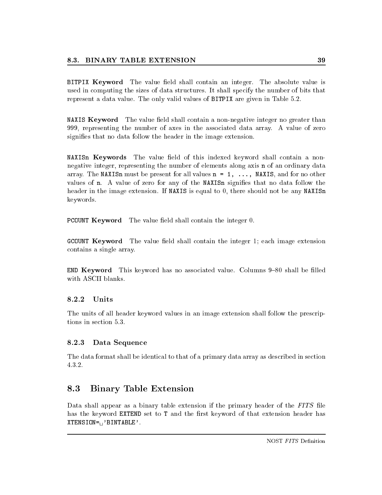BITPIX Keyword The value field shall contain an integer. The absolute value is used in computing the sizes of data structures. It shall specify the number of bits that represent a data value. The only valid values of BITPIX are given in Table 5.2.

NAXIS Keyword The value field shall contain a non-negative integer no greater than 999, representing the number of axes in the associated data array. A value of zero signifies that no data follow the header in the image extension.

NAXISn Keywords The value field of this indexed keyword shall contain a nonnegative integer, representing the number of elements along axis n of an ordinary data array. The NAXISn must be present for all values  $n = 1, \ldots$ , NAXIS, and for no other values of n. A value of zero for any of the NAXISn signies that no data follow the header in the image extension. If NAXIS is equal to 0, there should not be any NAXISn keywords.

**PCOUNT Keyword** The value field shall contain the integer 0.

 $GCUNT$  Keyword The value field shall contain the integer 1; each image extension contains a single array.

END Keyword This keyword has no associated value. Columns  $9-80$  shall be filled with ASCII blanks.

The units of all header keyword values in an image extension shall follow the prescriptions in section 5.3.

#### Data Sequence 8.2.3

The data format shall be identical to that of a primary data array as described in section 4.3.2.

#### 8.3 **Binary Table Extension**

Data shall appear as a binary table extension if the primary header of the FITS file has the keyword EXTEND set to T and the first keyword of that extension header has  $XTENSION =$  $_$ 'BINTABLE'.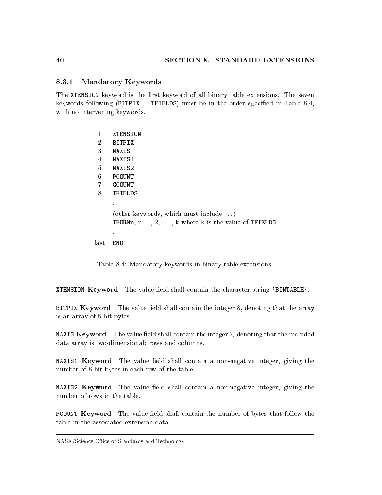#### 8.3.1 Mandatory Keywords

The XTENSION keyword is the first keyword of all binary table extensions. The seven keywords following (BITPIX ...TFIELDS) must be in the order specified in Table 8.4, with no intervening keywords.

> 1 XTENSION 2 BITPIX 3 NAXIS 5 NAXIS2  $\overline{7}$ **GCOUNT** 8 **TFIELDS** (other keywords, which must include . . . ) TFORMn,  $n=1, 2, \ldots$ , k where k is the value of TFIELDS last END

Table 8.4: Mandatory keywords in binary table extensions.

XTENSION Keyword The value field shall contain the character string 'BINTABLE'.

**BITPIX Keyword** The value field shall contain the integer  $8$ , denoting that the array is an array of 8-bit bytes.

**NAXIS Keyword** The value field shall contain the integer 2, denoting that the included data array is two-dimensional: rows and columns.

NAXIS1 Keyword The value field shall contain a non-negative integer, giving the number of 8-bit bytes in each row of the table.

NAXIS2 Keyword The value field shall contain a non-negative integer, giving the number of rows in the table.

**PCOUNT Keyword** The value field shall contain the number of bytes that follow the table in the associated extension data.

NASA/Science Office of Standards and Technology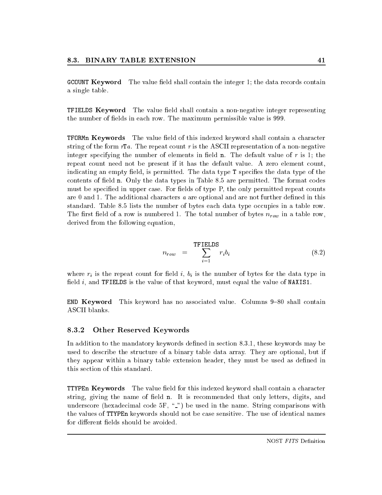**GCOUNT Keyword** The value field shall contain the integer 1; the data records contain a single table.

**TFIELDS Keyword** The value field shall contain a non-negative integer representing the number of fields in each row. The maximum permissible value is 999.

**TFORMn Keywords** The value field of this indexed keyword shall contain a character string of the form  $r\bar{r}a$ . The repeat count r is the ASCII representation of a non-negative integer specifying the number of elements in field  $\bf{n}$ . The default value of r is 1; the repeat count need not be present if it has the default value. A zero element count, indicating an empty field, is permitted. The data type T specifies the data type of the contents of field n. Only the data types in Table 8.5 are permitted. The format codes must be specified in upper case. For fields of type P, the only permitted repeat counts are  $0$  and  $1$ . The additional characters  $a$  are optional and are not further defined in this standard. Table 8.5 lists the number of bytes each data type occupies in a table row. The metal metal contract of a metal of a row is number of the table row, the table row is the table derived from the following equation,

$$
n_{row} = \sum_{i=1}^{TFIELDS} r_i b_i \qquad (8.2)
$$

where rise is the repeat count for the repeat count for the number of bytes for the data type in the data type in field i, and TFIELDS is the value of that keyword, must equal the value of NAXIS1.

END Keyword This keyword has no associated value. Columns  $9-80$  shall contain ASCII blanks.

#### 8.3.2 Other Reserved Keywords

In addition to the mandatory keywords defined in section 8.3.1, these keywords may be used to describe the structure of a binary table data array. They are optional, but if they appear within a binary table extension header, they must be used as dened in this section of this standard.

TTYPEn Keywords The value field for this indexed keyword shall contain a character string, giving the name of field  $n$ . It is recommended that only letters, digits, and underscore (hexadecimal code  $5F$ , " $\tilde{ }$ ") be used in the name. String comparisons with the values of TTYPEn keywords should not be case sensitive. The use of identical names for different fields should be avoided.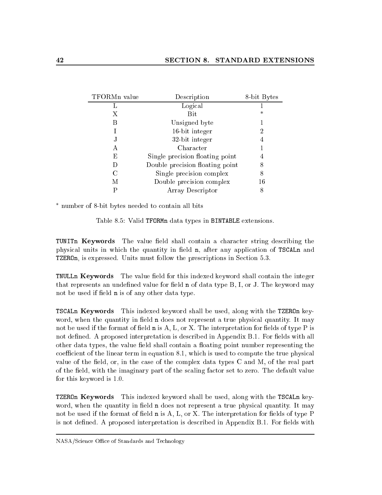| TFORMn value | Description                     | 8-bit Bytes |
|--------------|---------------------------------|-------------|
|              | Logical                         |             |
| Χ            | <b>Bit</b>                      | $^\ast$     |
| В            | Unsigned byte                   |             |
|              | 16-bit integer                  | 2           |
| J            | 32-bit integer                  | 4           |
| A            | Character                       |             |
| E            | Single precision floating point | 4           |
| Ð            | Double precision floating point | 8           |
|              | Single precision complex        | 8           |
| М            | Double precision complex        | 16          |
| р            | Array Descriptor                | 8           |
|              |                                 |             |

number of 8-bit bytes needed to contain all bits

Table 8.5: Valid TFORMn data types in BINTABLE extensions.

TUNITn Keywords The value field shall contain a character string describing the physical units in which the quantity in field n, after any application of TSCALn and TZEROn, is expressed. Units must follow the prescriptions in Section 5.3.

TNULLn Keywords The value field for this indexed keyword shall contain the integer that represents an undefined value for field  $n$  of data type B, I, or J. The keyword may not be used if field **n** is of any other data type.

TSCALn Keywords This indexed keyword shall be used, along with the TZEROn keyword, when the quantity in field n does not represent a true physical quantity. It may not be used if the format of field  $n$  is A, L, or X. The interpretation for fields of type P is not defined. A proposed interpretation is described in Appendix B.1. For fields with all other data types, the value field shall contain a floating point number representing the  $coefficient of the linear term in equation 8.1, which is used to compute the true physical$ value of the field, or, in the case of the complex data types  $C$  and  $M$ , of the real part of the field, with the imaginary part of the scaling factor set to zero. The default value for this keyword is 1.0.

TZEROn Keywords This indexed keyword shall be used, along with the TSCALn keyword, when the quantity in field n does not represent a true physical quantity. It may not be used if the format of field  $\bf{n}$  is A, L, or X. The interpretation for fields of type P is not defined. A proposed interpretation is described in Appendix B.1. For fields with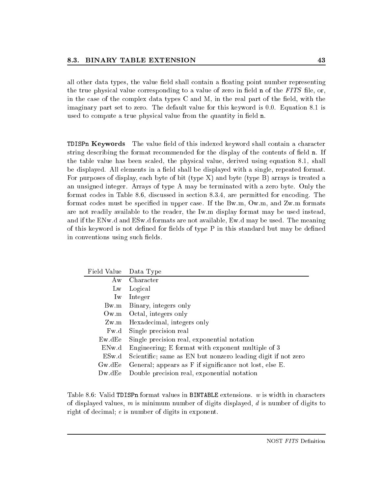all other data types, the value field shall contain a floating point number representing the true physical value corresponding to a value of zero in field  $\bf{n}$  of the FITS file, or, in the case of the complex data types  $C$  and  $M$ , in the real part of the field, with the imaginary part set to zero. The default value for this keyword is 0.0. Equation 8.1 is used to compute a true physical value from the quantity in field n.

TDISPn Keywords The value field of this indexed keyword shall contain a character string describing the format recommended for the display of the contents of field n. If the table value has been scaled, the physical value, derived using equation 8.1, shall be displayed. All elements in a field shall be displayed with a single, repeated format. For purposes of display, each byte of bit (type X) and byte (type B) arrays is treated a an unsigned integer. Arrays of type A may be terminated with a zero byte. Only the format codes in Table 8.6, discussed in section 8.3.4, are permitted for encoding. The format codes must be specified in upper case. If the Bw.m, Ow.m, and Zw.m formats are not readily available to the reader, the Iw.m display format may be used instead, and if the ENw.d and ESw.d formats are not available, Ew.d may be used. The meaning of this keyword is not defined for fields of type  $P$  in this standard but may be defined in conventions using such fields.

| Field Value | Data Type                                                    |
|-------------|--------------------------------------------------------------|
| $A_{W}$     | Character                                                    |
| Lw          | Logical                                                      |
| 1w          | Integer                                                      |
| Bw.m        | Binary, integers only                                        |
| Ow.m        | Octal, integers only                                         |
| Zw.m        | Hexadecimal, integers only                                   |
| Fw.d        | Single precision real                                        |
| Ew.dEe      | Single precision real, exponential notation                  |
| ENw.d       | Engineering; E format with exponent multiple of 3            |
| ESw.d       | Scientific; same as EN but nonzero leading digit if not zero |
| Gw.dEe      | General; appears as F if significance not lost, else E.      |
| Dw.dEe      | Double precision real, exponential notation                  |

Table 8.6: Valid TDISPn format values in BINTABLE extensions. w is width in characters of displayed values, m is minimum number of digits displayed, d is number of digits to right of decimal; e is number of digits in exponent.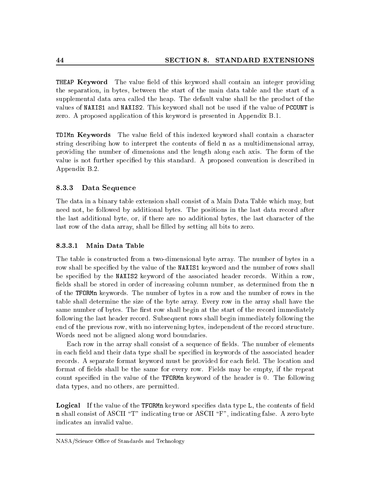**THEAP Keyword** The value field of this keyword shall contain an integer providing the separation, in bytes, between the start of the main data table and the start of a supplemental data area called the heap. The default value shall be the product of the values of NAXIS1 and NAXIS2. This keyword shall not be used if the value of PCOUNT is zero. A proposed application of this keyword is presented in Appendix B.1.

**TDIMn Keywords** The value field of this indexed keyword shall contain a character string describing how to interpret the contents of field  $n$  as a multidimensional array, providing the number of dimensions and the length along each axis. The form of the value is not further specified by this standard. A proposed convention is described in Appendix B.2.

#### 8.3.3 Data Sequence

The data in a binary table extension shall consist of a Main Data Table which may, but need not, be followed by additional bytes. The positions in the last data record after the last additional byte, or, if there are no additional bytes, the last character of the last row of the data array, shall be filled by setting all bits to zero.

#### 8.3.3.1 Main Data Table

The table is constructed from a two-dimensional byte array. The number of bytes in a row shall be specied by the value of the NAXIS1 keyword and the number of rows shall be specied by the NAXIS2 keyword of the associated header records. Within a row, fields shall be stored in order of increasing column number, as determined from the  $n$ of the TFORMn keywords. The number of bytes in a row and the number of rows in the table shall determine the size of the byte array. Every row in the array shall have the same number of bytes. The first row shall begin at the start of the record immediately following the last header record. Subsequent rows shall begin immediately following the end of the previous row, with no intervening bytes, independent of the record structure. Words need not be aligned along word boundaries.

Each row in the array shall consist of a sequence of fields. The number of elements in each field and their data type shall be specified in keywords of the associated header records. A separate format keyword must be provided for each field. The location and format of fields shall be the same for every row. Fields may be empty, if the repeat count specied in the value of the TFORMn keyword of the header is 0. The following data types, and no others, are permitted.

**Logical** If the value of the TFORMn keyword specifies data type L, the contents of field n shall consist of ASCII "T" indicating true or ASCII "F", indicating false. A zero byte indicates an invalid value.

NASA/Science Office of Standards and Technology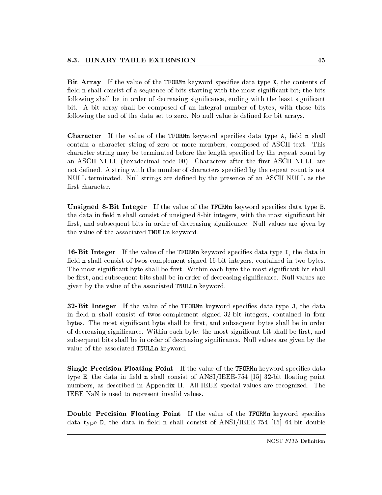Bit Array If the value of the TFORMn keyword specifies data type X, the contents of field **n** shall consist of a sequence of bits starting with the most significant bit; the bits following shall be in order of decreasing signicance, ending with the least signicant bit. A bit array shall be composed of an integral number of bytes, with those bits following the end of the data set to zero. No null value is defined for bit arrays.

**Character** If the value of the TFORMn keyword specifies data type A, field n shall contain a character string of zero or more members, composed of ASCII text. This character string may be terminated before the length specied by the repeat count by an ASCII NULL (hexadecimal code 00). Characters after the first ASCII NULL are not defined. A string with the number of characters specified by the repeat count is not NULL terminated. Null strings are defined by the presence of an ASCII NULL as the first character.

Unsigned 8-Bit Integer If the value of the TFORMn keyword specifies data type B, the data in field **n** shall consist of unsigned 8-bit integers, with the most significant bit first, and subsequent bits in order of decreasing significance. Null values are given by the value of the associated TNULLn keyword.

**16-Bit Integer** If the value of the **TFORM** keyword specifies data type I, the data in field **n** shall consist of twos-complement signed 16-bit integers, contained in two bytes. The most significant byte shall be first. Within each byte the most significant bit shall be first, and subsequent bits shall be in order of decreasing significance. Null values are given by the value of the associated TNULLn keyword.

**32-Bit Integer** If the value of the TFORMn keyword specifies data type J, the data in field **n** shall consist of twos-complement signed 32-bit integers, contained in four bytes. The most significant byte shall be first, and subsequent bytes shall be in order of decreasing significance. Within each byte, the most significant bit shall be first, and subsequent bits shall be in order of decreasing signicance. Null values are given by the value of the associated TNULLn keyword.

**Single Precision Floating Point** If the value of the TFORMn keyword specifies data type E, the data in field  $\bf{n}$  shall consist of ANSI/IEEE-754 [15] 32-bit floating point numbers, as described in Appendix H. All IEEE special values are recognized. The IEEE NaN is used to represent invalid values.

Double Precision Floating Point If the value of the TFORMn keyword specifies data type D, the data in field n shall consist of ANSI/IEEE-754 [15] 64-bit double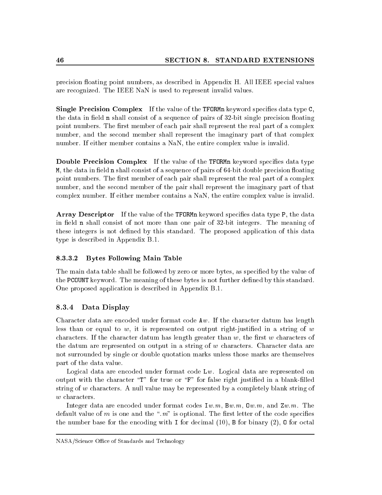precision floating point numbers, as described in Appendix H. All IEEE special values are recognized. The IEEE NaN is used to represent invalid values.

**Single Precision Complex** If the value of the TFORMn keyword specifies data type C, the data in field  $\bf{n}$  shall consist of a sequence of pairs of 32-bit single precision floating point numbers. The first member of each pair shall represent the real part of a complex number, and the second member shall represent the imaginary part of that complex number. If either member contains a NaN, the entire complex value is invalid.

Double Precision Complex If the value of the TFORMn keyword specifies data type M, the data in field n shall consist of a sequence of pairs of 64-bit double precision floating point numbers. The first member of each pair shall represent the real part of a complex number, and the second member of the pair shall represent the imaginary part of that complex number. If either member contains a NaN, the entire complex value is invalid.

Array Descriptor If the value of the TFORM keyword specifies data type P, the data in field **n** shall consist of not more than one pair of 32-bit integers. The meaning of these integers is not defined by this standard. The proposed application of this data type is described in Appendix B.1.

#### 8.3.3.2 Bytes Following Main Table

The main data table shall be followed by zero or more bytes, as specied by the value of the PCOUNT keyword. The meaning of these bytes is not further defined by this standard. One proposed application is described in Appendix B.1.

#### 8.3.4 Data Display

Character data are encoded under format code  $Aw$ . If the character datum has length less than or equal to  $w$ , it is represented on output right-justified in a string of  $w$ characters. If the character datum has length greater than  $w$ , the first  $w$  characters of the datum are represented on output in a string of  $w$  characters. Character data are not surrounded by single or double quotation marks unless those marks are themselves part of the data value.

Logical data are encoded under format code Lw. Logical data are represented on output with the character "T" for true or " $F$ " for false right justified in a blank-filled string of  $w$  characters. A null value may be represented by a completely blank string of w characters.

Integer data are encoded under format codes  $I w.m$ ,  $B w.m$ ,  $O w.m$ , and  $Z w.m$ . The default value of m is one and the " $m$ " is optional. The first letter of the code specifies the number base for the encoding with I for decimal  $(10)$ , B for binary  $(2)$ , O for octal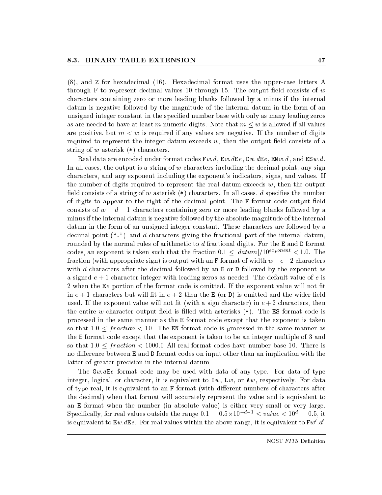(8), and Z for hexadecimal (16). Hexadecimal format uses the upper-case letters A through F to represent decimal values 10 through 15. The output field consists of  $w$ characters containing zero or more leading blanks followed by a minus if the internal datum is negative followed by the magnitude of the internal datum in the form of an unsigned integer constant in the specied number base with only as many leading zeros as are needed to have at least m numeric digits. Note that  $m \leq w$  is allowed if all values are positive, but  $m < w$  is required if any values are negative. If the number of digits required to represent the integer datum exceeds  $w$ , then the output field consists of a string of w asterisk (\*) characters.

Real data are encoded under format codes  $Fw.d$ ,  $Ew.d$ ,  $Ew.d$ ,  $Dw.d$   $Ee$ ,  $E Nw.d$ , and  $ESw.d$ . In all cases, the output is a string of  $w$  characters including the decimal point, any sign characters, and any exponent including the exponent's indicators, signs, and values. If the number of digits required to represent the real datum exceeds  $w$ , then the output field consists of a string of w asterisk  $(*)$  characters. In all cases, d specifies the number of digits to appear to the right of the decimal point. The F format code output field consists of  $w - d - 1$  characters containing zero or more leading blanks followed by a minus if the internal datum is negative followed by the absolute magnitude of the internal datum in the form of an unsigned integer constant. These characters are followed by a decimal point  $(\cdot, \cdot)$  and d characters giving the fractional part of the internal datum, rounded by the normal rules of arithmetic to d fractional digits. For the E and D format codes, an exponent is taken such that the fraction  $0.1 \leq |datum|/10^{exponent} < 1.0$ . The fraction (with appropriate sign) is output with an F format of width  $w - e - 2$  characters with d characters after the decimal followed by an E or D followed by the exponent as a signed  $e + 1$  character integer with leading zeros as needed. The default value of  $e$  is  $2$  when the  $E_e$  portion of the format code is omitted. If the exponent value will not fit in  $e + 1$  characters but will fit in  $e + 2$  then the E (or D) is omitted and the wider field used. If the exponent value will not fit (with a sign character) in  $e + 2$  characters, then the entire w-character output field is filled with asterisks  $(*)$ . The ES format code is processed in the same manner as the E format code except that the exponent is taken so that  $1.0 \leq fraction \leq 10$ . The EN format code is processed in the same manner as the E format code except that the exponent is taken to be an integer multiple of 3 and so that  $1.0 \leq fraction \leq 1000.0$  All real format codes have number base 10. There is no difference between E and D format codes on input other than an implication with the latter of greater precision in the internal datum.

The  $Gw.dEe$  format code may be used with data of any type. For data of type integer, logical, or character, it is equivalent to  $Iw$ ,  $Lw$ , or  $Aw$ , respectively. For data of type real, it is equivalent to an F format (with different numbers of characters after the decimal) when that format will accurately represent the value and is equivalent to an E format when the number (in absolute value) is either very small or very large. Specifically, for real values outside the range  $0.1 - 0.5 \times 10^{-3}$  ( $\sim$   $value \leq 10^{4} - 0.5$ , it is equivalent to Ew.  $a$ Ee. For real values within the above range, it is equivalent to Fw  $\ldots a$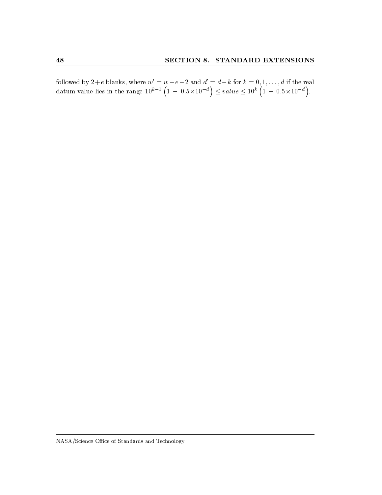followed by  $2 + e$  blanks, where  $w_0 = w - e - 2$  and  $a_1 = a - \kappa$  for  $\kappa = 0, 1, \ldots, a$  if the real datum value lies in the range  $10^{k-1}$  (  $1 - 0.5 \times 10^{-d}$  $\langle$  value  $\langle 10^k \rangle$  $1 - 0.5 \times 10^{-d}$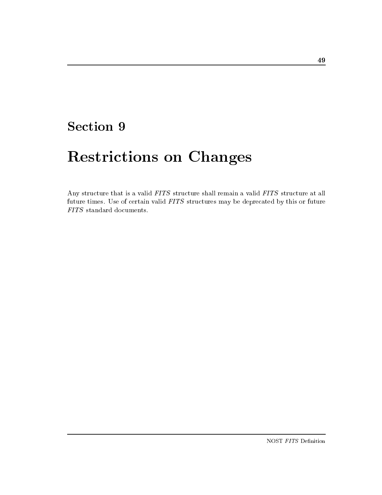## Section 9

# Restrictions on Changes

Any structure that is a valid  $FITS$  structure shall remain a valid  $FITS$  structure at all future times. Use of certain valid FITS structures may be deprecated by this or future FITS standard documents.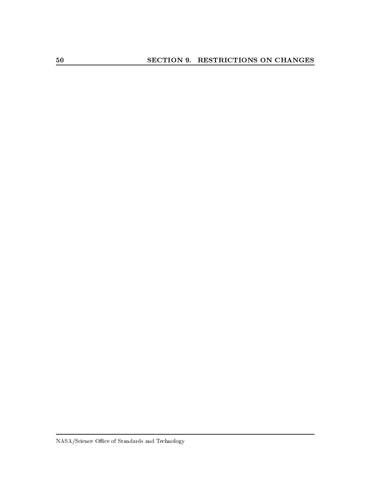NASA/Science Office of Standards and Technology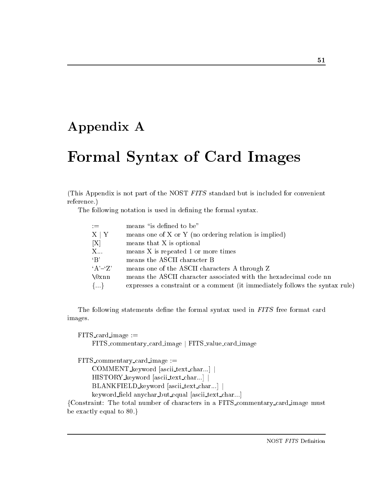## Appendix A

# Formal Syntax of Card Images

(This Appendix is not part of the NOST FITS standard but is included for convenient reference.)

The following notation is used in defining the formal syntax.

| $:=$         | means "is defined to be"                                                     |
|--------------|------------------------------------------------------------------------------|
| $X \mid Y$   | means one of X or Y (no ordering relation is implied)                        |
| [X]          | means that X is optional                                                     |
| X            | means X is repeated 1 or more times                                          |
| $\mathbf{B}$ | means the ASCII character B                                                  |
| $A'-Z'$      | means one of the ASCII characters A through Z                                |
| $\chi$       | means the ASCII character associated with the hexadecimal code nn            |
| $\{\}$       | expresses a constraint or a comment (it immediately follows the syntax rule) |

The following statements define the formal syntax used in FITS free format card images.

```
FITS\_card\_image :=
```
FITS commentary card image <sup>j</sup> FITS value card image

FITS commentary card image :=

COMMENT\_keyword [ascii\_text\_char...] |

HISTORY keyword [ascii\_text\_char...] |

BLANKFIELD\_keyword [ascii\_text\_char...] |

keyword field anychar but equal [ascii text char...]

fConstraint: The total number of characters in a FITS commentary card image must be exactly equal to  $80.\}$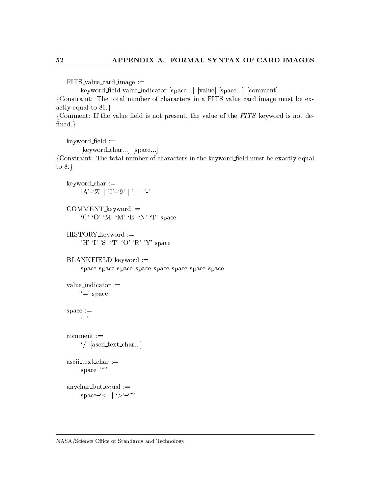FITS value card image :=

keyword field value indicator [space...] [value] [space...] [comment]

fConstraint: The total number of characters in a FITS value card image must be exactly equal to  $80.\}$ 

{Comment: If the value field is not present, the value of the  $FITS$  keyword is not defined. $\}$ 

 $keyword_field :=$ [keyword char...] [space...]

 ${Constant: The total number of characters in the keyword field must be exactly equal}$ to  $8.\}$ 

```
keyword\_char :=A' -'Z' | '0'-'9' | '_' | ' '
```

```
COMMENT keyword :=
    \lq\lq C' 'O' 'M' 'M' 'E' 'N' 'T' space
```
 $HISTORY$   $keyword :=$  $H'$   $I'$   $S'$   $T'$   $O'$   $R'$   $Y'$  space

```
BLANKFIED\_keyword :=space space space space space space space space
```

```
value indicator :=
    ' = space
```
 $space :=$  $\left( \quad \right)$ 

```
comment :=
     \frac{1}{2} [ascii_text_char...]
ascii text char :=
```

```
space('")
```

```
anychar_but_equal :=space \langle \cdot | \cdot \rangle \rightarrow \langle \cdot | \cdot \rangle
```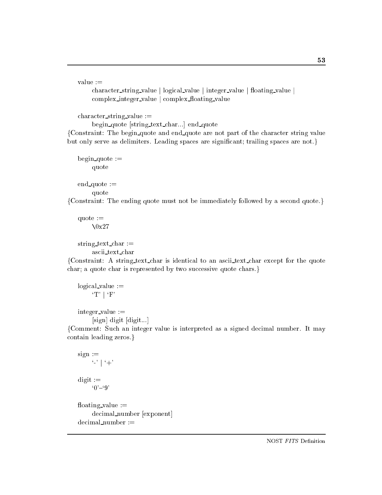value :=

character\_string\_value | logical\_value | integer\_value | floating\_value | complex\_integer\_value | complex\_floating\_value

```
character\_string\_value :=
```
begin quote [string text char...] end quote

fConstraint: The begin quote and end quote are not part of the character string value but only serve as delimiters. Leading spaces are significant; trailing spaces are not.}

```
begin =quote
end\_quote :=
```
quote

{Constraint: The ending quote must not be immediately followed by a second quote.}

 $\text{quote} :=$ \0x27

string text char  $:=$ ascii\_text\_char

fConstraint: <sup>A</sup> string text char is identical to an ascii text char except for the quote char; a quote char is represented by two successive quote chars.}

```
logical_value :=\mathbf{T}' \mid \mathbf{F}'
```
 $integer_value :=$ 

[sign] digit [digit...]

fComment: Such an integer value is interpreted as a signed decimal number. It may  $\{\text{contain leading zeros.}\}\$ 

```
sign :=\cdot j \cdot+'
\text{digit} :=`0' – '9'
floating_value :=decimal number [exponent]
decimal_number :=
```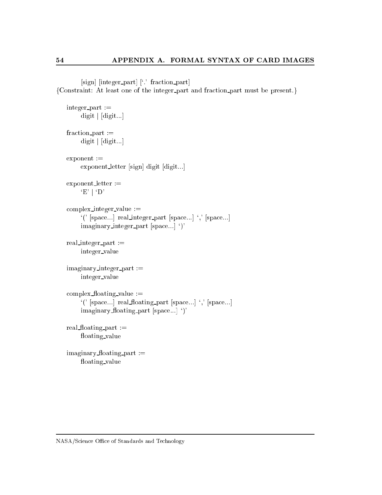[sign] [integer part] [`.' fraction part] {Constraint: At least one of the integer\_part and fraction\_part must be present.}

```
integer-part :=digit \vert [digit...]
fraction<sub>-part</sub> :=digit \vert [digit...]
exponent :=
     exponent letter [sign] digit [digit...]
exponent letter :=
     'E' \mid 'D'
complex\_integer\_value :=`(' [space...] real_integer_part [space...] \, \cdot\, ,\, ' [space...]
     imaginary integer part [space...] `)'
real-integer-part :=integer_value
imaginary\_integer\_part :=integer_value
complex\_floating\_value :=\langle [space...] real_floating_part [space...] \langle [space...]
     imaginary_floating_part [space...] ')'
real\_floating\_part :=floating_value
imaginary_H\alpha ting-part :=floating_value
```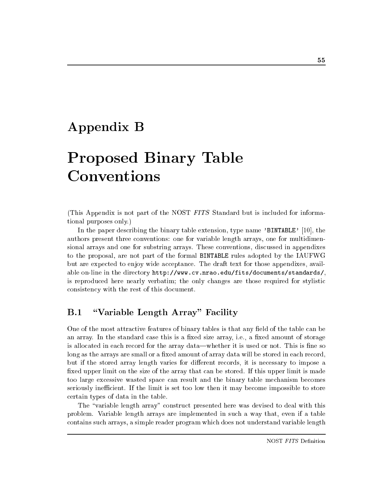## Appendix B

# Proposed Binary Table Conventions

(This Appendix is not part of the NOST FITS Standard but is included for informational purposes only.)

In the paper describing the binary table extension, type name 'BINTABLE' [10], the authors present three conventions: one for variable length arrays, one for multidimensional arrays and one for substring arrays. These conventions, discussed in appendixes to the proposal, are not part of the formal BINTABLE rules adopted by the IAUFWG but are expected to enjoy wide acceptance. The draft text for those appendixes, available on-line in the directory http://www.cv.nrao.edu/fits/documents/standards/, is reproduced here nearly verbatim; the only changes are those required for stylistic consistency with the rest of this document.

#### "Variable Length Array" Facility  $B.1$

One of the most attractive features of binary tables is that any field of the table can be an array. In the standard case this is a fixed size array, i.e., a fixed amount of storage is allocated in each record for the array data—whether it is used or not. This is fine so long as the arrays are small or a fixed amount of array data will be stored in each record, but if the stored array length varies for different records, it is necessary to impose a fixed upper limit on the size of the array that can be stored. If this upper limit is made too large excessive wasted space can result and the binary table mechanism becomes seriously inefficient. If the limit is set too low then it may become impossible to store certain types of data in the table.

The "variable length array" construct presented here was devised to deal with this problem. Variable length arrays are implemented in such a way that, even if a table contains such arrays, a simple reader program which does not understand variable length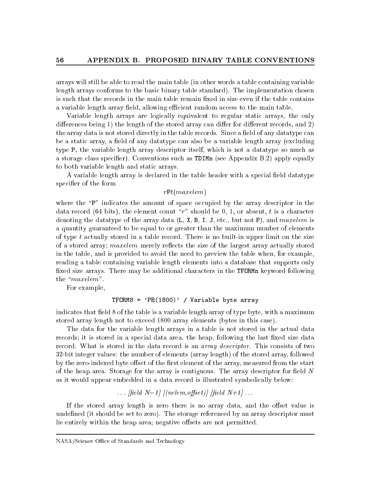arrays will still be able to read the main table (in other words a table containing variable length arrays conforms to the basic binary table standard). The implementation chosen is such that the records in the main table remain fixed in size even if the table contains a variable length array field, allowing efficient random access to the main table.

Variable length arrays are logically equivalent to regular static arrays, the only differences being 1) the length of the stored array can differ for different records, and 2) the array data is not stored directly in the table records. Since a field of any datatype can be a static array, a field of any datatype can also be a variable length array (excluding type P, the variable length array descriptor itself, which is not a datatype so much as a storage class specier). Conventions such as TDIMn (see Appendix B.2) apply equally to both variable length and static arrays.

A variable length array is declared in the table header with a special field datatype specifier of the form

rPt(maxelem)

where the "P" indicates the amount of space occupied by the array descriptor in the data record (64 bits), the element count "r" should be 0, 1, or absent, t is a character denoting the datatype of the array data  $(L, X, B, I, J, etc., but not P)$ , and maxelem is a quantity guaranteed to be equal to or greater than the maximum number of elements of type  $t$  actually stored in a table record. There is no built-in upper limit on the size of a stored array; maxelem merely reflects the size of the largest array actually stored in the table, and is provided to avoid the need to preview the table when, for example, reading a table containing variable length elements into a database that supports only fixed size arrays. There may be additional characters in the TFORMn keyword following the " $maxelem$ ".

For example,

#### TFORM8 =  $'PB(1800)'$  / Variable byte array

indicates that field 8 of the table is a variable length array of type byte, with a maximum stored array length not to exceed 1800 array elements (bytes in this case).

The data for the variable length arrays in a table is not stored in the actual data records; it is stored in a special data area, the heap, following the last fixed size data record. What is stored in the data record is an *array descriptor*. This consists of two 32-bit integer values: the number of elements (array length) of the stored array, followed by the zero-indexed byte offset of the first element of the array, measured from the start of the heap area. Storage for the array is contiguous. The array descriptor for field  $N$ as it would appear embedded in a data record is illustrated symbolically below:

$$
\dots
$$
 [field N-1] [(nelem, offset)] [field N+1] ...

If the stored array length is zero there is no array data, and the offset value is undefined (it should be set to zero). The storage referenced by an array descriptor must lie entirely within the heap area; negative offsets are not permitted.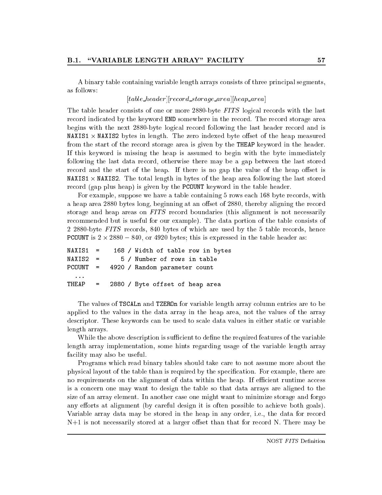A binary table containing variable length arrays consists of three principal segments, as follows:

 $[table\_header][record\_storage\_area][heap\_area]$ 

The table header consists of one or more 2880-byte FITS logical records with the last record indicated by the keyword END somewhere in the record. The record storage area begins with the next 2880-byte logical record following the last header record and is NAXIS1 - NAXIS2 bytes in length. The zero indexed byte oset of the heap measured from the start of the record storage area is given by the THEAP keyword in the header. If this keyword is missing the heap is assumed to begin with the byte immediately following the last data record, otherwise there may be a gap between the last stored record and the start of the heap. If there is no gap the value of the heap offset is namis is namisch in bytes of the total length in the total following the last store area following the last st record (gap plus heap) is given by the PCOUNT keyword in the table header.

For example, suppose we have a table containing 5 rows each 168 byte records, with a heap area 2880 bytes long, beginning at an offset of 2880, thereby aligning the record storage and heap areas on FITS record boundaries (this alignment is not necessarily recommended but is useful for our example). The data portion of the table consists of 2 2880-byte *FITS* records, 840 bytes of which are used by the 5 table records, hence PCOUNT is 2 - 2880 840, or 4920 bytes; this is expressed in the table header as:

```
NAXIS1 = 168 / Width of table row in bytes
NAXIS2 = 5 / Number of rows in table\equivPCOUNT = 4920 / Random parameter count
       =...
THEAP = 2880 / Byte offset of heap area
       =
```
The values of TSCALn and TZEROn for variable length array column entries are to be applied to the values in the data array in the heap area, not the values of the array descriptor. These keywords can be used to scale data values in either static or variable length arrays.

While the above description is sufficient to define the required features of the variable length array implementation, some hints regarding usage of the variable length array facility may also be useful.

Programs which read binary tables should take care to not assume more about the physical layout of the table than is required by the specication. For example, there are no requirements on the alignment of data within the heap. If efficient runtime access is a concern one may want to design the table so that data arrays are aligned to the size of an array element. In another case one might want to minimize storage and forgo any efforts at alignment (by careful design it is often possible to achieve both goals). Variable array data may be stored in the heap in any order, i.e., the data for record  $N+1$  is not necessarily stored at a larger offset than that for record N. There may be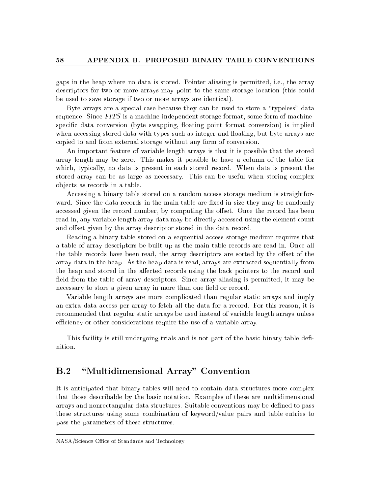gaps in the heap where no data is stored. Pointer aliasing is permitted, i.e., the array descriptors for two or more arrays may point to the same storage location (this could be used to save storage if two or more arrays are identical).

Byte arrays are a special case because they can be used to store a "typeless" data sequence. Since FITS is a machine-independent storage format, some form of machinespecific data conversion (byte swapping, floating point format conversion) is implied when accessing stored data with types such as integer and floating, but byte arrays are copied to and from external storage without any form of conversion.

An important feature of variable length arrays is that it is possible that the stored array length may be zero. This makes it possible to have a column of the table for which, typically, no data is present in each stored record. When data is present the stored array can be as large as necessary. This can be useful when storing complex ob jects as records in a table.

Accessing a binary table stored on a random access storage medium is straightforward. Since the data records in the main table are fixed in size they may be randomly accessed given the record number, by computing the offset. Once the record has been read in, any variable length array data may be directly accessed using the element count and offset given by the array descriptor stored in the data record.

Reading a binary table stored on a sequential access storage medium requires that a table of array descriptors be built up as the main table records are read in. Once all the table records have been read, the array descriptors are sorted by the offset of the array data in the heap. As the heap data is read, arrays are extracted sequentially from the heap and stored in the affected records using the back pointers to the record and field from the table of array descriptors. Since array aliasing is permitted, it may be necessary to store a given array in more than one field or record.

Variable length arrays are more complicated than regular static arrays and imply an extra data access per array to fetch all the data for a record. For this reason, it is recommended that regular static arrays be used instead of variable length arrays unless efficiency or other considerations require the use of a variable array.

This facility is still undergoing trials and is not part of the basic binary table definition.

#### $B.2$ B.2 \Multidimensional Array" Convention

It is anticipated that binary tables will need to contain data structures more complex that those describable by the basic notation. Examples of these are multidimensional arrays and nonrectangular data structures. Suitable conventions may be dened to pass these structures using some combination of keyword/value pairs and table entries to pass the parameters of these structures.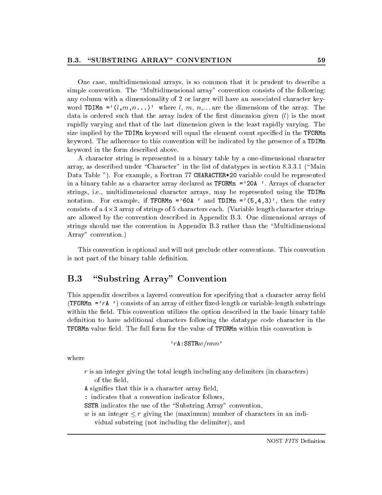One case, multidimensional arrays, is so common that it is prudent to describe a simple convention. The "Multidimensional array" convention consists of the following: any column with a dimensionality of 2 or larger will have an associated character keyword TDIMn ='(l,m,n...)' where l, m, n,...are the dimensions of the array. The data is ordered such that the array index of the first dimension given  $(l)$  is the most rapidly varying and that of the last dimension given is the least rapidly varying. The size implied by the TDIM keyword will equal the element count specified in the TFORM keyword. The adherence to this convention will be indicated by the presence of a TDIMn keyword in the form described above.

A character string is represented in a binary table by a one-dimensional character array, as described under "Character" in the list of datatypes in section 8.3.3.1 ("Main Data Table "). For example, a Fortran 77 CHARACTER\*20 variable could be represented in a binary table as a character array declared as TFORMn ='20A '. Arrays of character strings, i.e., multidimensional character arrays, may be represented using the TDIMn notation. For example, if TFORMn ='60A ' and TDIMn ='(5,4,3)', then the entry consists of a 4-4- characters of 3 characters each. (Variable length characters each characters in the strings are allowed by the convention described in Appendix B.3. One dimensional arrays of strings should use the convention in Appendix B.3 rather than the "Multidimensional Array" convention.)

This convention is optional and will not preclude other conventions. This convention is not part of the binary table definition.

#### $B.3$ "Substring Array" Convention

This appendix describes a layered convention for specifying that a character array field (TFORMn ='rA') consists of an array of either fixed-length or variable-length substrings within the field. This convention utilizes the option described in the basic binary table definition to have additional characters following the datatype code character in the **TFORMn** value field. The full form for the value of **TFORMn** within this convention is

$$
'rA: \text{SSTR}w/nnn'
$$

where

- $r$  is an integer giving the total length including any delimiters (in characters) of the field,
- A signifies that this is a character array field,
- : indicates that a convention indicator follows,
- SSTR indicates the use of the "Substring Array" convention,
- w is an integer  $\leq r$  giving the (maximum) number of characters in an individual substring (not including the delimiter), and
	-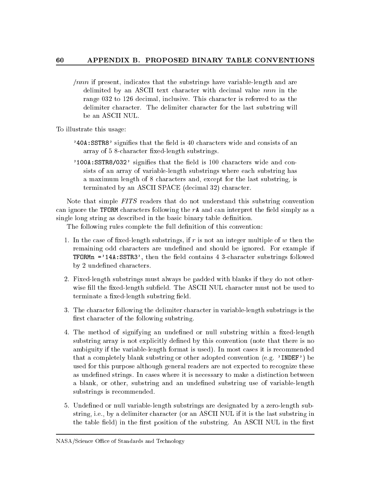$\langle nnn$  if present, indicates that the substrings have variable-length and are delimited by an ASCII text character with decimal value nnn in the range 032 to 126 decimal, inclusive. This character is referred to as the delimiter character. The delimiter character for the last substring will be an ASCII NUL.

To illustrate this usage:

- $'40A: SSTR8'$  signifies that the field is 40 characters wide and consists of an array of 5 8-character fixed-length substrings.
- '100A: SSTR8/032' signifies that the field is 100 characters wide and consists of an array of variable-length substrings where each substring has a maximum length of 8 characters and, except for the last substring, is terminated by an ASCII SPACE (decimal 32) character.

Note that simple FITS readers that do not understand this substring convention can ignore the TFORM characters following the  $rA$  and can interpret the field simply as a single long string as described in the basic binary table definition.

The following rules complete the full definition of this convention:

- 1. In the case of fixed-length substrings, if r is not an integer multiple of  $w$  then the remaining odd characters are undened and should be ignored. For example if **TFORMn** =  $14A: SSTR3'$ , then the field contains 4 3-character substrings followed by 2 undefined characters.
- 2. Fixed-length substrings must always be padded with blanks if they do not otherwise fill the fixed-length subfield. The ASCII NUL character must not be used to terminate a fixed-length substring field.
- 3. The character following the delimiter character in variable-length substrings is the first character of the following substring.
- 4. The method of signifying an undefined or null substring within a fixed-length substring array is not explicitly defined by this convention (note that there is no ambiguity if the variable-length format is used). In most cases it is recommended that a completely blank substring or other adopted convention (e.g. 'INDEF') be used for this purpose although general readers are not expected to recognize these as undefined strings. In cases where it is necessary to make a distinction between a blank, or other, substring and an undefined substring use of variable-length substrings is recommended.
- 5. Undefined or null variable-length substrings are designated by a zero-length substring, i.e., by a delimiter character (or an ASCII NUL if it is the last substring in the table field) in the first position of the substring. An ASCII NUL in the first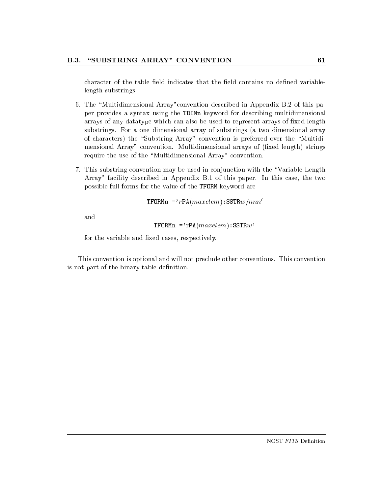character of the table field indicates that the field contains no defined variablelength substrings.

- 6. The "Multidimensional Array" convention described in Appendix B.2 of this paper provides a syntax using the TDIMn keyword for describing multidimensional arrays of any datatype which can also be used to represent arrays of fixed-length substrings. For a one dimensional array of substrings (a two dimensional array of characters) the "Substring Array" convention is preferred over the "Multidimensional Array" convention. Multidimensional arrays of (fixed length) strings require the use of the "Multidimensional Array" convention.
- 7. This substring convention may be used in conjunction with the \Variable Length Array" facility described in Appendix B.1 of this paper. In this case, the two possible full forms for the value of the TFORM keyword are

 $TFORMn = 'rPA(maxelem):SSTRw/nnn'$ 

and

 $TFORMn = 'rPA(maxelem):SSTRw'$ 

for the variable and fixed cases, respectively.

This convention is optional and will not preclude other conventions. This convention is not part of the binary table definition.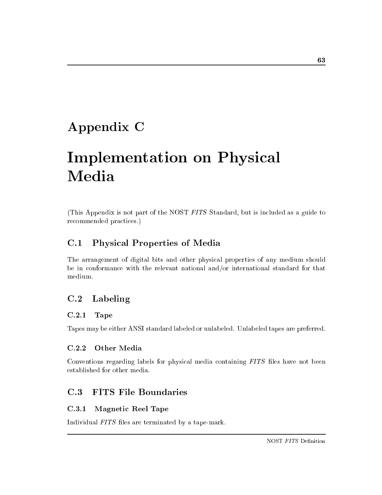### Appendix C

# Implementation on Physical Media

(This Appendix is not part of the NOST FITS Standard, but is included as a guide to recommended practices.)

#### Physical Properties of Media  $C.1$

The arrangement of digital bits and other physical properties of any medium should be in conformance with the relevant national and/or international standard for that medium.

#### C.2 Labeling

#### $C.2.1$ Tape

Tapes may be either ANSI standard labeled or unlabeled. Unlabeled tapes are preferred.

Conventions regarding labels for physical media containing FITS files have not been established for other media.

#### $C.3$ **FITS File Boundaries**

#### C.3.1 Magnetic Reel Tape

Individual FITS files are terminated by a tape-mark.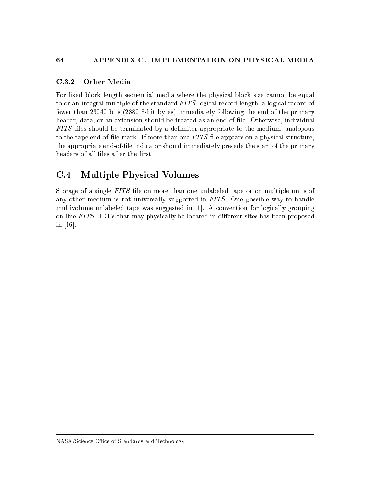#### C.3.2 Other Media

For fixed block length sequential media where the physical block size cannot be equal to or an integral multiple of the standard FITS logical record length, a logical record of fewer than 23040 bits (2880 8-bit bytes) immediately following the end of the primary header, data, or an extension should be treated as an end-of-file. Otherwise, individual FITS files should be terminated by a delimiter appropriate to the medium, analogous to the tape end-of-file mark. If more than one  $FITS$  file appears on a physical structure, the appropriate end-of-le indicator should immediately precede the start of the primary headers of all files after the first.

#### $C.4$ Multiple Physical Volumes

Storage of a single FITS file on more than one unlabeled tape or on multiple units of any other medium is not universally supported in FITS. One possible way to handle multivolume unlabeled tape was suggested in [1]. A convention for logically grouping on-line FITS HDUs that may physically be located in different sites has been proposed in [16].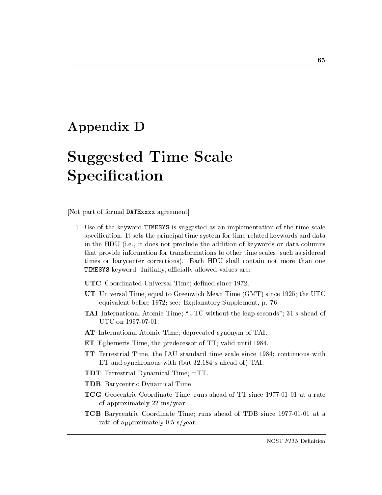#### Appendix D

# Suggested Time Scale Specification

[Not part of formal DATExxxx agreement]

- 1. Use of the keyword TIMESYS is suggested as an implementation of the time scale specification. It sets the principal time system for time-related keywords and data in the HDU (i.e., it does not preclude the addition of keywords or data columns that provide information for transformations to other time scales, such as sidereal times or barycenter corrections). Each HDU shall contain not more than one TIMESYS keyword. Initially, officially allowed values are:
	- UTC Coordinated Universal Time; defined since 1972.
	- UT Universal Time, equal to Greenwich Mean Time (GMT) since 1925; the UTC equivalent before 1972; see: Explanatory Supplement, p. 76.
	- TAI International Atomic Time; \UTC without the leap seconds"; 31 s ahead of UTC on 1997-07-01.
	- AT International Atomic Time; deprecated synonym of TAI.
	- ET Ephemeris Time, the predecessor of TT; valid until 1984.
	- TT Terrestrial Time, the IAU standard time scale since 1984; continuous with ET and synchronous with (but 32.184 s ahead of) TAI.
	- TDT Terrestrial Dynamical Time; =TT.
	- TDB Barycentric Dynamical Time.
	- TCG Geocentric Coordinate Time; runs ahead of TT since 1977-01-01 at a rate of approximately 22 ms/year.
	- TCB Barycentric Coordinate Time; runs ahead of TDB since 1977-01-01 at a rate of approximately 0.5 s/year.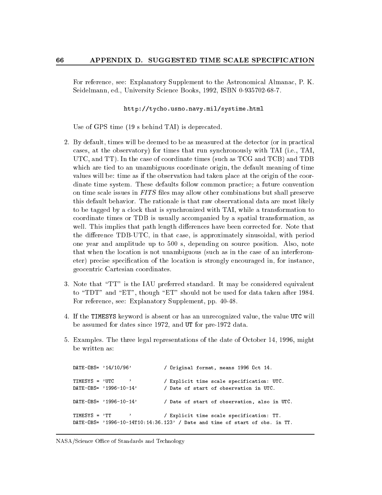For reference, see: Explanatory Supplement to the Astronomical Almanac, P. K. Seidelmann, ed., University Science Books, 1992, ISBN 0-935702-68-7.

http://tycho.usno.navy.mil/systime.html

Use of GPS time (19 s behind TAI) is deprecated.

- 2. By default, times will be deemed to be as measured at the detector (or in practical cases, at the observatory) for times that run synchronously with TAI (i.e., TAI, UTC, and TT). In the case of coordinate times (such as TCG and TCB) and TDB which are tied to an unambiguous coordinate origin, the default meaning of time values will be: time as if the observation had taken place at the origin of the coordinate time system. These defaults follow common practice; a future convention on time scale issues in FITS files may allow other combinations but shall preserve this default behavior. The rationale is that raw observational data are most likely to be tagged by a clock that is synchronized with TAI, while a transformation to coordinate times or TDB is usually accompanied by a spatial transformation, as well. This implies that path length differences have been corrected for. Note that the difference TDB-UTC, in that case, is approximately sinusoidal, with period one year and amplitude up to 500 s, depending on source position. Also, note that when the location is not unambiguous (such as in the case of an interferometer) precise specication of the location is strongly encouraged in, for instance, geocentric Cartesian coordinates.
- 3. Note that " $TT$ " is the IAU preferred standard. It may be considered equivalent to \TDT" and \ET", though \ET" should not be used for data taken after 1984. For reference, see: Explanatory Supplement, pp. 40-48.
- 4. If the TIMESYS keyword is absent or has an unrecognized value, the value UTC will be assumed for dates since 1972, and UT for pre-1972 data.
- 5. Examples. The three legal representations of the date of October 14, 1996, might be written as:

```
DATE-OBS= '14/10/96' / Original format, means 1996 Oct 14.
TIMESYS = 'UTC ' / Explicit time scale specification: UTC.
DATE-OBS= '1996-10-14' / Date of start of observation in UTC.
DATE-OBS= '1996-10-14' / Date of start of observation, also in UTC.
TIMESYS = 'TT ' / Explicit time scale specification: TT.
DATE-OBS= '1996-10-14T10:14:36.123' / Date and time of start of obs. in TT.
```
NASA/Science Office of Standards and Technology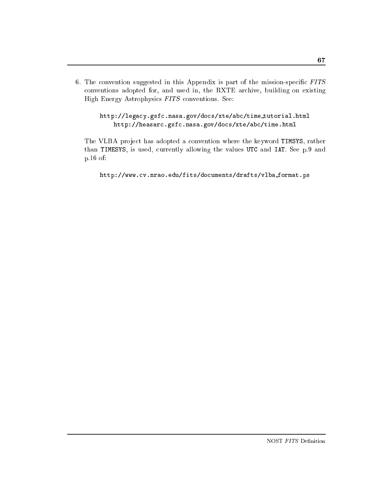6. The convention suggested in this Appendix is part of the mission-specic FITS conventions adopted for, and used in, the RXTE archive, building on existing High Energy Astrophysics FITS conventions. See:

http://legacy.gsfc.nasa.gov/docs/xte/abc/time tutorial.html http://heasarc.gsfc.nasa.gov/docs/xte/abc/time.html

The VLBA project has adopted a convention where the keyword TIMSYS, rather than TIMESYS, is used, currently allowing the values UTC and IAT. See p.9 and p.16 of:

http://www.cv.nrao.edu/fits/documents/drafts/vlba format.ps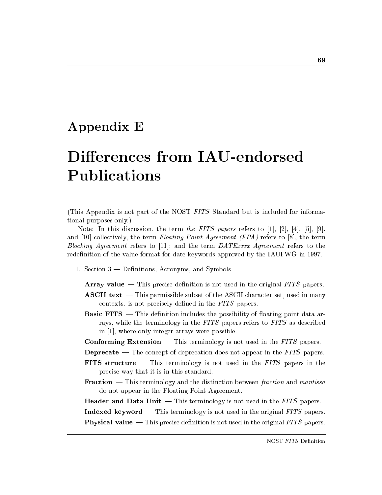#### Appendix E

### Differences from IAU-endorsed Publications

(This Appendix is not part of the NOST FITS Standard but is included for informational purposes only.)

Note: In this discussion, the term the FITS papers refers to [1], [2], [4], [5], [9], and [10] collectively, the term Floating Point Agreement (FPA) refers to [8], the term Blocking Agreement refers to [11]; and the term  $DATA$  Exxxx Agreement refers to the redefinition of the value format for date keywords approved by the IAUFWG in 1997.

1. Section  $3$  — Definitions, Acronyms, and Symbols

Array value  $-$  This precise definition is not used in the original FITS papers.

**ASCII text** — This permissible subset of the ASCII character set, used in many contexts, is not precisely defined in the *FITS* papers.

**Basic FITS** — This definition includes the possibility of floating point data arrays, while the terminology in the FITS papers refers to FITS as described in [1], where only integer arrays were possible.

**Conforming Extension**  $-$  This terminology is not used in the *FITS* papers.

Deprecate — The concept of deprecation does not appear in the FITS papers.

- **FITS structure**  $-$  This terminology is not used in the *FITS* papers in the precise way that it is in this standard.
- Fraction  $-$  This terminology and the distinction between fraction and mantissa do not appear in the Floating Point Agreement.

**Header and Data Unit**  $-$  This terminology is not used in the *FITS* papers.

Indexed keyword  $-$  This terminology is not used in the original FITS papers. **Physical value**  $-$  This precise definition is not used in the original FITS papers.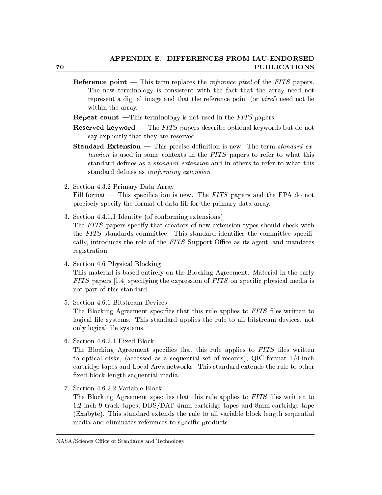**Reference point**  $-$  This term replaces the *reference pixel* of the *FITS* papers. The new terminology is consistent with the fact that the array need not represent a digital image and that the reference point (or pixel) need not lie within the array.

**Repeat count**  $-T$ his terminology is not used in the  $FITS$  papers.

- **Reserved keyword** The FITS papers describe optional keywords but do not say explicitly that they are reserved.
- **Standard Extension**  $-$  This precise definition is new. The term *standard ex*tension is used in some contexts in the FITS papers to refer to what this standard defines as a *standard extension* and in others to refer to what this standard defines as *conforming extension*.
- 2. Section 4.3.2 Primary Data Array Fill format — This specification is new. The FITS papers and the FPA do not precisely specify the format of data fill for the primary data array.
- 3. Section 4.4.1.1 Identity (of conforming extensions) The FITS papers specify that creators of new extension types should check with the  $FITS$  standards committee. This standard identifies the committee specifically, introduces the role of the FITS Support Office as its agent, and mandates registration.
- 4. Section 4.6 Physical Blocking This material is based entirely on the Blocking Agreement. Material in the early FITS papers [1,4] specifying the expression of FITS on specic physical media is not part of this standard.
- 5. Section 4.6.1 Bitstream Devices

The Blocking Agreement specifies that this rule applies to *FITS* files written to logical file systems. This standard applies the rule to all bitstream devices, not only logical file systems.

6. Section 4.6.2.1 Fixed Block

The Blocking Agreement specifies that this rule applies to *FITS* files written to optical disks, (accessed as a sequential set of records), QIC format 1/4-inch cartridge tapes and Local Area networks. This standard extends the rule to other xed block length sequential media.

7. Section 4.6.2.2 Variable Block

The Blocking Agreement specifies that this rule applies to *FITS* files written to 1.2-inch 9 track tapes, DDS/DAT 4mm cartridge tapes and 8mm cartridge tape (Exabyte). This standard extends the rule to all variable block length sequential media and eliminates references to specic products.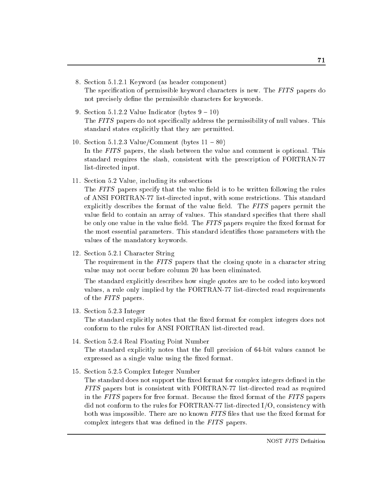- 8. Section 5.1.2.1 Keyword (as header component) The specification of permissible keyword characters is new. The FITS papers do not precisely define the permissible characters for keywords.
- 9. Section  $5.1.2.2$  Value Indicator (bytes  $9 10$ ) The FITS papers do not specically address the permissibility of null values. This standard states explicitly that they are permitted.
- 10. Section  $5.1.2.3$  Value/Comment (bytes  $11 80$ ) In the FITS papers, the slash between the value and comment is optional. This standard requires the slash, consistent with the prescription of FORTRAN-77 list-directed input.
- 11. Section 5.2 Value, including its subsections

The FITS papers specify that the value field is to be written following the rules of ANSI FORTRAN-77 list-directed input, with some restrictions. This standard explicitly describes the format of the value field. The FITS papers permit the value field to contain an array of values. This standard specifies that there shall be only one value in the value field. The FITS papers require the fixed format for the most essential parameters. This standard identies those parameters with the values of the mandatory keywords.

12. Section 5.2.1 Character String

The requirement in the FITS papers that the closing quote in a character string value may not occur before column 20 has been eliminated.

The standard explicitly describes how single quotes are to be coded into keyword values, a rule only implied by the FORTRAN-77 list-directed read requirements of the FITS papers.

13. Section 5.2.3 Integer

The standard explicitly notes that the fixed format for complex integers does not conform to the rules for ANSI FORTRAN list-directed read.

- 14. Section 5.2.4 Real Floating Point Number The standard explicitly notes that the full precision of 64-bit values cannot be expressed as a single value using the fixed format.
- 15. Section 5.2.5 Complex Integer Number

The standard does not support the fixed format for complex integers defined in the FITS papers but is consistent with FORTRAN-77 list-directed read as required in the  $FITS$  papers for free format. Because the fixed format of the  $FITS$  papers did not conform to the rules for FORTRAN-77 list-directed I/O, consistency with both was impossible. There are no known *FITS* files that use the fixed format for complex integers that was defined in the FITS papers.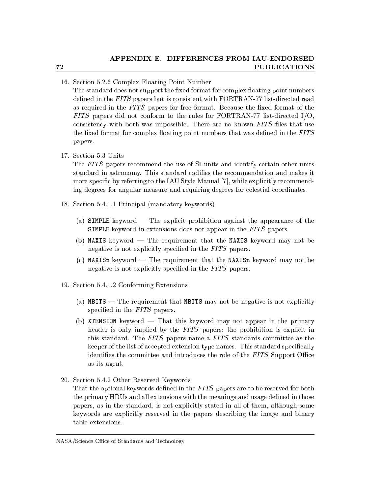16. Section 5.2.6 Complex Floating Point Number

The standard does not support the fixed format for complex floating point numbers defined in the FITS papers but is consistent with FORTRAN-77 list-directed read as required in the FITS papers for free format. Because the fixed format of the FITS papers did not conform to the rules for FORTRAN-77 list-directed I/O, consistency with both was impossible. There are no known FITS files that use the fixed format for complex floating point numbers that was defined in the FITS papers.

17. Section 5.3 Units

The FITS papers recommend the use of SI units and identify certain other units standard in astronomy. This standard codies the recommendation and makes it more specific by referring to the IAU Style Manual [7], while explicitly recommending degrees for angular measure and requiring degrees for celestial coordinates.

- 18. Section 5.4.1.1 Principal (mandatory keywords)
	- (a) SIMPLE keyword  $-$  The explicit prohibition against the appearance of the SIMPLE keyword in extensions does not appear in the FITS papers.
	- (b) NAXIS keyword The requirement that the NAXIS keyword may not be negative is not explicitly specified in the *FITS* papers.
	- (c) NAXISn keyword The requirement that the NAXISn keyword may not be negative is not explicitly specified in the FITS papers.
- 19. Section 5.4.1.2 Conforming Extensions
	- (a) NBITS The requirement that NBITS may not be negative is not explicitly specified in the *FITS* papers.
	- (b) XTENSION keyword  $-$  That this keyword may not appear in the primary header is only implied by the FITS papers; the prohibition is explicit in this standard. The FITS papers name a FITS standards committee as the keeper of the list of accepted extension type names. This standard specifically identifies the committee and introduces the role of the FITS Support Office as its agent.
- 20. Section 5.4.2 Other Reserved Keywords

That the optional keywords defined in the FITS papers are to be reserved for both the primary HDUs and all extensions with the meanings and usage defined in those papers, as in the standard, is not explicitly stated in all of them, although some keywords are explicitly reserved in the papers describing the image and binary table extensions.

72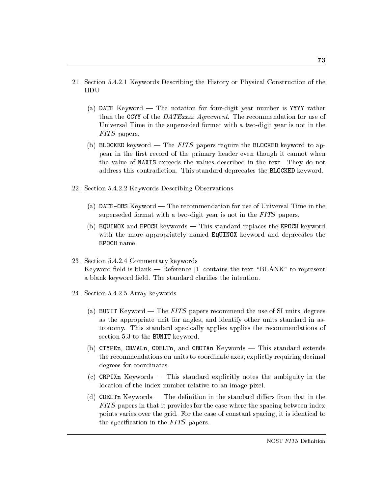- 21. Section 5.4.2.1 Keywords Describing the History or Physical Construction of the HDU
	- (a) DATE Keyword The notation for four-digit year number is YYYY rather than the CCYY of the DATExxxx Agreement. The recommendation for use of Universal Time in the superseded format with a two-digit year is not in the FITS papers.
	- (b) BLOCKED keyword The FITS papers require the BLOCKED keyword to appear in the first record of the primary header even though it cannot when the value of NAXIS exceeds the values described in the text. They do not address this contradiction. This standard deprecates the BLOCKED keyword.
- 22. Section 5.4.2.2 Keywords Describing Observations
	- (a) DATE-OBS Keyword  $-$  The recommendation for use of Universal Time in the superseded format with a two-digit year is not in the FITS papers.
	- (b) EQUINOX and EPOCH keywords This standard replaces the EPOCH keyword with the more appropriately named **EQUINOX** keyword and deprecates the EPOCH name.
- 23. Section 5.4.2.4 Commentary keywords Keyword field is blank  $-$  Reference [1] contains the text "BLANK" to represent a blank keyword field. The standard clarifies the intention.
- 24. Section 5.4.2.5 Array keywords
	- (a) BUNIT Keyword The FITS papers recommend the use of SI units, degrees as the appropriate unit for angles, and identify other units standard in astronomy. This standard specically applies applies the recommendations of section 5.3 to the BUNIT keyword.
	- (b) CTYPEn, CRVALn, CDELTn, and CROTAn Keywords This standard extends the recommendations on units to coordinate axes, explictly requiring decimal degrees for coordinates.
	- $(c)$  CRPIXn Keywords This standard explicitly notes the ambiguity in the location of the index number relative to an image pixel.
	- (d) CDELT Keywords  $-$  The definition in the standard differs from that in the FITS papers in that it provides for the case where the spacing between index points varies over the grid. For the case of constant spacing, it is identical to the specification in the FITS papers.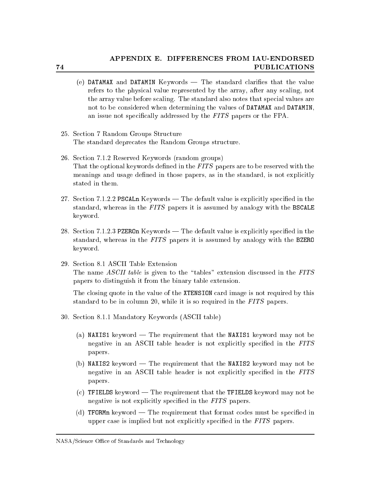#### APPENDIX E. DIFFERENCES FROM IAU-ENDORSED PUBLICATIONS

- (e) DATAMAX and DATAMIN Keywords  $-$  The standard clarifies that the value refers to the physical value represented by the array, after any scaling, not the array value before scaling. The standard also notes that special values are not to be considered when determining the values of DATAMAX and DATAMIN, an issue not specically addressed by the FITS papers or the FPA.
- 25. Section 7 Random Groups Structure The standard deprecates the Random Groups structure.
- 26. Section 7.1.2 Reserved Keywords (random groups) That the optional keywords defined in the FITS papers are to be reserved with the meanings and usage dened in those papers, as in the standard, is not explicitly stated in them.
- 27. Section 7.1.2.2 PSCALn Keywords The default value is explicitly specified in the standard, whereas in the FITS papers it is assumed by analogy with the BSCALE keyword.
- 28. Section 7.1.2.3 PZEROn Keywords The default value is explicitly specified in the standard, whereas in the FITS papers it is assumed by analogy with the BZERO keyword.
- 29. Section 8.1 ASCII Table Extension The name ASCII table is given to the "tables" extension discussed in the FITS papers to distinguish it from the binary table extension.

The closing quote in the value of the XTENSION card image is not required by this standard to be in column 20, while it is so required in the FITS papers.

- 30. Section 8.1.1 Mandatory Keywords (ASCII table)
	- (a) NAXIS1 keyword The requirement that the NAXIS1 keyword may not be negative in an ASCII table header is not explicitly specified in the FITS papers.
	- (b) NAXIS2 keyword The requirement that the NAXIS2 keyword may not be negative in an ASCII table header is not explicitly specified in the FITS papers.
	- (c) TFIELDS keyword The requirement that the TFIELDS keyword may not be negative is not explicitly specified in the *FITS* papers.
	- (d) TFORMn keyword The requirement that format codes must be specified in upper case is implied but not explicitly specied in the FITS papers.

NASA/Science Office of Standards and Technology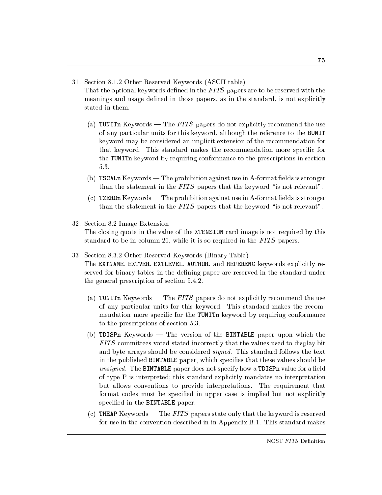- 31. Section 8.1.2 Other Reserved Keywords (ASCII table) That the optional keywords defined in the FITS papers are to be reserved with the meanings and usage defined in those papers, as in the standard, is not explicitly stated in them.
	- (a) TUNIT Keywords The FITS papers do not explicitly recommend the use of any particular units for this keyword, although the reference to the BUNIT keyword may be considered an implicit extension of the recommendation for that keyword. This standard makes the recommendation more specic for the TUNITn keyword by requiring conformance to the prescriptions in section  $5.3.$
	- (b)  $TSCALn$  Keywords The prohibition against use in A-format fields is stronger than the statement in the FITS papers that the keyword "is not relevant".
	- $(c)$  TZEROn Keywords The prohibition against use in A-format fields is stronger than the statement in the  $FITS$  papers that the keyword "is not relevant".
- 32. Section 8.2 Image Extension The closing quote in the value of the XTENSION card image is not required by this standard to be in column 20, while it is so required in the FITS papers.
- 33. Section 8.3.2 Other Reserved Keywords (Binary Table) The EXTNAME, EXTVER, EXTLEVEL, AUTHOR, and REFERENC keywords explicitly reserved for binary tables in the defining paper are reserved in the standard under the general prescription of section 5.4.2.
	- (a) TUNIT Keywords The  $FITS$  papers do not explicitly recommend the use of any particular units for this keyword. This standard makes the recommendation more specific for the TUNIT<sub>n</sub> keyword by requiring conformance to the prescriptions of section 5.3.
	- (b) TDISPn Keywords  $-$  The version of the BINTABLE paper upon which the FITS committees voted stated incorrectly that the values used to display bit and byte arrays should be considered signed. This standard follows the text in the published BINTABLE paper, which specifies that these values should be unsigned. The BINTABLE paper does not specify how a TDISPn value for a field of type P is interpreted; this standard explicitly mandates no interpretation but allows conventions to provide interpretations. The requirement that format codes must be specified in upper case is implied but not explicitly specied in the BINTABLE paper.
	- (c) THEAP Keywords The FITS papers state only that the keyword is reserved for use in the convention described in in Appendix B.1. This standard makes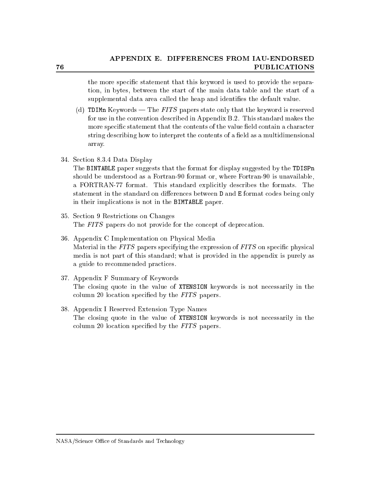the more specic statement that this keyword is used to provide the separation, in bytes, between the start of the main data table and the start of a supplemental data area called the heap and identifies the default value.

- (d) TDIMn Keywords The FITS papers state only that the keyword is reserved for use in the convention described in Appendix B.2. This standard makes the more specific statement that the contents of the value field contain a character string describing how to interpret the contents of a field as a multidimensional array.
- 34. Section 8.3.4 Data Display

The BINTABLE paper suggests that the format for display suggested by the TDISPn should be understood as a Fortran-90 format or, where Fortran-90 is unavailable, a FORTRAN-77 format. This standard explicitly describes the formats. The statement in the standard on differences between D and E format codes being only in their implications is not in the BIMTABLE paper.

- 35. Section 9 Restrictions on Changes The FITS papers do not provide for the concept of deprecation.
- 36. Appendix C Implementation on Physical Media Material in the FITS papers specifying the expression of FITS on specific physical media is not part of this standard; what is provided in the appendix is purely as a guide to recommended practices.
- 37. Appendix F Summary of Keywords The closing quote in the value of XTENSION keywords is not necessarily in the column 20 location specied by the FITS papers.
- 38. Appendix I Reserved Extension Type Names The closing quote in the value of XTENSION keywords is not necessarily in the column 20 location specied by the FITS papers.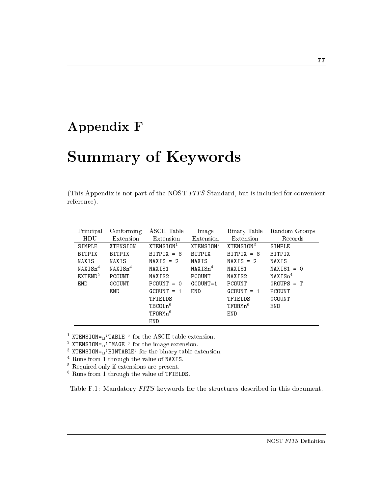### Appendix F

### Summary of Keywords

(This Appendix is not part of the NOST FITS Standard, but is included for convenient reference).

| Principal           | Conforming          | ASCII Table           | Image                 | Binary Table          | Random Groups       |
|---------------------|---------------------|-----------------------|-----------------------|-----------------------|---------------------|
| HDU                 | Extension           | Extension             | Extension             | Extension             | Records             |
| SIMPLE              | XTENSION            | XTENSION <sup>1</sup> | XTENSION <sup>2</sup> | XTENSION <sup>3</sup> | SIMPLE              |
| <b>BITPIX</b>       | <b>BITPIX</b>       | $BITPLY = 8$          | <b>BITPIX</b>         | $BITPLY = 8$          | <b>BITPIX</b>       |
| NAXIS               | NAXIS               | $NAXIS = 2$           | NAXIS                 | $NAXIS = 2$           | NAXIS               |
| NAXISn <sup>4</sup> | NAXISn <sup>4</sup> | NAXIS1                | NAXISn <sup>4</sup>   | NAXIS1                | $NAXIS1 = 0$        |
| EXTEND <sup>5</sup> | PCOUNT              | NAXIS2                | PCOUNT                | NAXIS2                | NAXISn <sup>4</sup> |
| END                 | GCOUNT              | $PCOUNT = 0$          | $GCOUNT = 1$          | PCOUNT                | $GROUPS = T$        |
|                     | END                 | $GCOUNIT = 1$         | END                   | $GCOUNIT = 1$         | PCOUNT              |
|                     |                     | TFIELDS               |                       | TFIELDS               | GCOUNT              |
|                     |                     | TBC0Ln <sup>6</sup>   |                       | TFORMn <sup>6</sup>   | END                 |
|                     |                     | TF0RMn <sup>6</sup>   |                       | <b>END</b>            |                     |
|                     |                     | END                   |                       |                       |                     |

<sup>1</sup> XTENSION=<sub>1</sub>'TABLE ' for the ASCII table extension.

<sup>2</sup> XTENSION=<sub>u</sub>'IMAGE ' for the image extension.<br><sup>3</sup> XTENSION=<sub>u</sub>'BINTABLE' for the binary table extension.

<sup>4</sup> Runs from 1 through the value of NAXIS.

<sup>5</sup> Required only if extensions are present.

° Runs from 1 through the value of TFIELDS.

Table F.1: Mandatory FITS keywords for the structures described in this document.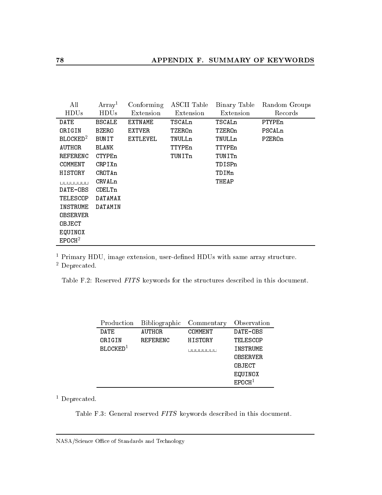| All                  | Array <sup>1</sup> | Conforming    | ASCII Table |           | Binary Table Random Groups |
|----------------------|--------------------|---------------|-------------|-----------|----------------------------|
| HDU <sub>s</sub>     | HDU <sub>s</sub>   | Extension     | Extension   | Extension | Records                    |
| DATE                 | <b>BSCALE</b>      | EXTNAME       | TSCALn      | TSCALn    | PTYPEn                     |
| ORIGIN               | BZERO              | <b>EXTVER</b> | TZER0n      | TZEROn    | PSCALn                     |
| BLOCKED <sup>2</sup> | BUNIT              | EXTLEVEL      | TNULLn      | TNULLn    | PZEROn                     |
| AUTHOR               | BLANK              |               | TTYPEn      | TTYPEn    |                            |
| REFERENC             | <b>CTYPEn</b>      |               | TUNITn      | TUNITn    |                            |
| COMMENT              | CRPIXn             |               |             | TDISPn    |                            |
| HISTORY              | CROTAn             |               |             | TDIMn     |                            |
| UUUUUUUU             | CRVALn             |               |             | THEAP     |                            |
| DATE-OBS             | CDELTn             |               |             |           |                            |
| TELESCOP             | DATAMAX            |               |             |           |                            |
| INSTRUME             | DATAMIN            |               |             |           |                            |
| <b>OBSERVER</b>      |                    |               |             |           |                            |
| OBJECT               |                    |               |             |           |                            |
| EQUINOX              |                    |               |             |           |                            |
| EPOCH <sup>2</sup>   |                    |               |             |           |                            |

<sup>1</sup> Primary HDU, image extension, user-dened HDUs with same array structure.

- Deprecated.

Table F.2: Reserved FITS keywords for the structures described in this document.

| Production           | Bibliographic | Commentary | Observation        |
|----------------------|---------------|------------|--------------------|
| DATE                 | <b>AUTHOR</b> | COMMENT    | DATE-OBS           |
| ORIGIN               | REFERENC      | HISTORY    | TELESCOP           |
| BLOCKED <sup>1</sup> |               |            | INSTRUME           |
|                      |               |            | OBSERVER           |
|                      |               |            | OBJECT             |
|                      |               |            | EQUINOX            |
|                      |               |            | EPOCH <sup>1</sup> |

<sup>1</sup> Deprecated.

Table F.3: General reserved FITS keywords described in this document.

NASA/Science Office of Standards and Technology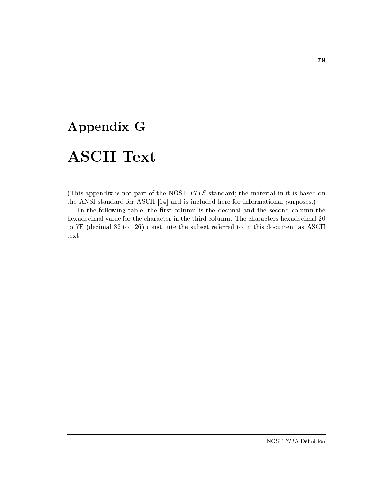# Appendix G

# ASCII Text

(This appendix is not part of the NOST FITS standard; the material in it is based on the ANSI standard for ASCII [14] and is included here for informational purposes.)

In the following table, the first column is the decimal and the second column the hexadecimal value for the character in the third column. The characters hexadecimal 20 to 7E (decimal 32 to 126) constitute the subset referred to in this document as ASCII text.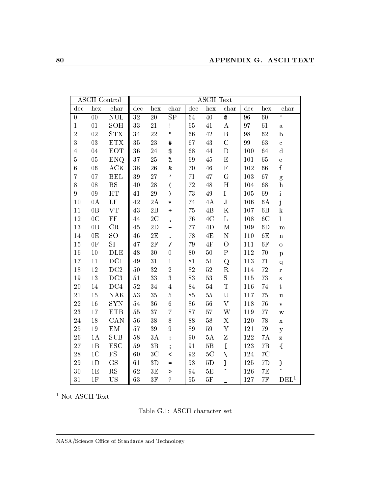|                  | <b>ASCII</b> Control |               |                 |                 |                                            |                | ASCII Text      |                           |                |                |                           |
|------------------|----------------------|---------------|-----------------|-----------------|--------------------------------------------|----------------|-----------------|---------------------------|----------------|----------------|---------------------------|
| dec              | hex                  | char          | $\mathrm{dec}$  | hex             | char                                       | $\mathrm{dec}$ | hex             | char                      | $\mathrm{dec}$ | hex            | char                      |
| $\boldsymbol{0}$ | $00\,$               | NUL           | $\overline{32}$ | $\overline{20}$ | SP                                         | 64             | $\overline{40}$ | $\pmb{\mathbb{Q}}$        | 96             | 60             | $\overline{\mathfrak{c}}$ |
| $\mathbf{1}$     | 01                   | <b>SOH</b>    | 33              | 21              | $\mathbf{l}$                               | 65             | $41\,$          | $\rm A$                   | 97             | 61             | $\rm{a}$                  |
| $\boldsymbol{2}$ | $02\,$               | ${\rm STX}$   | 34              | $22\,$          | $\begin{array}{c} \textbf{11} \end{array}$ | 66             | 42              | $\, {\bf B}$              | 98             | 62             | $\mathbf b$               |
| 3                | 03                   | <b>ETX</b>    | 35              | $\sqrt{23}$     | #                                          | 67             | 43              | $\mathcal C$              | 99             | 63             | $\mathbf c$               |
| $\overline{4}$   | 04                   | <b>EOT</b>    | 36              | 24              | \$                                         | 68             | $44\,$          | D                         | 100            | 64             | ${\rm d}$                 |
| $\overline{5}$   | 05                   | <b>ENQ</b>    | 37              | 25              | %                                          | 69             | $\rm 45$        | ${\bf E}$                 | 101            | 65             | $\mathbf{e}$              |
| $\boldsymbol{6}$ | ${\bf 06}$           | ACK           | 38              | 26              | &                                          | 70             | $\sqrt{46}$     | $\mathbf F$               | 102            | 66             | $\mathbf f$               |
| $\overline{7}$   | 07                   | <b>BEL</b>    | 39              | 27              | $\pmb{\mathcal{Y}}$                        | 71             | 47              | ${\bf G}$                 | 103            | 67             | g                         |
| $\,8\,$          | ${\bf 08}$           | BS            | 40              | $\sqrt{28}$     | $\overline{\mathcal{L}}$                   | 72             | $48\,$          | H                         | 104            | 68             | $\bold{h}$                |
| 9                | $09\,$               | HT            | 41              | 29              | $\mathcal{C}$                              | 73             | 49              | $\rm I$                   | 105            | 69             | $\mathbf{i}$              |
| 10               | 0A                   | LF            | 42              | $2\,\mathrm{A}$ | $\ast$                                     | 74             | $4\mbox{\AA}$   | ${\bf J}$                 | 106            | 6A             | $\mathbf{j}$              |
| 11               | 0B                   | ${\rm VT}$    | 43              | 2B              | $\ddot{}$                                  | 75             | 4B              | ${\bf K}$                 | 107            | 6B             | $\bf k$                   |
| 12               | 0 <sub>C</sub>       | FF            | 44              | $2\,\mathrm{C}$ | $\bullet$                                  | 76             | $4\mathrm{C}$   | $\mathbf L$               | 108            | 6C             | $\mathbf{l}$              |
| 13               | 0 <sub>D</sub>       | CR            | 45              | 2D              |                                            | 77             | 4D              | $\mathbf M$               | 109            | 6D             | $\mathbf m$               |
| 14               | 0E                   | SO            | 46              | 2E              | $\ddot{\phantom{0}}$                       | 78             | 4E              | ${\rm N}$                 | 110            | 6E             | $\mathbf n$               |
| 15               | 0F                   | SI            | 47              | $2\,\mathrm{F}$ | $\overline{I}$                             | 79             | $4\mathrm{F}$   | $\overline{O}$            | 111            | 6F             | $\overline{O}$            |
| $16\,$           | $10\,$               | DLE           | 48              | 30              | $\boldsymbol{0}$                           | 80             | $50\,$          | ${\bf P}$                 | 112            | 70             | $\overline{p}$            |
| $17\,$           | 11                   | DC1           | 49              | 31              | $\,1\,$                                    | 81             | 51              | ${\bf Q}$                 | 113            | 71             | $\mathbf q$               |
| 18               | $12\,$               | DC2           | 50              | 32              | $\sqrt{2}$                                 | 82             | $52\,$          | $\rm R$                   | 114            | 72             | $\mathbf r$               |
| 19               | $13\,$               | DC3           | 51              | $3\sqrt{3}$     | $\overline{\mathbf{3}}$                    | 83             | 53              | S                         | 115            | 73             | $\bf S$                   |
| 20               | $14\,$               | DC4           | 52              | 34              | $\sqrt{4}$                                 | 84             | $54\,$          | T                         | 116            | 74             | $\mathbf t$               |
| 21               | $15\,$               | <b>NAK</b>    | 53              | 35              | $\boldsymbol{5}$                           | 85             | 55              | $\ensuremath{\mathrm{U}}$ | 117            | 75             | $\mathbf u$               |
| 22               | $16\,$               | <b>SYN</b>    | 54              | 36              | $\boldsymbol{6}$                           | 86             | 56              | $\ensuremath{\mathbf{V}}$ | 118            | 76             | $\bar{\mathbf{V}}$        |
| 23               | $17\,$               | <b>ETB</b>    | 55              | 37              | $\overline{7}$                             | 87             | 57              | W                         | 119            | 77             | W                         |
| 24               | $18\,$               | CAN           | 56              | 38              | $\,8\,$                                    | 88             | $58\,$          | $\mathbf X$               | 120            | 78             | $\mathbf X$               |
| 25               | $19\,$               | $\mathrm{EM}$ | 57              | 39              | $\overline{9}$                             | 89             | 59              | $\mathbf Y$               | 121            | 79             | $\mathbf{y}$              |
| 26               | 1A                   | <b>SUB</b>    | 58              | $3\,\mathrm{A}$ | $\ddot{\phantom{a}}$                       | 90             | $5\,\mathrm{A}$ | $\mathbf Z$               | 122            | 7A             | $\bf{Z}$                  |
| $2\,7$           | 1B                   | <b>ESC</b>    | 59              | 3B              | $\vdots$                                   | 91             | $5\,\mathrm{B}$ | $\Gamma$                  | 123            | 7B             | $\{$                      |
| $\sqrt{28}$      | $1\mathrm{C}$        | $_{\rm FS}$   | 60              | 3C              | $\overline{\textbf{C}}$                    | 92             | $5\,\mathrm{C}$ | $\setminus$               | 124            | 7 <sub>C</sub> | $\mathsf{I}$              |
| 29               | 1 <sub>D</sub>       | GS            | 61              | 3D              | $=$                                        | 93             | $5\mathrm{D}$   | I                         | 125            | 7D             | $\,\}$                    |
| 30               | 1E                   | RS            | 62              | 3E              | $\mathbf{L}$                               | 94             | $5\,\mathrm{E}$ | $\ddot{\phantom{1}}$      | 126            | 7E             | $\ddot{ }$                |
| 31               | 1F                   | <b>US</b>     | 63              | 3F              | $\overline{?}$                             | 95             | $5\,\mathrm{F}$ |                           | 127            | 7F             | DEL <sup>1</sup>          |

Not ASCII Text

Table G.1: ASCII character set

NASA/Science Office of Standards and Technology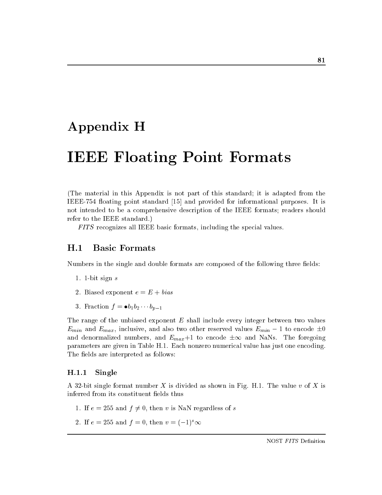#### Appendix H

### IEEE Floating Point Formats

(The material in this Appendix is not part of this standard; it is adapted from the IEEE-754 floating point standard [15] and provided for informational purposes. It is not intended to be a comprehensive description of the IEEE formats; readers should refer to the IEEE standard.)

FITS recognizes all IEEE basic formats, including the special values.

#### $H.1$ **Basic Formats**

Numbers in the single and double formats are composed of the following three fields:

- 1. 1-bit sign  $s$
- 2. Biased exponent  $e = E + bias$
- 3. Fraction  $f = \bullet b_1b_2 \cdots b_{n-1}$

The range of the unbiased exponent  $E$  shall include every integer between two values  $=$   $\mu$   $=$   $\mu$   $=$   $\mu$   $=$   $\mu$   $=$   $\mu$   $=$   $\mu$   $=$   $\mu$   $=$   $\mu$   $=$   $\mu$   $=$   $\mu$   $=$   $\mu$   $=$   $\mu$   $=$   $\mu$   $=$   $\mu$   $=$   $\mu$   $=$   $\mu$   $=$   $\mu$   $=$   $\mu$   $=$   $\mu$   $=$   $\mu$   $=$   $\mu$   $=$   $\mu$   $=$   $\mu$   $=$   $\mu$   $=$  and denormalized numbers, and  $E_{max}+1$  to encode  $\pm \infty$  and NaNs. The foregoing parameters are given in Table H.1. Each nonzero numerical value has just one encoding. The fields are interpreted as follows:

#### H.1.1 Single

A 32-bit single format number X is divided as shown in Fig. H.1. The value v of X is inferred from its constituent fields thus

- 1. If  $e = 255$  and  $f \neq 0$ , then v is NaN regardless of s
- 2. If  $e = 255$  and  $f = 0$ , then  $v = (-1)^s \infty$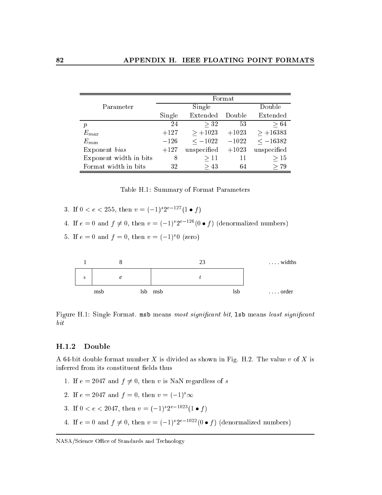|                        | Format |             |         |              |  |  |
|------------------------|--------|-------------|---------|--------------|--|--|
| Parameter              |        | Single      |         | Double       |  |  |
|                        | Single | Extended    | Double  | Extended     |  |  |
| р                      | 24     | >32         | 53      | $\geq 64$    |  |  |
| $E_{max}$              | $+127$ | $> +1023$   | $+1023$ | $\ge +16383$ |  |  |
| $E_{min}$              | $-126$ | $<-1022$    | $-1022$ | $<-16382$    |  |  |
| Exponent bias          | $+127$ | unspecified | $+1023$ | unspecified  |  |  |
| Exponent width in bits | 8      | >11         | 11      | >15          |  |  |
| Format width in bits   | 32     | >43         | 64      | >79          |  |  |

Table H.1: Summary of Format Parameters

3. If 
$$
0 < e < 255
$$
, then  $v = (-1)^s 2^{e-127} (1 \cdot f)$ 

- 4. If  $e = 0$  and  $f \neq 0$ , then  $v = (-1)$   $\lambda$  are two f independent numbers)
- 3. If  $e = 0$  and  $f = 0$ , then  $v = (-1)^{s}0$  (zero)



Figure H.1: Single Format. msb means most significant bit, 1sb means least significant bit

#### H.1.2 Double

A 64-bit double format number X is divided as shown in Fig. H.2. The value  $v$  of X is inferred from its constituent fields thus

- 1. If  $e = 2047$  and  $f \neq 0$ , then v is NaN regardless of s
- 2. If  $e = 2047$  and  $f = 0$ , then  $v = (-1)^s \infty$
- 3. If  $0 \le e \le 204$  (, then  $v = (-1)^2 2^{n-1}$  (1  $\bullet$  7)
- 4. If  $e \equiv 0$  and  $\tau \neq 0$ , then  $v = (-1)^r 2^{r-r-r} 0$  of  $\tau$  ) (denormalized numbers)

NASA/Science Office of Standards and Technology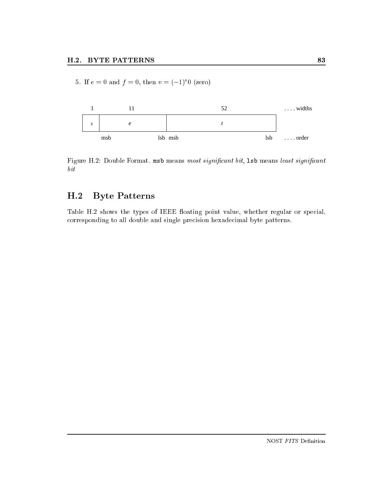3. If  $e = 0$  and  $f = 0$ , then  $v = (-1)^{s}0$  (zero)



Figure H.2: Double Format. msb means most significant bit, 1sb means least significant bit

#### H.2 Byte Patterns

Table H.2 shows the types of IEEE floating point value, whether regular or special, corresponding to all double and single precision hexadecimal byte patterns.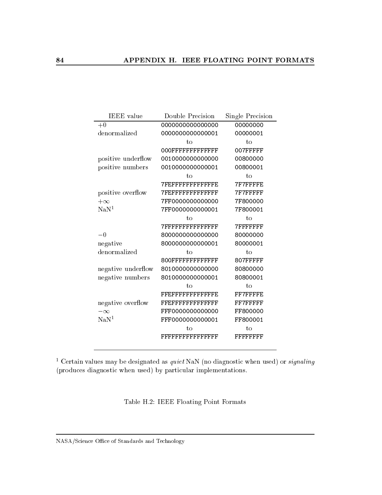| IEEE value         | Double Precision         | Single Precision |
|--------------------|--------------------------|------------------|
| $+0$               | 000000000000000          | 00000000         |
| denormalized       | 000000000000001          | 00000001         |
|                    | to                       | to               |
|                    | 000FFFFFFFFFFFFFF        | 007FFFFF         |
| positive underflow | 001000000000000          | 00800000         |
| positive numbers   | 001000000000001          | 00800001         |
|                    | to                       | to               |
|                    | <b>7FEFFFFFFFFFFFFE</b>  | 7F7FFFFE         |
| positive overflow  | 7FEFFFFFFFFFFFFF         | 7F7FFFFF         |
| $+\infty$          | 7FF0000000000000         | 7F800000         |
| $\text{NaN}^1$     | 7FF0000000000001         | 7F800001         |
|                    | to                       | to               |
|                    |                          | 7FFFFFFFF        |
| $-0$               | 800000000000000          | 80000000         |
| negative           | 800000000000001          | 80000001         |
| denormalized       | tο                       | tο               |
|                    | 800FFFFFFFFFFFFF         | 807FFFFF         |
| negative underflow | 801000000000000          | 80800000         |
| negative numbers   | 801000000000001          | 80800001         |
|                    | to                       | to               |
|                    | <b>FFEFFFFFFFFFFFFE</b>  | <b>FF7FFFFE</b>  |
| negative overflow  | <b>FFEFFFFFFFFFFFFFF</b> | <b>FF7FFFFF</b>  |
| $-\infty$          | FFF000000000000          | FF800000         |
| NaN <sup>1</sup>   | FFF000000000001          | FF800001         |
|                    | to                       | to               |
|                    |                          | FFFFFFFF         |
|                    |                          |                  |

 $\,$  - Certain values may be designated as *quiet* NaN (no diagnostic when used) or *signaling* (produces diagnostic when used) by particular implementations.

Table H.2: IEEE Floating Point Formats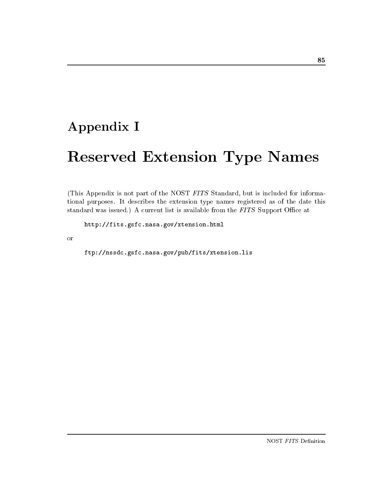#### Appendix I

# Reserved Extension Type Names

(This Appendix is not part of the NOST FITS Standard, but is included for informational purposes. It describes the extension type names registered as of the date this standard was issued.) A current list is available from the  $FITS$  Support Office at

http://fits.gsfc.nasa.gov/xtension.html

or

ftp://nssdc.gsfc.nasa.gov/pub/fits/xtension.lis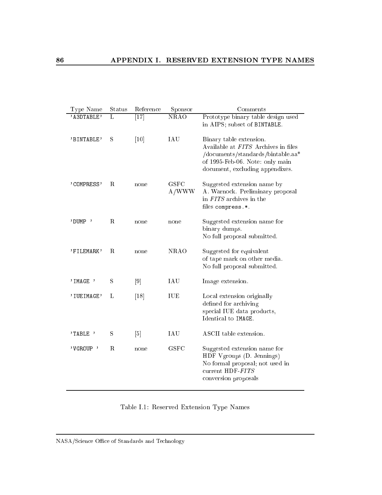| Type Name  | Status      | Reference         | Sponsor              | Comments                                                                                                                                                                  |
|------------|-------------|-------------------|----------------------|---------------------------------------------------------------------------------------------------------------------------------------------------------------------------|
| 'A3DTABLE' | L           | $[17]$            | <b>NRAO</b>          | Prototype binary table design used<br>in AIPS; subset of BINTABLE.                                                                                                        |
| 'BINTABLE' | S           | [10]              | IAU                  | Binary table extension.<br>Available at FITS Archives in files<br>/documents/standards/bintable.aa*<br>of 1995-Feb-06. Note: only main<br>document, excluding appendixes. |
| 'COMPRESS' | R.          | none              | <b>GSFC</b><br>A/WWW | Suggested extension name by<br>A. Warnock. Preliminary proposal<br>in FITS archives in the<br>files compress.*.                                                           |
| 'DUMP'     | R.          | none              | none                 | Suggested extension name for<br>binary dumps.<br>No full proposal submitted.                                                                                              |
| 'FILEMARK' | $_{\rm R}$  | none              | <b>NRAO</b>          | Suggested for equivalent<br>of tape mark on other media.<br>No full proposal submitted.                                                                                   |
| 'IMAGE'    | S           | $\lceil 9 \rceil$ | IAU                  | Image extension.                                                                                                                                                          |
| 'IUEIMAGE' | L           | [18]              | IUE                  | Local extension originally<br>defined for archiving<br>special IUE data products,<br>Identical to IMAGE.                                                                  |
| 'TABLE'    | S           | $\lceil 5 \rceil$ | IAU                  | ASCII table extension.                                                                                                                                                    |
| 'VGROUP'   | $\mathbf R$ | none              | GSFC                 | Suggested extension name for<br>HDF Vgroups (D. Jennings)<br>No formal proposal; not used in<br>current HDF-FITS<br>conversion proposals                                  |

|  |  |  |  | Table I.1: Reserved Extension Type Names |  |  |  |  |
|--|--|--|--|------------------------------------------|--|--|--|--|
|--|--|--|--|------------------------------------------|--|--|--|--|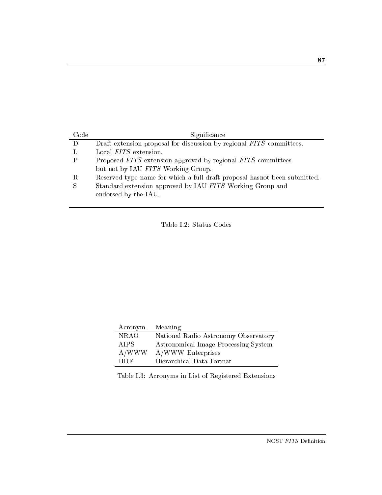| Code | Significance                                                               |
|------|----------------------------------------------------------------------------|
| D    | Draft extension proposal for discussion by regional FITS committees.       |
|      | Local <i>FITS</i> extension.                                               |
| P    | Proposed FITS extension approved by regional FITS committees               |
|      | but not by IAU FITS Working Group.                                         |
| R.   | Reserved type name for which a full draft proposal has not been submitted. |
|      | Standard extension approved by IAU FITS Working Group and                  |
|      | endorsed by the IAU.                                                       |

Table I.2: Status Codes

| Acronym     | Meaning                              |
|-------------|--------------------------------------|
| <b>NRAO</b> | National Radio Astronomy Observatory |
| A IPS       | Astronomical Image Processing System |
| A/WWW       | A/WWW Enterprises                    |
| HDF         | Hierarchical Data Format             |

Table I.3: Acronyms in List of Registered Extensions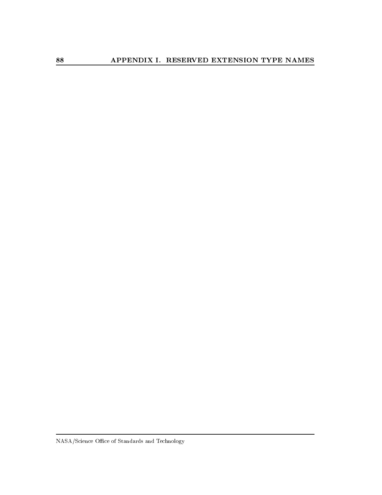NASA/Science Office of Standards and Technology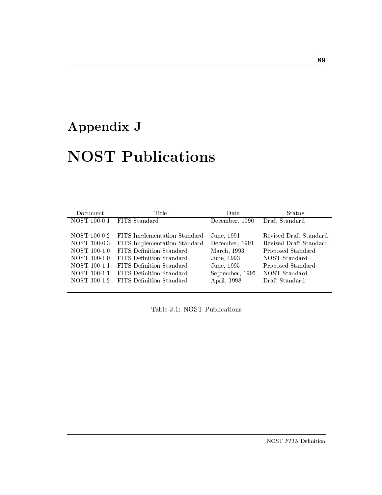### Appendix J

# NOST Publications

| Document     | Title                        | Date            | Status                 |
|--------------|------------------------------|-----------------|------------------------|
| NOST 100-0.1 | FITS Standard                | December, 1990  | Draft Standard         |
|              |                              |                 |                        |
| NOST 100-0.2 | FITS Implementation Standard | June, 1991      | Revised Draft Standard |
| NOST 100-0.3 | FITS Implementation Standard | December, 1991  | Revised Draft Standard |
| NOST 100-1.0 | FITS Definition Standard     | March, 1993     | Proposed Standard      |
| NOST 100-1.0 | FITS Definition Standard     | June, 1993      | NOST Standard          |
| NOST 100-1.1 | FITS Definition Standard     | June, 1995      | Proposed Standard      |
| NOST 100-1.1 | FITS Definition Standard     | September, 1995 | NOST Standard          |
| NOST 100-1.2 | FITS Definition Standard     | April, 1998     | Draft Standard         |

Table J.1: NOST Publications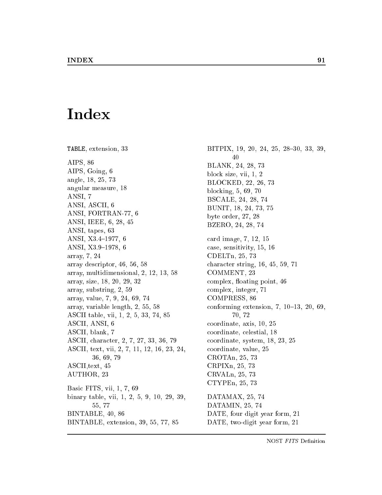### Index

TABLE, extension, 33 AIPS, 86 AIPS, Going, 6 angle, 18, 25, 73 angular measure, 18 ANSI, 7 ANSI, ASCII, 6 ANSI, FORTRAN-77, 6 ANSI, IEEE, 6, 28, 45 ANSI, tapes, 63 ANSI,  $X3.4-1977, 6$ ANSI, X3.9-1978, 6 array, 7, 24 array descriptor, 46, 56, 58 array, multidimensional, 2, 12, 13, 58 array, size, 18, 20, 29, 32 array, substring, 2, 59 array, value, 7, 9, 24, 69, 74 array, variable length, 2, 55, 58 ASCII table, vii, 1, 2, 5, 33, 74, 85 ASCII, ANSI, 6 ASCII, blank, 7 ASCII, character, 2, 7, 27, 33, 36, 79 ASCII, text, vii, 2, 7, 11, 12, 16, 23, 24, 36, 69, 79 ASCII,text, 45 AUTHOR, 23 Basic FITS, vii, 1, 7, 69 binary table, vii, 1, 2, 5, 9, 10, 29, 39, 55, 77 BINTABLE, 40, 86 BINTABLE, extension, 39, 55, 77, 85

BITPIX, 19, 20, 24, 25, 28-30, 33, 39, 40 BLANK, 24, 28, 73 block size, vii, 1, 2 BLOCKED, 22, 26, 73 blocking, 5, 69, 70 BSCALE, 24, 28, 74 BUNIT, 18, 24, 73, 75 byte order, 27, 28 BZERO, 24, 28, 74 card image, 7, 12, 15 case, sensitivity, 15, 16 CDELTn, 25, 73 character string, 16, 45, 59, 71 COMMENT, 23 complex, floating point, 46 complex, integer, 71 COMPRESS, 86 conforming extension,  $7, 10{-}13, 20, 69,$ 70, 72 coordinate, axis, 10, 25 coordinate, celestial, 18 coordinate, system, 18, 23, 25 coordinate, value, 25 CROTAn, 25, 73 CRPIXn, 25, 73 CRVALn, 25, 73 CTYPEn, 25, 73 DATAMAX, 25, 74 DATAMIN, 25, 74 DATE, four digit year form, 21 DATE, two-digit year form, 21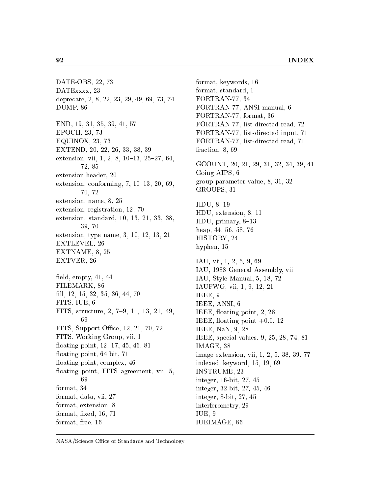DATE-OBS, 22, 73 DATExxxx, 23 deprecate, 2, 8, 22, 23, 29, 49, 69, 73, 74 DUMP, 86 END, 19, 31, 35, 39, 41, 57 EPOCH, 23, 73 EQUINOX, 23, 73 EXTEND, 20, 22, 26, 33, 38, 39 extension, vii, 1, 2, 8, 10-13, 25-27, 64, 72, 85 extension header, 20 extension, conforming,  $7, 10{-}13, 20, 69,$ 70, 72 extension, name, 8, 25 extension, registration, 12, 70 extension, standard, 10, 13, 21, 33, 38, 39, 70 extension, type name, 3, 10, 12, 13, 21 EXTLEVEL, 26 EXTNAME, 8, 25 EXTVER, 26 field, empty,  $41, 44$ FILEMARK, 86 ll, 12, 15, 32, 35, 36, 44, 70 FITS, IUE, 6 FITS, structure, 2, 7-9, 11, 13, 21, 49, 69 FITS, Support Office, 12, 21, 70, 72 FITS, Working Group, vii, 1 floating point, 12, 17, 45, 46, 81 floating point,  $64$  bit,  $71$ floating point, complex, 46 floating point, FITS agreement, vii, 5, 69 format, 34 format, data, vii, 27 format, extension, 8 format, fixed,  $16, 71$ format, free, 16

format, keywords, 16 format, standard, 1 FORTRAN-77, 34 FORTRAN-77, ANSI manual, 6 FORTRAN-77, format, 36 FORTRAN-77, list directed read, 72 FORTRAN-77, list-directed input, 71 FORTRAN-77, list-directed read, 71 fraction, 8, 69 GCOUNT, 20, 21, 29, 31, 32, 34, 39, 41 Going AIPS, 6 group parameter value, 8, 31, 32 GROUPS, 31 HDU, 8, 19 HDU, extension, 8, 11 HDU, primary,  $8-13$ heap, 44, 56, 58, 76 HISTORY, 24 hyphen, 15 IAU, vii, 1, 2, 5, 9, 69 IAU, 1988 General Assembly, vii IAU, Style Manual, 5, 18, 72 IAUFWG, vii, 1, 9, 12, 21 IEEE, 9 IEEE, ANSI, 6 IEEE, floating point, 2, 28 IEEE, floating point  $+0.0$ , 12 IEEE, NaN, 9, 28 IEEE, special values, 9, 25, 28, 74, 81 IMAGE, 38 image extension, vii, 1, 2, 5, 38, 39, 77 indexed, keyword, 15, 19, 69 INSTRUME, 23 integer, 16-bit, 27, 45 integer, 32-bit, 27, 45, 46 integer, 8-bit, 27, 45 interferometry, 29 IUE, 9 IUEIMAGE, 86

NASA/Science Office of Standards and Technology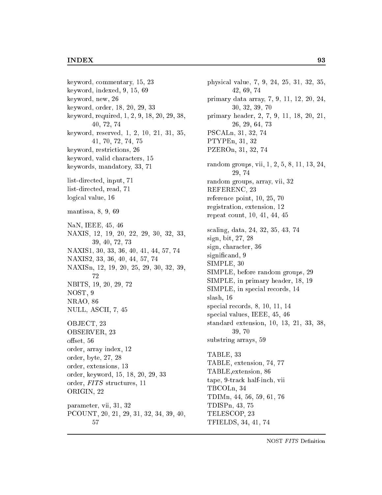keyword, commentary, 15, 23 keyword, indexed, 9, 15, 69 keyword, new, 26 keyword, order, 18, 20, 29, 33 keyword, required, 1, 2, 9, 18, 20, 29, 38, 40, 72, 74 keyword, reserved, 1, 2, 10, 21, 31, 35, 41, 70, 72, 74, 75 keyword, restrictions, 26 keyword, valid characters, 15 keywords, mandatory, 33, 71 list-directed, input, 71 list-directed, read, 71 logical value, 16 mantissa, 8, 9, 69 NaN, IEEE, 45, 46 NAXIS, 12, 19, 20, 22, 29, 30, 32, 33, 39, 40, 72, 73 NAXIS1, 30, 33, 36, 40, 41, 44, 57, 74 NAXIS2, 33, 36, 40, 44, 57, 74 NAXISn, 12, 19, 20, 25, 29, 30, 32, 39, 72 NBITS, 19, 20, 29, 72 NOST, 9 NRAO, 86 NULL, ASCII, 7, 45 OBJECT, 23 OBSERVER, 23 offset, 56 order, array index, 12 order, byte, 27, 28 order, extensions, 13 order, keyword, 15, 18, 20, 29, 33 order, FITS structures, 11 ORIGIN, 22 parameter, vii, 31, 32 PCOUNT, 20, 21, 29, 31, 32, 34, 39, 40, 57

physical value, 7, 9, 24, 25, 31, 32, 35, 42, 69, 74 primary data array, 7, 9, 11, 12, 20, 24, 30, 32, 39, 70 primary header, 2, 7, 9, 11, 18, 20, 21, 26, 29, 64, 73 PSCALn, 31, 32, 74 PTYPEn, 31, 32 PZEROn, 31, 32, 74 random groups, vii, 1, 2, 5, 8, 11, 13, 24, 29, 74 random groups, array, vii, 32 REFERENC, 23 reference point, 10, 25, 70 registration, extension, 12 repeat count, 10, 41, 44, 45 scaling, data, 24, 32, 35, 43, 74 sign, bit, 27, 28 sign, character, 36 significand, 9 SIMPLE, 30 SIMPLE, before random groups, 29 SIMPLE, in primary header, 18, 19 SIMPLE, in special records, 14 slash, 16 special records, 8, 10, 11, 14 special values, IEEE, 45, 46 standard extension, 10, 13, 21, 33, 38, 39, 70 substring arrays, 59 TABLE, 33 TABLE, extension, 74, 77 TABLE,extension, 86 tape, 9-track half-inch, vii TBCOLn, 34 TDIMn, 44, 56, 59, 61, 76 TDISPn, 43, 75 TELESCOP, 23 TFIELDS, 34, 41, 74